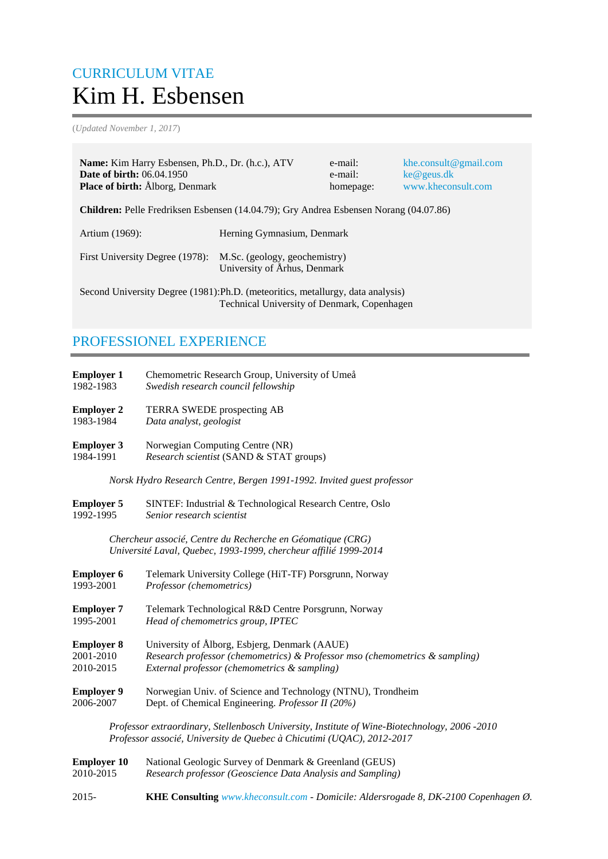# CURRICULUM VITAE Kim H. Esbensen

(*Updated November 1, 2017*)

| <b>Name:</b> Kim Harry Esbensen, Ph.D., Dr. (h.c.), ATV<br><b>Date of birth: 06.04.1950</b><br><b>Place of birth:</b> Alborg, Denmark |                              | e-mail:<br>e-mail:<br>homepage: | khe.consult@gmail.com<br>ke@geus.dk<br>www.kheconsult.com |
|---------------------------------------------------------------------------------------------------------------------------------------|------------------------------|---------------------------------|-----------------------------------------------------------|
| <b>Children:</b> Pelle Fredriksen Esbensen (14.04.79); Gry Andrea Esbensen Norang (04.07.86)                                          |                              |                                 |                                                           |
| Artium (1969):                                                                                                                        | Herning Gymnasium, Denmark   |                                 |                                                           |
| First University Degree (1978): M.Sc. (geology, geochemistry)                                                                         | University of Århus, Denmark |                                 |                                                           |
| Second University Degree (1981): Ph.D. (meteoritics, metallurgy, data analysis)<br>Technical University of Denmark, Copenhagen        |                              |                                 |                                                           |

## PROFESSIONEL EXPERIENCE

| <b>Employer 1</b>  | Chemometric Research Group, University of Umeå                                                                                                                         |
|--------------------|------------------------------------------------------------------------------------------------------------------------------------------------------------------------|
| 1982-1983          | Swedish research council fellowship                                                                                                                                    |
| <b>Employer 2</b>  | TERRA SWEDE prospecting AB                                                                                                                                             |
| 1983-1984          | Data analyst, geologist                                                                                                                                                |
| <b>Employer 3</b>  | Norwegian Computing Centre (NR)                                                                                                                                        |
| 1984-1991          | Research scientist (SAND & STAT groups)                                                                                                                                |
|                    | Norsk Hydro Research Centre, Bergen 1991-1992. Invited guest professor                                                                                                 |
| <b>Employer 5</b>  | SINTEF: Industrial & Technological Research Centre, Oslo                                                                                                               |
| 1992-1995          | Senior research scientist                                                                                                                                              |
|                    | Chercheur associé, Centre du Recherche en Géomatique (CRG)<br>Université Laval, Quebec, 1993-1999, chercheur affilié 1999-2014                                         |
| <b>Employer 6</b>  | Telemark University College (HiT-TF) Porsgrunn, Norway                                                                                                                 |
| 1993-2001          | Professor (chemometrics)                                                                                                                                               |
| <b>Employer 7</b>  | Telemark Technological R&D Centre Porsgrunn, Norway                                                                                                                    |
| 1995-2001          | Head of chemometrics group, IPTEC                                                                                                                                      |
| <b>Employer 8</b>  | University of Ålborg, Esbjerg, Denmark (AAUE)                                                                                                                          |
| 2001-2010          | Research professor (chemometrics) & Professor mso (chemometrics & sampling)                                                                                            |
| 2010-2015          | External professor (chemometrics & sampling)                                                                                                                           |
| <b>Employer 9</b>  | Norwegian Univ. of Science and Technology (NTNU), Trondheim                                                                                                            |
| 2006-2007          | Dept. of Chemical Engineering. Professor II (20%)                                                                                                                      |
|                    | Professor extraordinary, Stellenbosch University, Institute of Wine-Biotechnology, 2006 -2010<br>Professor associé, University de Quebec à Chicutimi (UQAC), 2012-2017 |
| <b>Employer 10</b> | National Geologic Survey of Denmark & Greenland (GEUS)                                                                                                                 |
| 2010-2015          | Research professor (Geoscience Data Analysis and Sampling)                                                                                                             |
| 2015-              | KHE Consulting www.kheconsult.com - Domicile: Aldersrogade 8, DK-2100 Copenhagen Ø.                                                                                    |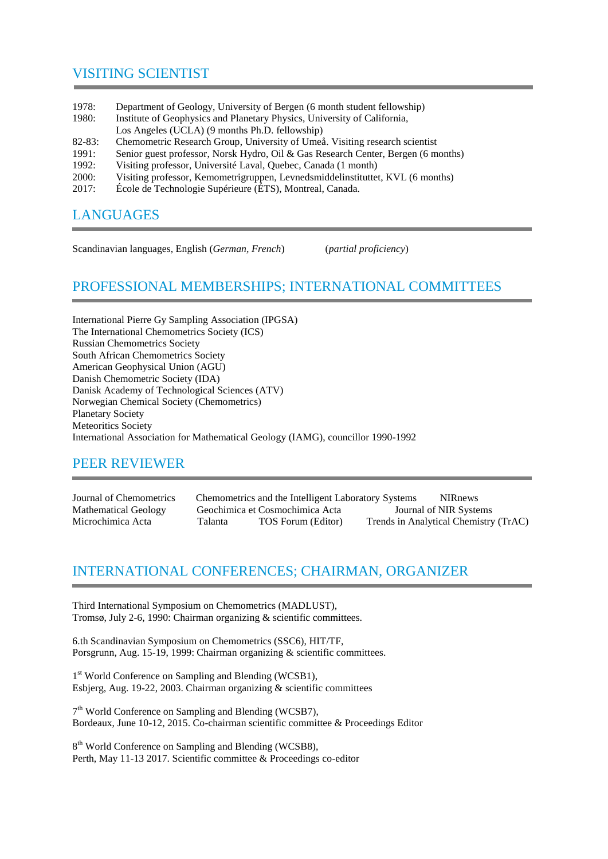## VISITING SCIENTIST

| 1978:      | Department of Geology, University of Bergen (6 month student fellowship)          |
|------------|-----------------------------------------------------------------------------------|
| 1980:      | Institute of Geophysics and Planetary Physics, University of California,          |
|            | Los Angeles (UCLA) (9 months Ph.D. fellowship)                                    |
| $82 - 83:$ | Chemometric Research Group, University of Umeå. Visiting research scientist       |
| 1991:      | Senior guest professor, Norsk Hydro, Oil & Gas Research Center, Bergen (6 months) |
| 1992:      | Visiting professor, Université Laval, Quebec, Canada (1 month)                    |
| 2000-      | Visiting professor Kemometrigruppen Levnedsmiddelinstituttet KVI (6 months)       |

- 2000: Visiting professor, Kemometrigruppen, Levnedsmiddelinstituttet, KVL (6 months)
- 2017: École de Technologie Supérieure (ÉTS), Montreal, Canada.

## **LANGUAGES**

Scandinavian languages, English (*German, French*) (*partial proficiency*)

# PROFESSIONAL MEMBERSHIPS; INTERNATIONAL COMMITTEES

International Pierre Gy Sampling Association (IPGSA) The International Chemometrics Society (ICS) Russian Chemometrics Society South African Chemometrics Society American Geophysical Union (AGU) Danish Chemometric Society (IDA) Danisk Academy of Technological Sciences (ATV) Norwegian Chemical Society (Chemometrics) Planetary Society Meteoritics Society International Association for Mathematical Geology (IAMG), councillor 1990-1992

# PEER REVIEWER

Journal of Chemometrics Chemometrics and the Intelligent Laboratory Systems NIRnews Mathematical Geology Geochimica et Cosmochimica Acta Journal of NIR Systems Microchimica Acta Talanta TOS Forum (Editor) Trends in Analytical Chemistry (TrAC)

### INTERNATIONAL CONFERENCES; CHAIRMAN, ORGANIZER

Third International Symposium on Chemometrics (MADLUST), Tromsø, July 2-6, 1990: Chairman organizing & scientific committees.

6.th Scandinavian Symposium on Chemometrics (SSC6), HIT/TF, Porsgrunn, Aug. 15-19, 1999: Chairman organizing & scientific committees.

1<sup>st</sup> World Conference on Sampling and Blending (WCSB1), Esbjerg, Aug. 19-22, 2003. Chairman organizing & scientific committees

7<sup>th</sup> World Conference on Sampling and Blending (WCSB7), Bordeaux, June 10-12, 2015. Co-chairman scientific committee & Proceedings Editor

8<sup>th</sup> World Conference on Sampling and Blending (WCSB8), Perth, May 11-13 2017. Scientific committee & Proceedings co-editor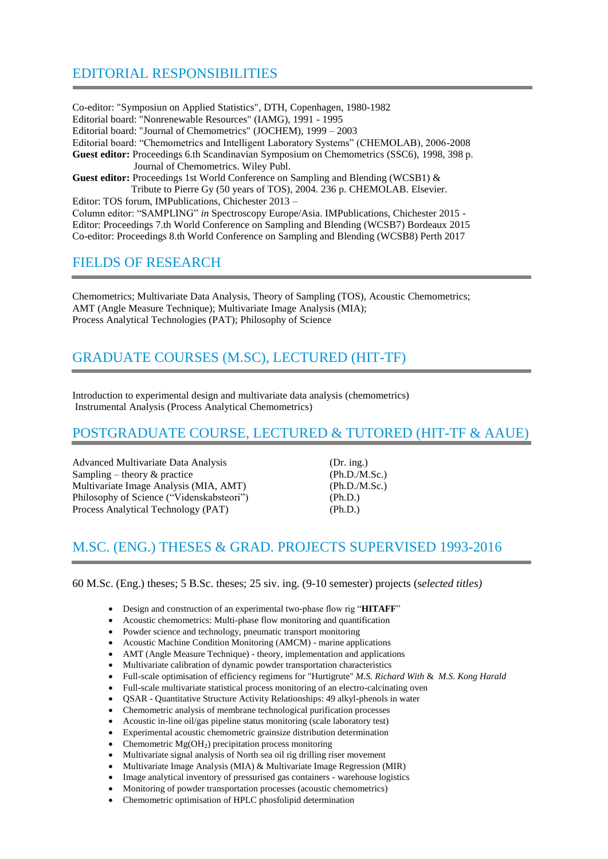# EDITORIAL RESPONSIBILITIES

Co-editor: "Symposiun on Applied Statistics", DTH, Copenhagen, 1980-1982 Editorial board: "Nonrenewable Resources" (IAMG), 1991 - 1995 Editorial board: "Journal of Chemometrics" (JOCHEM), 1999 – 2003 Editorial board: "Chemometrics and Intelligent Laboratory Systems" (CHEMOLAB), 2006-2008 **Guest editor:** Proceedings 6.th Scandinavian Symposium on Chemometrics (SSC6), 1998, 398 p. Journal of Chemometrics. Wiley Publ. **Guest editor:** Proceedings 1st World Conference on Sampling and Blending (WCSB1) & Tribute to Pierre Gy (50 years of TOS), 2004. 236 p. CHEMOLAB. Elsevier.

Editor: TOS forum, IMPublications, Chichester 2013 – Column editor: "SAMPLING" *in* Spectroscopy Europe/Asia. IMPublications, Chichester 2015 - Editor: Proceedings 7.th World Conference on Sampling and Blending (WCSB7) Bordeaux 2015 Co-editor: Proceedings 8.th World Conference on Sampling and Blending (WCSB8) Perth 2017

#### FIELDS OF RESEARCH

Chemometrics; Multivariate Data Analysis, Theory of Sampling (TOS), Acoustic Chemometrics; AMT (Angle Measure Technique); Multivariate Image Analysis (MIA); Process Analytical Technologies (PAT); Philosophy of Science

# GRADUATE COURSES (M.SC), LECTURED (HIT-TF)

Introduction to experimental design and multivariate data analysis (chemometrics) Instrumental Analysis (Process Analytical Chemometrics)

#### POSTGRADUATE COURSE, LECTURED & TUTORED (HIT-TF & AAUE)

Advanced Multivariate Data Analysis (Dr. ing.)  $Sampling - theory &\n\text{ practice}$  (Ph.D./M.Sc.) Multivariate Image Analysis (MIA, AMT) (Ph.D./M.Sc.) Philosophy of Science ("Videnskabsteori") (Ph.D.) Process Analytical Technology (PAT) (Ph.D.)

### M.SC. (ENG.) THESES & GRAD. PROJECTS SUPERVISED 1993-2016

60 M.Sc. (Eng.) theses; 5 B.Sc. theses; 25 siv. ing. (9-10 semester) projects (s*elected titles)*

- Design and construction of an experimental two-phase flow rig "**HITAFF**"
- Acoustic chemometrics: Multi-phase flow monitoring and quantification
- Powder science and technology, pneumatic transport monitoring
- Acoustic Machine Condition Monitoring (AMCM) marine applications
- AMT (Angle Measure Technique) theory, implementation and applications
- Multivariate calibration of dynamic powder transportation characteristics
- Full-scale optimisation of efficiency regimens for "Hurtigrute" *M.S. Richard With* & *M.S. Kong Harald*
- Full-scale multivariate statistical process monitoring of an electro-calcinating oven
- QSAR Quantitative Structure Activity Relationships: 49 alkyl-phenols in water
- Chemometric analysis of membrane technological purification processes
- Acoustic in-line oil/gas pipeline status monitoring (scale laboratory test)
- Experimental acoustic chemometric grainsize distribution determination
- Chemometric  $Mg(OH<sub>2</sub>)$  precipitation process monitoring
- Multivariate signal analysis of North sea oil rig drilling riser movement
- Multivariate Image Analysis (MIA) & Multivariate Image Regression (MIR)
- Image analytical inventory of pressurised gas containers warehouse logistics
- Monitoring of powder transportation processes (acoustic chemometrics)
- Chemometric optimisation of HPLC phosfolipid determination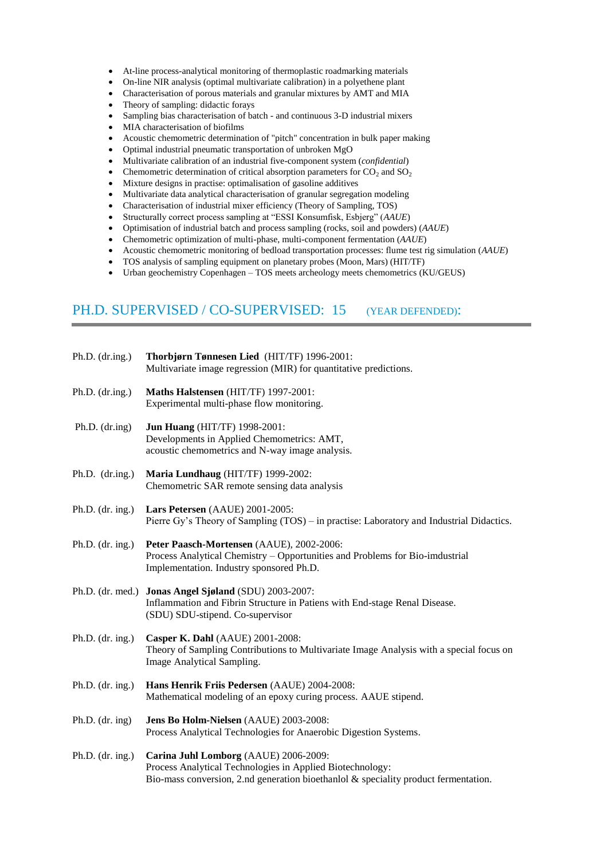- At-line process-analytical monitoring of thermoplastic roadmarking materials
- On-line NIR analysis (optimal multivariate calibration) in a polyethene plant
- Characterisation of porous materials and granular mixtures by AMT and MIA
- Theory of sampling: didactic forays
- Sampling bias characterisation of batch and continuous 3-D industrial mixers
- MIA characterisation of biofilms
- Acoustic chemometric determination of "pitch" concentration in bulk paper making
- Optimal industrial pneumatic transportation of unbroken MgO
- Multivariate calibration of an industrial five-component system (*confidential*)
- Chemometric determination of critical absorption parameters for  $CO<sub>2</sub>$  and  $SO<sub>2</sub>$
- Mixture designs in practise: optimalisation of gasoline additives
- Multivariate data analytical characterisation of granular segregation modeling
- Characterisation of industrial mixer efficiency (Theory of Sampling, TOS)
- Structurally correct process sampling at "ESSI Konsumfisk, Esbjerg" (*AAUE*)
- Optimisation of industrial batch and process sampling (rocks, soil and powders) (*AAUE*)
- Chemometric optimization of multi-phase, multi-component fermentation (*AAUE*)
- Acoustic chemometric monitoring of bedload transportation processes: flume test rig simulation (*AAUE*)
- TOS analysis of sampling equipment on planetary probes (Moon, Mars) (HIT/TF)
- Urban geochemistry Copenhagen TOS meets archeology meets chemometrics (KU/GEUS)

## PH.D. SUPERVISED / CO-SUPERVISED: 15 (YEAR DEFENDED):

| Ph.D. $(dr.ing.)$  | Thorbjørn Tønnesen Lied (HIT/TF) 1996-2001:<br>Multivariate image regression (MIR) for quantitative predictions.                                                                             |
|--------------------|----------------------------------------------------------------------------------------------------------------------------------------------------------------------------------------------|
| Ph.D. $(dr.ing.)$  | Maths Halstensen (HIT/TF) 1997-2001:<br>Experimental multi-phase flow monitoring.                                                                                                            |
| Ph.D. $(dr.ing)$   | <b>Jun Huang (HIT/TF) 1998-2001:</b><br>Developments in Applied Chemometrics: AMT,<br>acoustic chemometrics and N-way image analysis.                                                        |
| Ph.D. $(dr.ing.)$  | Maria Lundhaug (HIT/TF) 1999-2002:<br>Chemometric SAR remote sensing data analysis                                                                                                           |
| Ph.D. $(dr. ing.)$ | Lars Petersen (AAUE) 2001-2005:<br>Pierre Gy's Theory of Sampling (TOS) - in practise: Laboratory and Industrial Didactics.                                                                  |
| Ph.D. $(dr. ing.)$ | Peter Paasch-Mortensen (AAUE), 2002-2006:<br>Process Analytical Chemistry – Opportunities and Problems for Bio-imdustrial<br>Implementation. Industry sponsored Ph.D.                        |
|                    | Ph.D. (dr. med.) Jonas Angel Sjøland (SDU) 2003-2007:<br>Inflammation and Fibrin Structure in Patiens with End-stage Renal Disease.<br>(SDU) SDU-stipend. Co-supervisor                      |
| Ph.D. $(dr. ing.)$ | Casper K. Dahl (AAUE) 2001-2008:<br>Theory of Sampling Contributions to Multivariate Image Analysis with a special focus on<br>Image Analytical Sampling.                                    |
| Ph.D. $(dr. ing.)$ | Hans Henrik Friis Pedersen (AAUE) 2004-2008:<br>Mathematical modeling of an epoxy curing process. AAUE stipend.                                                                              |
| Ph.D. $(dr. ing)$  | Jens Bo Holm-Nielsen (AAUE) 2003-2008:<br>Process Analytical Technologies for Anaerobic Digestion Systems.                                                                                   |
| Ph.D. $(dr. ing.)$ | Carina Juhl Lomborg (AAUE) 2006-2009:<br>Process Analytical Technologies in Applied Biotechnology:<br>Bio-mass conversion, 2.nd generation bioethanlol $\&$ speciality product fermentation. |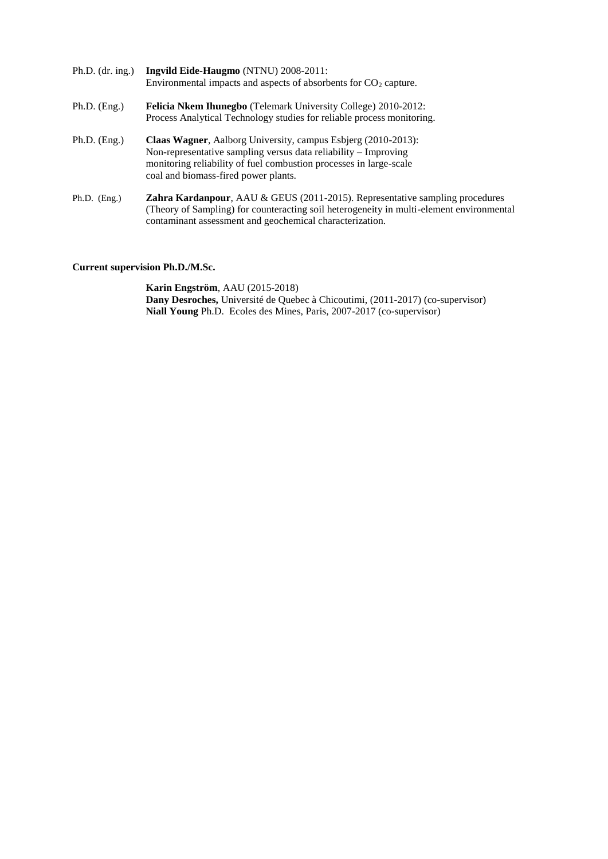| Ph.D. $(dr. ing.)$ | Ingvild Eide-Haugmo (NTNU) 2008-2011:<br>Environmental impacts and aspects of absorbents for $CO2$ capture.                                                                                                                                           |
|--------------------|-------------------------------------------------------------------------------------------------------------------------------------------------------------------------------------------------------------------------------------------------------|
| $Ph.D.$ (Eng.)     | Felicia Nkem Ihunegbo (Telemark University College) 2010-2012:<br>Process Analytical Technology studies for reliable process monitoring.                                                                                                              |
| $Ph.D.$ (Eng.)     | <b>Claas Wagner, Aalborg University, campus Esbjerg (2010-2013):</b><br>Non-representative sampling versus data reliability - Improving<br>monitoring reliability of fuel combustion processes in large-scale<br>coal and biomass-fired power plants. |
| Ph.D. $(Eng.)$     | Zahra Kardanpour, AAU & GEUS (2011-2015). Representative sampling procedures<br>(Theory of Sampling) for counteracting soil heterogeneity in multi-element environmental<br>contaminant assessment and geochemical characterization.                  |

#### **Current supervision Ph.D./M.Sc.**

**Karin Engström**, AAU (2015-2018) **Dany Desroches,** Université de Quebec à Chicoutimi, (2011-2017) (co-supervisor) **Niall Young** Ph.D. Ecoles des Mines, Paris, 2007-2017 (co-supervisor)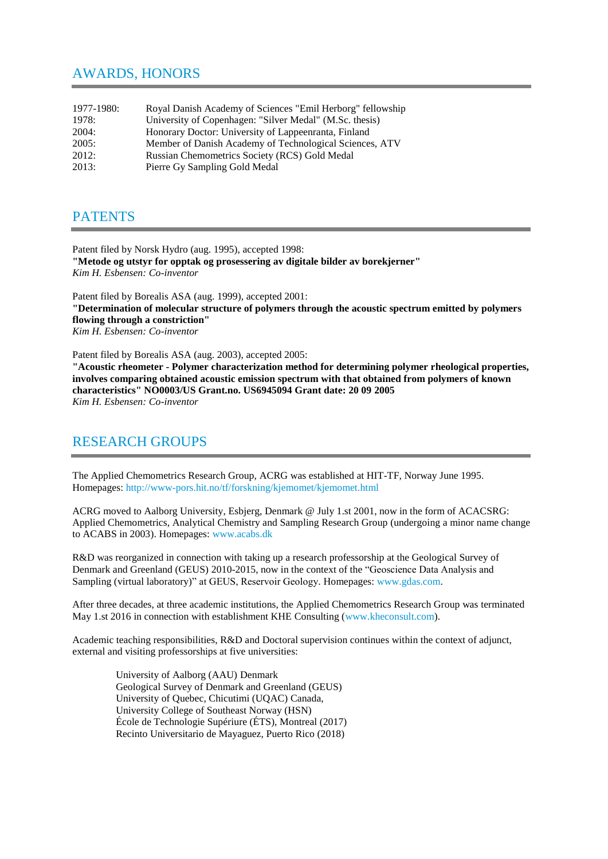#### AWARDS, HONORS

| 1977-1980: | Royal Danish Academy of Sciences "Emil Herborg" fellowship |
|------------|------------------------------------------------------------|
| 1978:      | University of Copenhagen: "Silver Medal" (M.Sc. thesis)    |
| 2004:      | Honorary Doctor: University of Lappeenranta, Finland       |
| 2005:      | Member of Danish Academy of Technological Sciences, ATV    |
| 2012:      | Russian Chemometrics Society (RCS) Gold Medal              |
| 2013:      | Pierre Gy Sampling Gold Medal                              |

#### **PATENTS**

Patent filed by Norsk Hydro (aug. 1995), accepted 1998: **"Metode og utstyr for opptak og prosessering av digitale bilder av borekjerner"** *Kim H. Esbensen: Co-inventor*

Patent filed by Borealis ASA (aug. 1999), accepted 2001: **"Determination of molecular structure of polymers through the acoustic spectrum emitted by polymers flowing through a constriction"** *Kim H. Esbensen: Co-inventor*

Patent filed by Borealis ASA (aug. 2003), accepted 2005:

**"Acoustic rheometer - Polymer characterization method for determining polymer rheological properties, involves comparing obtained acoustic emission spectrum with that obtained from polymers of known characteristics" NO0003/US Grant.no. US6945094 Grant date: 20 09 2005** *Kim H. Esbensen: Co-inventor*

#### RESEARCH GROUPS

The Applied Chemometrics Research Group, ACRG was established at HIT-TF, Norway June 1995. Homepages:<http://www-pors.hit.no/tf/forskning/kjemomet/kjemomet.html>

ACRG moved to Aalborg University, Esbjerg, Denmark @ July 1.st 2001, now in the form of ACACSRG: Applied Chemometrics, Analytical Chemistry and Sampling Research Group (undergoing a minor name change to ACABS in 2003). Homepages: [www.acabs.dk](http://www.acabs.dk/)

R&D was reorganized in connection with taking up a research professorship at the Geological Survey of Denmark and Greenland (GEUS) 2010-2015, now in the context of the "Geoscience Data Analysis and Sampling (virtual laboratory)" at GEUS, Reservoir Geology. Homepages: [www.gdas.com.](http://www.gdas.com/)

After three decades, at three academic institutions, the Applied Chemometrics Research Group was terminated May 1.st 2016 in connection with establishment KHE Consulting [\(www.kheconsult.com\)](http://www.kheconsult.com/).

Academic teaching responsibilities, R&D and Doctoral supervision continues within the context of adjunct, external and visiting professorships at five universities:

> University of Aalborg (AAU) Denmark Geological Survey of Denmark and Greenland (GEUS) University of Quebec, Chicutimi (UQAC) Canada, University College of Southeast Norway (HSN) École de Technologie Supériure (ÉTS), Montreal (2017) Recinto Universitario de Mayaguez, Puerto Rico (2018)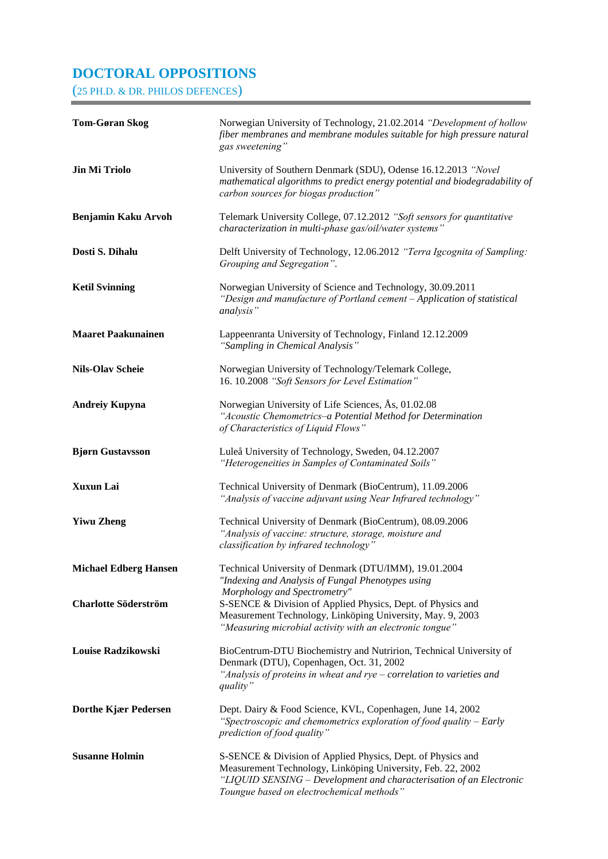#### **DOCTORAL OPPOSITIONS**

(25 PH.D. & DR. PHILOS DEFENCES)

| <b>Tom-Gøran Skog</b>        | Norwegian University of Technology, 21.02.2014 "Development of hollow<br>fiber membranes and membrane modules suitable for high pressure natural<br>gas sweetening"                                                                            |
|------------------------------|------------------------------------------------------------------------------------------------------------------------------------------------------------------------------------------------------------------------------------------------|
| <b>Jin Mi Triolo</b>         | University of Southern Denmark (SDU), Odense 16.12.2013 "Novel<br>mathematical algorithms to predict energy potential and biodegradability of<br>carbon sources for biogas production"                                                         |
| <b>Benjamin Kaku Arvoh</b>   | Telemark University College, 07.12.2012 "Soft sensors for quantitative<br>characterization in multi-phase gas/oil/water systems"                                                                                                               |
| Dosti S. Dihalu              | Delft University of Technology, 12.06.2012 "Terra Igcognita of Sampling:<br>Grouping and Segregation".                                                                                                                                         |
| <b>Ketil Svinning</b>        | Norwegian University of Science and Technology, 30.09.2011<br>"Design and manufacture of Portland cement - Application of statistical<br>analysis"                                                                                             |
| <b>Maaret Paakunainen</b>    | Lappeenranta University of Technology, Finland 12.12.2009<br>"Sampling in Chemical Analysis"                                                                                                                                                   |
| <b>Nils-Olav Scheie</b>      | Norwegian University of Technology/Telemark College,<br>16. 10.2008 "Soft Sensors for Level Estimation"                                                                                                                                        |
| <b>Andreiy Kupyna</b>        | Norwegian University of Life Sciences, Ås, 01.02.08<br>"Acoustic Chemometrics-a Potential Method for Determination<br>of Characteristics of Liquid Flows"                                                                                      |
| <b>Bjørn Gustavsson</b>      | Luleå University of Technology, Sweden, 04.12.2007<br>"Heterogeneities in Samples of Contaminated Soils"                                                                                                                                       |
| <b>Xuxun Lai</b>             | Technical University of Denmark (BioCentrum), 11.09.2006<br>"Analysis of vaccine adjuvant using Near Infrared technology"                                                                                                                      |
| <b>Yiwu Zheng</b>            | Technical University of Denmark (BioCentrum), 08.09.2006<br>"Analysis of vaccine: structure, storage, moisture and<br>classification by infrared technology"                                                                                   |
| <b>Michael Edberg Hansen</b> | Technical University of Denmark (DTU/IMM), 19.01.2004<br>"Indexing and Analysis of Fungal Phenotypes using<br>Morphology and Spectrometry"                                                                                                     |
| <b>Charlotte Söderström</b>  | S-SENCE & Division of Applied Physics, Dept. of Physics and<br>Measurement Technology, Linköping University, May. 9, 2003<br>"Measuring microbial activity with an electronic tongue"                                                          |
| Louise Radzikowski           | BioCentrum-DTU Biochemistry and Nutririon, Technical University of<br>Denmark (DTU), Copenhagen, Oct. 31, 2002<br>"Analysis of proteins in wheat and rye $-$ correlation to varieties and<br>quality"                                          |
| Dorthe Kjær Pedersen         | Dept. Dairy & Food Science, KVL, Copenhagen, June 14, 2002<br>"Spectroscopic and chemometrics exploration of food quality $-$ Early<br>prediction of food quality"                                                                             |
| <b>Susanne Holmin</b>        | S-SENCE & Division of Applied Physics, Dept. of Physics and<br>Measurement Technology, Linköping University, Feb. 22, 2002<br>"LIQUID SENSING - Development and characterisation of an Electronic<br>Toungue based on electrochemical methods" |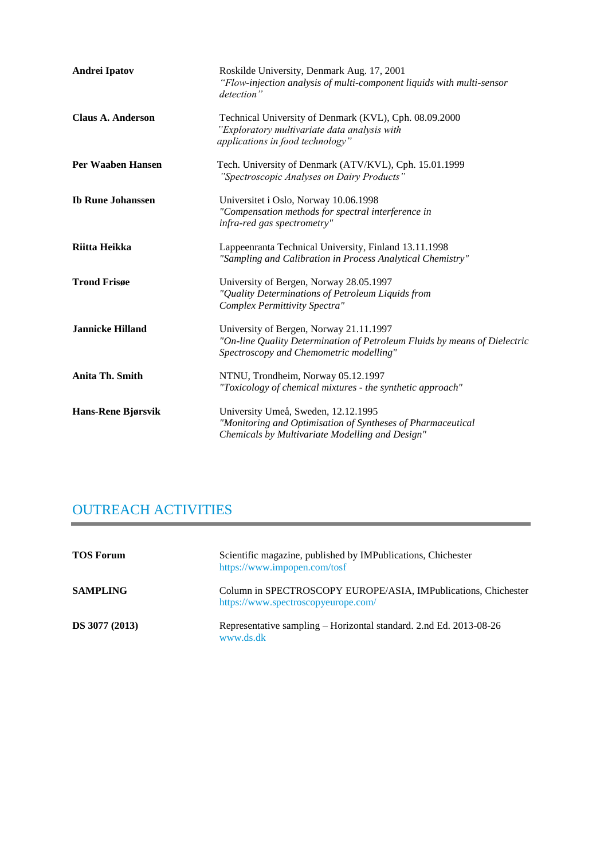| <b>Andrei Ipatov</b>     | Roskilde University, Denmark Aug. 17, 2001<br>"Flow-injection analysis of multi-component liquids with multi-sensor<br>detection"                               |
|--------------------------|-----------------------------------------------------------------------------------------------------------------------------------------------------------------|
| <b>Claus A. Anderson</b> | Technical University of Denmark (KVL), Cph. 08.09.2000<br>"Exploratory multivariate data analysis with<br>applications in food technology"                      |
| Per Waaben Hansen        | Tech. University of Denmark (ATV/KVL), Cph. 15.01.1999<br>"Spectroscopic Analyses on Dairy Products"                                                            |
| <b>Ib Rune Johanssen</b> | Universitet i Oslo, Norway 10.06.1998<br>"Compensation methods for spectral interference in<br>infra-red gas spectrometry"                                      |
| Riitta Heikka            | Lappeenranta Technical University, Finland 13.11.1998<br>"Sampling and Calibration in Process Analytical Chemistry"                                             |
| <b>Trond Frisge</b>      | University of Bergen, Norway 28.05.1997<br>"Quality Determinations of Petroleum Liquids from<br>Complex Permittivity Spectra"                                   |
| <b>Jannicke Hilland</b>  | University of Bergen, Norway 21.11.1997<br>"On-line Quality Determination of Petroleum Fluids by means of Dielectric<br>Spectroscopy and Chemometric modelling" |
| <b>Anita Th. Smith</b>   | NTNU, Trondheim, Norway 05.12.1997<br>"Toxicology of chemical mixtures - the synthetic approach"                                                                |
| Hans-Rene Bjørsvik       | University Umeå, Sweden, 12.12.1995<br>"Monitoring and Optimisation of Syntheses of Pharmaceutical<br>Chemicals by Multivariate Modelling and Design"           |

# OUTREACH ACTIVITIES

| <b>TOS Forum</b>      | Scientific magazine, published by IMPublications, Chichester<br>https://www.impopen.com/tosf          |
|-----------------------|-------------------------------------------------------------------------------------------------------|
| <b>SAMPLING</b>       | Column in SPECTROSCOPY EUROPE/ASIA, IMPublications, Chichester<br>https://www.spectroscopyeurope.com/ |
| <b>DS</b> 3077 (2013) | Representative sampling – Horizontal standard. 2.nd Ed. 2013-08-26<br>www.ds.dk                       |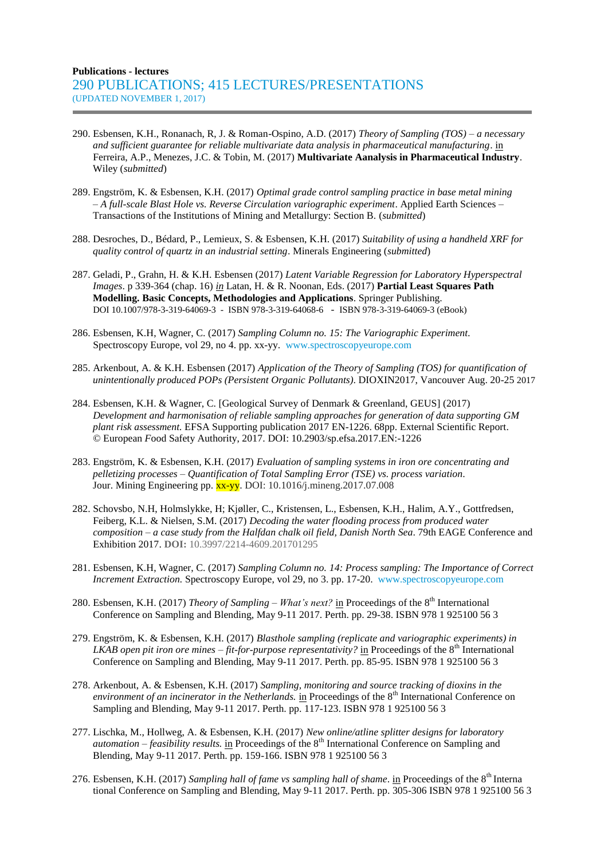#### **Publications - lectures** 290 PUBLICATIONS; 415 LECTURES/PRESENTATIONS (UPDATED NOVEMBER 1, 2017)

- 290. Esbensen, K.H., Ronanach, R, J. & Roman-Ospino, A.D. (2017) *Theory of Sampling (TOS) – a necessary and sufficient guarantee for reliable multivariate data analysis in pharmaceutical manufacturing*. in Ferreira, A.P., Menezes, J.C. & Tobin, M. (2017) **Multivariate Aanalysis in Pharmaceutical Industry**. Wiley (*submitted*)
- 289. Engström, K. & Esbensen, K.H. (2017) *Optimal grade control sampling practice in base metal mining – A full-scale Blast Hole vs. Reverse Circulation variographic experiment*. Applied Earth Sciences – Transactions of the Institutions of Mining and Metallurgy: Section B. (*submitted*)
- 288. Desroches, D., Bédard, P., Lemieux, S. & Esbensen, K.H. (2017) *Suitability of using a handheld XRF for quality control of quartz in an industrial setting*. Minerals Engineering (*submitted*)
- 287. Geladi, P., Grahn, H. & K.H. Esbensen (2017) *Latent Variable Regression for Laboratory Hyperspectral Images*. p 339-364 (chap. 16) *in* Latan, H. & R. Noonan, Eds. (2017) **Partial Least Squares Path Modelling. Basic Concepts, Methodologies and Applications**. Springer Publishing. DOI 10.1007/978-3-319-64069-3 - ISBN 978-3-319-64068-6 - ISBN 978-3-319-64069-3 (eBook)
- 286. Esbensen, K.H, Wagner, C. (2017) *Sampling Column no. 15: The Variographic Experiment.* Spectroscopy Europe, vol 29, no 4. pp. xx-yy. [www.spectroscopyeurope.com](file:///C:/Users/Gry/Downloads/GDAS/www.spectroscopyeurope.com)
- 285. Arkenbout, A. & K.H. Esbensen (2017) *Application of the Theory of Sampling (TOS) for quantification of unintentionally produced POPs (Persistent Organic Pollutants)*. DIOXIN2017, Vancouver Aug. 20-25 2017
- 284. Esbensen, K.H. & Wagner, C. [Geological Survey of Denmark & Greenland, GEUS] (2017) *Development and harmonisation of reliable sampling approaches for generation of data supporting GM plant risk assessment.* EFSA Supporting publication 2017 EN-1226. 68pp. External Scientific Report. © European *F*ood Safety Authority, 2017. DOI: 10.2903/sp.efsa.2017.EN:-1226
- 283. Engström, K. & Esbensen, K.H. (2017) *Evaluation of sampling systems in iron ore [concentrating](https://www.researchgate.net/publication/318676276_Evaluation_of_sampling_systems_in_iron_ore_concentrating_and_pelletizing_processes_-_Quantification_of_Total_Sampling_Error_TSE_vs_process_variation?_iepl%5BviewId%5D=gXUFrU80et2AL7BA0xqQ8MWD&_iepl%5BprofilePublicationItemVariant%5D=default&_iepl%5Bcontexts%5D%5B0%5D=prfpi&_iepl%5BtargetEntityId%5D=PB%3A318676276&_iepl%5BinteractionType%5D=publicationTitle) and  [pelletizing](https://www.researchgate.net/publication/318676276_Evaluation_of_sampling_systems_in_iron_ore_concentrating_and_pelletizing_processes_-_Quantification_of_Total_Sampling_Error_TSE_vs_process_variation?_iepl%5BviewId%5D=gXUFrU80et2AL7BA0xqQ8MWD&_iepl%5BprofilePublicationItemVariant%5D=default&_iepl%5Bcontexts%5D%5B0%5D=prfpi&_iepl%5BtargetEntityId%5D=PB%3A318676276&_iepl%5BinteractionType%5D=publicationTitle) processes – Quantification of Total Sampling Error (TSE) vs. process variation*. Jour. Mining Engineering pp. xx-yy. DOI: 10.1016/j.mineng.2017.07.008
- 282. [Schovsbo,](http://www.earthdoc.eage.org/publication/search/?pubauthorname=N.H.|Schovsbo) N.H[, Holmslykke,](http://www.earthdoc.eage.org/publication/search/?pubauthorname=H.|Holmslykke) H; [Kjøller,](http://www.earthdoc.eage.org/publication/search/?pubauthorname=C.|Kjøller) C.[, Kristensen,](http://www.earthdoc.eage.org/publication/search/?pubauthorname=L.|Kristensen) L., [Esbensen,](http://www.earthdoc.eage.org/publication/search/?pubauthorname=K.H.|Esbensen) K.H., [Halim,](http://www.earthdoc.eage.org/publication/search/?pubauthorname=A.Y.|Halim) A.Y., [Gottfredsen,](http://www.earthdoc.eage.org/publication/search/?pubauthorname=S.N.|Gottfredsen) [Feiberg,](http://www.earthdoc.eage.org/publication/search/?pubauthorname=K.L.|Feiberg) K.L. [& Nielsen,](http://www.earthdoc.eage.org/publication/search/?pubauthorname=S.M.|Nielsen) S.M. (2017) *Decoding the water flooding process from produced water composition – a case study from the Halfdan chalk oil field, Danish North Sea*. [79th EAGE Conference and](http://www.earthdoc.eage.org/publication/search/?pubedition=517)  [Exhibition 2017.](http://www.earthdoc.eage.org/publication/search/?pubedition=517) **DOI:** 10.3997/2214-4609.201701295
- 281. Esbensen, K.H, Wagner, C. (2017) *Sampling Column no. 14: Process sampling: The Importance of Correct Increment Extraction.* Spectroscopy Europe, vol 29, no 3. pp. 17-20. [www.spectroscopyeurope.com](file:///C:/Users/Gry/Downloads/GDAS/www.spectroscopyeurope.com)
- 280. Esbensen, K.H. (2017) *Theory of Sampling – What's next?* in Proceedings of the 8th International Conference on Sampling and Blending, May 9-11 2017. Perth. pp. 29-38. ISBN 978 1 925100 56 3
- 279. Engström, K. & Esbensen, K.H. (2017) *Blasthole sampling (replicate and variographic experiments) in LKAB open pit iron ore mines – fit-for-purpose representativity?* in Proceedings of the 8<sup>th</sup> International Conference on Sampling and Blending, May 9-11 2017. Perth. pp. 85-95. ISBN 978 1 925100 56 3
- 278. Arkenbout, A. & Esbensen, K.H. (2017) *Sampling, monitoring and source tracking of dioxins in the environment of an incinerator in the Netherlands*. in Proceedings of the 8<sup>th</sup> International Conference on Sampling and Blending, May 9-11 2017. Perth. pp. 117-123. ISBN 978 1 925100 56 3
- 277. Lischka, M., Hollweg, A. & Esbensen, K.H. (2017) *New online/atline splitter designs for laboratory automation – feasibility results.* in Proceedings of the 8th International Conference on Sampling and Blending, May 9-11 2017. Perth. pp. 159-166. ISBN 978 1 925100 56 3
- 276. Esbensen, K.H. (2017) *Sampling hall of fame vs sampling hall of shame*. in Proceedings of the 8<sup>th</sup> Interna tional Conference on Sampling and Blending, May 9-11 2017. Perth. pp. 305-306 ISBN 978 1 925100 56 3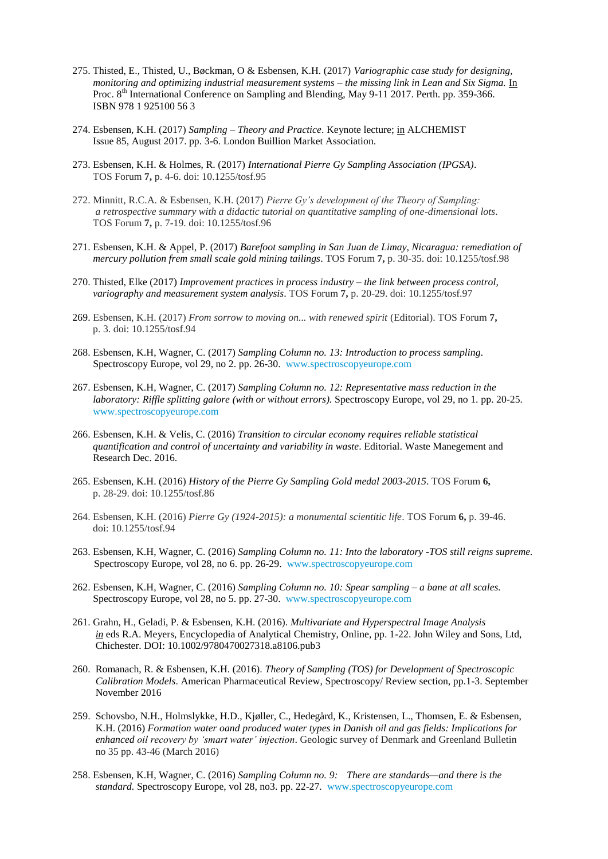- 275. Thisted, E., Thisted, U., Bøckman, O & Esbensen, K.H. (2017) *Variographic case study for designing, monitoring and optimizing industrial measurement systems – the missing link in Lean and Six Sigma.* In Proc. 8<sup>th</sup> International Conference on Sampling and Blending, May 9-11 2017. Perth. pp. 359-366. ISBN 978 1 925100 56 3
- 274. Esbensen, K.H. (2017) *Sampling – Theory and Practice*. Keynote lecture; in ALCHEMIST Issue 85, August 2017. pp. 3-6. London Buillion Market Association.
- 273. Esbensen, K.H. & Holmes, R. (2017) *International Pierre Gy Sampling Association (IPGSA)*. TOS Forum **7,** p. 4-6. doi: 10.1255/tosf.95
- 272. Minnitt, R.C.A. & Esbensen, K.H. (2017) *Pierre Gy's development of the Theory of Sampling: a retrospective summary with a didactic tutorial on quantitative sampling of one-dimensional lots*. TOS Forum **7,** p. 7-19. doi: 10.1255/tosf.96
- 271. Esbensen, K.H. & Appel, P. (2017) *Barefoot sampling in San Juan de Limay, Nicaragua: remediation of mercury pollution frem small scale gold mining tailings*. TOS Forum **7,** p. 30-35. doi: 10.1255/tosf.98
- 270. Thisted, Elke (2017) *Improvement practices in process industry – the link between process control, variography and measurement system analysis*. TOS Forum **7,** p. 20-29. doi: 10.1255/tosf.97
- 269. Esbensen, K.H. (2017) *From sorrow to moving on... with renewed spirit* (Editorial). TOS Forum **7,** p. 3. doi: 10.1255/tosf.94
- 268. Esbensen, K.H, Wagner, C. (2017) *Sampling Column no. 13: Introduction to process sampling.* Spectroscopy Europe, vol 29, no 2. pp. 26-30. [www.spectroscopyeurope.com](file:///C:/Users/Gry/Downloads/GDAS/www.spectroscopyeurope.com)
- 267. Esbensen, K.H, Wagner, C. (2017) *Sampling Column no. 12: Representative mass reduction in the laboratory: Riffle splitting galore (with or without errors).* Spectroscopy Europe, vol 29, no 1. pp. 20-25. [www.spectroscopyeurope.com](file:///C:/Users/Gry/Downloads/GDAS/www.spectroscopyeurope.com)
- 266. Esbensen, K.H. & Velis, C. (2016) *Transition to circular economy requires reliable statistical quantification and control of uncertainty and variability in waste*. Editorial. Waste Manegement and Research Dec. 2016.
- 265. Esbensen, K.H. (2016) *History of the Pierre Gy Sampling Gold medal 2003-2015*. TOS Forum **6,** p. 28-29. doi: 10.1255/tosf.86
- 264. Esbensen, K.H. (2016) *Pierre Gy (1924-2015): a monumental scientitic life*. TOS Forum **6,** p. 39-46. doi: 10.1255/tosf.94
- 263. Esbensen, K.H, Wagner, C. (2016) *Sampling Column no. 11: Into the laboratory -TOS still reigns supreme.* Spectroscopy Europe, vol 28, no 6. pp. 26-29. [www.spectroscopyeurope.com](file:///C:/Users/Gry/Downloads/GDAS/www.spectroscopyeurope.com)
- 262. Esbensen, K.H, Wagner, C. (2016) *Sampling Column no. 10: Spear sampling – a bane at all scales.* Spectroscopy Europe, vol 28, no 5. pp. 27-30. [www.spectroscopyeurope.com](file:///C:/Users/Gry/Downloads/GDAS/www.spectroscopyeurope.com)
- 261. Grahn, H., Geladi, P. & Esbensen, K.H. (2016). *Multivariate and Hyperspectral Image Analysis in* eds R.A. Meyers, Encyclopedia of Analytical Chemistry, Online, pp. 1-22. John Wiley and Sons, Ltd, Chichester. DOI: 10.1002/9780470027318.a8106.pub3
- 260. Romanach, R. & Esbensen, K.H. (2016). *Theory of Sampling (TOS) for Development of Spectroscopic Calibration Models*. American Pharmaceutical Review, Spectroscopy/ Review section, pp.1-3. September November 2016
- 259. Schovsbo, N.H., Holmslykke, H.D., Kjøller, C., Hedegård, K., Kristensen, L., Thomsen, E. & Esbensen, K.H. (2016) *Formation water oand produced water types in Danish oil and gas fields: Implications for enhanced oil recovery by 'smart water' injection*. Geologic survey of Denmark and Greenland Bulletin no 35 pp. 43-46 (March 2016)
- 258. Esbensen, K.H, Wagner, C. (2016) *Sampling Column no. 9: There are standards—and there is the standard.* Spectroscopy Europe, vol 28, no3. pp. 22-27. [www.spectroscopyeurope.com](file:///C:/Users/Gry/Downloads/GDAS/www.spectroscopyeurope.com)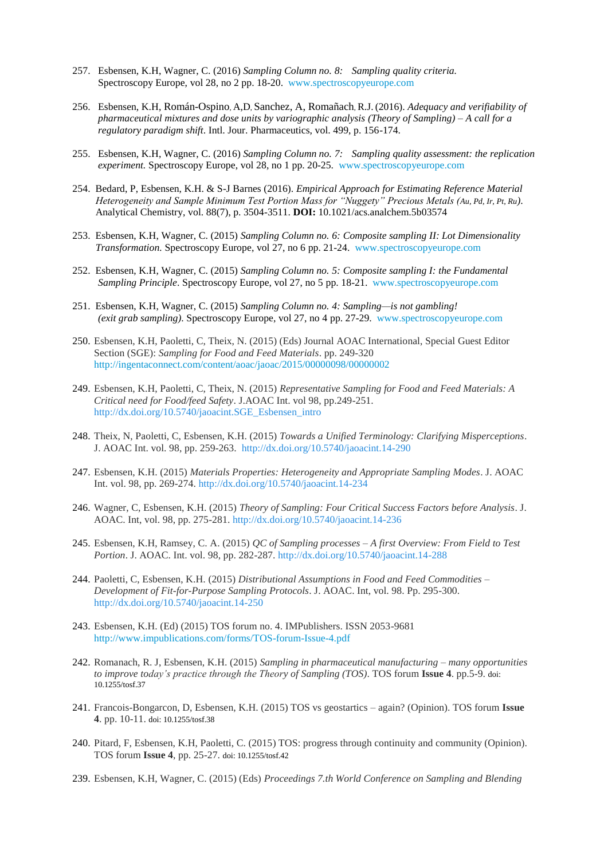- 257. Esbensen, K.H, Wagner, C. (2016) *Sampling Column no. 8: Sampling quality criteria.* Spectroscopy Europe, vol 28, no 2 pp. 18-20. [www.spectroscopyeurope.com](file:///C:/Users/Gry/Downloads/GDAS/www.spectroscopyeurope.com)
- 256. Esbensen, K.H, Román-Ospino, A,D, Sanchez, A, Romañach, R.J. (2016). *Adequacy and verifiability of pharmaceutical mixtures and dose units by variographic analysis (Theory of Sampling) – A call for a regulatory paradigm shift*. Intl. Jour. Pharmaceutics, vol. 499, p. 156-174.
- 255. Esbensen, K.H, Wagner, C. (2016) *Sampling Column no. 7: Sampling quality assessment: the replication experiment.* Spectroscopy Europe, vol 28, no 1 pp. 20-25. [www.spectroscopyeurope.com](file:///C:/Users/Gry/Downloads/GDAS/www.spectroscopyeurope.com)
- 254. Bedard, P, Esbensen, K.H. & S-J Barnes (2016). *Empirical Approach for Estimating Reference Material Heterogeneity and Sample Minimum Test Portion Mass for "Nuggety" Precious Metals (Au, Pd, Ir, Pt, Ru)*. Analytical Chemistry, vol. 88(7), p. 3504-3511. **DOI:** 10.1021/acs.analchem.5b03574
- 253. Esbensen, K.H, Wagner, C. (2015) *Sampling Column no. 6: Composite sampling II: Lot Dimensionality Transformation.* Spectroscopy Europe, vol 27, no 6 pp. 21-24. [www.spectroscopyeurope.com](file:///C:/Users/Gry/Downloads/GDAS/www.spectroscopyeurope.com)
- 252. Esbensen, K.H, Wagner, C. (2015) *Sampling Column no. 5: Composite sampling I: the Fundamental Sampling Principle*. Spectroscopy Europe, vol 27, no 5 pp. 18-21. [www.spectroscopyeurope.com](file:///C:/Users/Gry/Downloads/GDAS/www.spectroscopyeurope.com)
- 251. Esbensen, K.H, Wagner, C. (2015) *Sampling Column no. 4: Sampling—is not gambling! (exit grab sampling)*. Spectroscopy Europe, vol 27, no 4 pp. 27-29. [www.spectroscopyeurope.com](file:///C:/Users/Gry/Downloads/GDAS/www.spectroscopyeurope.com)
- 250. Esbensen, K.H, Paoletti, C, Theix, N. (2015) (Eds) Journal AOAC International, Special Guest Editor Section (SGE): *Sampling for Food and Feed Materials*. pp. 249-320 <http://ingentaconnect.com/content/aoac/jaoac/2015/00000098/00000002>
- 249. Esbensen, K.H, Paoletti, C, Theix, N. (2015) *Representative Sampling for Food and Feed Materials: A Critical need for Food/feed Safety*. J.AOAC Int. vol 98, pp.249-251. [http://dx.doi.org/10.5740/jaoacint.SGE\\_Esbensen\\_intro](http://dx.doi.org/10.5740/jaoacint.SGE_Esbensen_intro)
- 248. Theix, N, Paoletti, C, Esbensen, K.H. (2015) *Towards a Unified Terminology: Clarifying Misperceptions*. J. AOAC Int. vol. 98, pp. 259-263.<http://dx.doi.org/10.5740/jaoacint.14-290>
- 247. Esbensen, K.H. (2015) *Materials Properties: Heterogeneity and Appropriate Sampling Modes*. J. AOAC Int. vol. 98, pp. 269-274.<http://dx.doi.org/10.5740/jaoacint.14-234>
- 246. Wagner, C, Esbensen, K.H. (2015) *Theory of Sampling: Four Critical Success Factors before Analysis*. J. AOAC. Int, vol. 98, pp. 275-281. <http://dx.doi.org/10.5740/jaoacint.14-236>
- 245. Esbensen, K.H, Ramsey, C. A. (2015) *QC of Sampling processes – A first Overview: From Field to Test Portion*. J. AOAC. Int. vol. 98, pp. 282-287.<http://dx.doi.org/10.5740/jaoacint.14-288>
- 244. Paoletti, C, Esbensen, K.H. (2015) *Distributional Assumptions in Food and Feed Commodities – Development of Fit-for-Purpose Sampling Protocols*. J. AOAC. Int, vol. 98. Pp. 295-300. <http://dx.doi.org/10.5740/jaoacint.14-250>
- 243. Esbensen, K.H. (Ed) (2015) TOS forum no. 4. IMPublishers. ISSN 2053-9681 <http://www.impublications.com/forms/TOS-forum-Issue-4.pdf>
- 242. Romanach, R. J, Esbensen, K.H. (2015) *Sampling in pharmaceutical manufacturing – many opportunities to improve today's practice through the Theory of Sampling (TOS)*. TOS forum **Issue 4**. pp.5-9. doi: 10.1255/tosf.37
- 241. Francois-Bongarcon, D, Esbensen, K.H. (2015) TOS vs geostartics again? (Opinion). TOS forum **Issue 4**. pp. 10-11. doi: 10.1255/tosf.38
- 240. Pitard, F, Esbensen, K.H, Paoletti, C. (2015) TOS: progress through continuity and community (Opinion). TOS forum **Issue 4**, pp. 25-27. doi: 10.1255/tosf.42
- 239. Esbensen, K.H, Wagner, C. (2015) (Eds) *Proceedings 7.th World Conference on Sampling and Blending*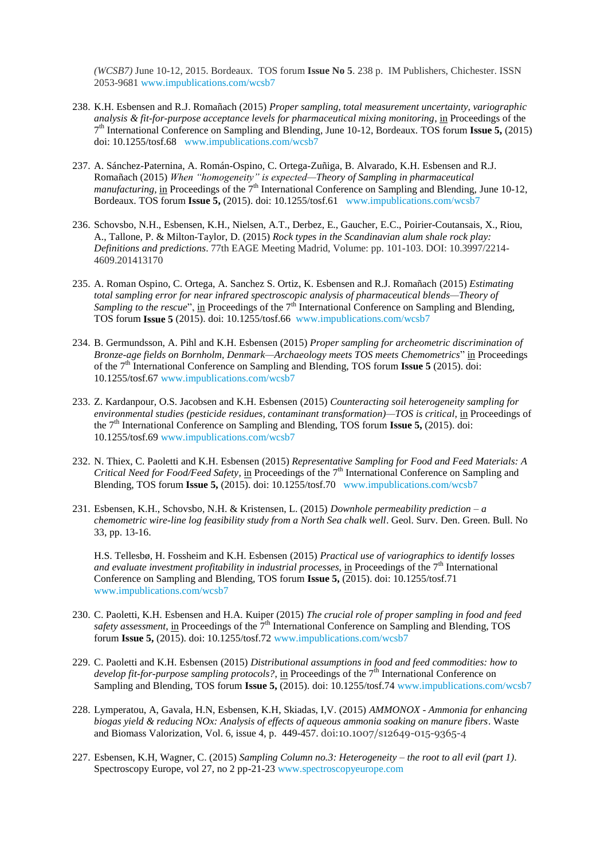*(WCSB7)* June 10-12, 2015. Bordeaux. TOS forum **Issue No 5**. 238 p. IM Publishers, Chichester. ISSN 2053-9681 [www.impublications.com/wcsb7](http://www.impublications.com/wcsb7)

- 238. K.H. Esbensen and R.J. Romañach (2015) *Proper sampling, total measurement uncertainty, variographic analysis & fit-for-purpose acceptance levels for pharmaceutical mixing monitoring*, in Proceedings of the 7 th International Conference on Sampling and Blending, June 10-12, Bordeaux. TOS forum **Issue 5,** (2015) doi: 10.1255/tosf.68 [www.impublications.com/wcsb7](http://www.impublications.com/wcsb7)
- 237. A. Sánchez-Paternina, A. Román-Ospino, C. Ortega-Zuñiga, B. Alvarado, K.H. Esbensen and R.J. Romañach (2015) *When "homogeneity" is expected—Theory of Sampling in pharmaceutical manufacturing*, in Proceedings of the 7<sup>th</sup> International Conference on Sampling and Blending, June 10-12, Bordeaux. TOS forum **Issue 5,** (2015). doi: 10.1255/tosf.61 [www.impublications.com/wcsb7](http://www.impublications.com/wcsb7)
- 236. Schovsbo, N.H., Esbensen, K.H., Nielsen, A.T., Derbez, E., Gaucher, E.C., Poirier-Coutansais, X., Riou, A., Tallone, P. & Milton-Taylor, D. (2015) *Rock types in the Scandinavian alum shale rock play: Definitions and predictions*. 77th EAGE Meeting Madrid, Volume: pp. 101-103. DOI: 10.3997/2214- 4609.201413170
- 235. A. Roman Ospino, C. Ortega, A. Sanchez S. Ortiz, K. Esbensen and R.J. Romañach (2015) *Estimating total sampling error for near infrared spectroscopic analysis of pharmaceutical blends—Theory of Sampling to the rescue*", in Proceedings of the 7<sup>th</sup> International Conference on Sampling and Blending, TOS forum **Issue 5** (2015). doi: 10.1255/tosf.66 [www.impublications.com/wcsb7](http://www.impublications.com/wcsb7)
- 234. B. Germundsson, A. Pihl and K.H. Esbensen (2015) *Proper sampling for archeometric discrimination of Bronze-age fields on Bornholm, Denmark—Archaeology meets TOS meets Chemometrics*" in Proceedings of the 7th International Conference on Sampling and Blending, TOS forum **Issue 5** (2015). doi: 10.1255/tosf.67 [www.impublications.com/wcsb7](http://www.impublications.com/wcsb7)
- 233. Z. Kardanpour, O.S. Jacobsen and K.H. Esbensen (2015) *Counteracting soil heterogeneity sampling for environmental studies (pesticide residues, contaminant transformation)—TOS is critical*, in Proceedings of the 7th International Conference on Sampling and Blending, TOS forum **Issue 5,** (2015). doi: 10.1255/tosf.69 [www.impublications.com/wcsb7](http://www.impublications.com/wcsb7)
- 232. N. Thiex, C. Paoletti and K.H. Esbensen (2015) *Representative Sampling for Food and Feed Materials: A Critical Need for Food/Feed Safety,* in Proceedings of the 7th International Conference on Sampling and Blending, TOS forum **Issue 5,** (2015). doi: 10.1255/tosf.70 [www.impublications.com/wcsb7](http://www.impublications.com/wcsb7)
- 231. Esbensen, K.H., Schovsbo, N.H. & Kristensen, L. (2015) *Downhole permeability prediction – a chemometric wire-line log feasibility study from a North Sea chalk well*. Geol. Surv. Den. Green. Bull. No 33, pp. 13-16.

H.S. Tellesbø, H. Fossheim and K.H. Esbensen (2015) *Practical use of variographics to identify losses and evaluate investment profitability in industrial processes*, in Proceedings of the 7<sup>th</sup> International Conference on Sampling and Blending, TOS forum **Issue 5,** (2015). doi: 10.1255/tosf.71 [www.impublications.com/wcsb7](http://www.impublications.com/wcsb7)

- 230. C. Paoletti, K.H. Esbensen and H.A. Kuiper (2015) *The crucial role of proper sampling in food and feed safety assessment*, in Proceedings of the 7<sup>th</sup> International Conference on Sampling and Blending, TOS forum **Issue 5,** (2015). doi: 10.1255/tosf.72 [www.impublications.com/wcsb7](http://www.impublications.com/wcsb7)
- 229. C. Paoletti and K.H. Esbensen (2015) *Distributional assumptions in food and feed commodities: how to develop fit-for-purpose sampling protocols?*, in Proceedings of the 7<sup>th</sup> International Conference on Sampling and Blending, TOS forum **Issue 5,** (2015). doi: 10.1255/tosf.74 [www.impublications.com/wcsb7](http://www.impublications.com/wcsb7)
- 228. Lymperatou, A, Gavala, H.N, Esbensen, K.H, Skiadas, I,V. (2015) *AMMONOX - Ammonia for enhancing biogas yield & reducing NOx: Analysis of effects of aqueous ammonia soaking on manure fibers*. Waste and Biomass Valorization, Vol. 6, issue 4, p. 449-457. doi:10.1007/s12649-015-9365-4
- 227. Esbensen, K.H, Wagner, C. (2015) *Sampling Column no.3: Heterogeneity – the root to all evil (part 1)*. Spectroscopy Europe, vol 27, no 2 pp-21-23 [www.spectroscopyeurope.com](http://www.spectroscopyeurope.com/)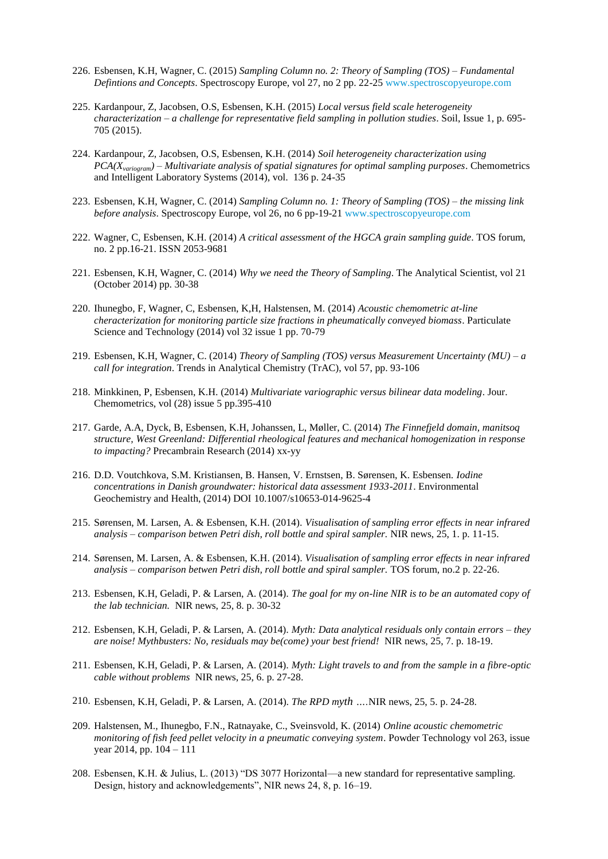- 226. Esbensen, K.H, Wagner, C. (2015) *Sampling Column no. 2: Theory of Sampling (TOS) – Fundamental Defintions and Concepts*. Spectroscopy Europe, vol 27, no 2 pp. 22-2[5 www.spectroscopyeurope.com](file:///C:/Users/Gry/Downloads/GDAS/www.spectroscopyeurope.com)
- 225. Kardanpour, Z, Jacobsen, O.S, Esbensen, K.H. (2015) *Local versus field scale heterogeneity characterization – a challenge for representative field sampling in pollution studies*. Soil, Issue 1, p. 695- 705 (2015).
- 224. Kardanpour, Z, Jacobsen, O.S, Esbensen, K.H. (2014) *Soil heterogeneity characterization using PCA(Xvariogram) – Multivariate analysis of spatial signatures for optimal sampling purposes*. Chemometrics and Intelligent Laboratory Systems (2014), vol. 136 p. 24-35
- 223. Esbensen, K.H, Wagner, C. (2014) *Sampling Column no. 1: Theory of Sampling (TOS) – the missing link before analysis*. Spectroscopy Europe, vol 26, no 6 pp-19-2[1 www.spectroscopyeurope.com](http://www.spectroscopyeurope.com/)
- 222. Wagner, C, Esbensen, K.H. (2014) *A critical assessment of the HGCA grain sampling guide*. TOS forum, no. 2 pp.16-21. ISSN 2053-9681
- 221. Esbensen, K.H, Wagner, C. (2014) *Why we need the Theory of Sampling*. The Analytical Scientist, vol 21 (October 2014) pp. 30-38
- 220. Ihunegbo, F, Wagner, C, Esbensen, K,H, Halstensen, M. (2014) *Acoustic chemometric at-line cheracterization for monitoring particle size fractions in pheumatically conveyed biomass*. Particulate Science and Technology (2014) vol 32 issue 1 pp. 70-79
- 219. Esbensen, K.H, Wagner, C. (2014) *Theory of Sampling (TOS) versus Measurement Uncertainty (MU) – a call for integration*. Trends in Analytical Chemistry (TrAC), vol 57, pp. 93-106
- 218. Minkkinen, P, Esbensen, K.H. (2014) *Multivariate variographic versus bilinear data modeling*. Jour. Chemometrics, vol (28) issue 5 pp.395-410
- 217. Garde, A.A, Dyck, B, Esbensen, K.H, Johanssen, L, Møller, C. (2014) *The Finnefjeld domain, manitsoq structure, West Greenland: Differential rheological features and mechanical homogenization in response to impacting?* Precambrain Research (2014) xx-yy
- 216. D.D. Voutchkova, S.M. Kristiansen, B. Hansen, V. Ernstsen, B. Sørensen, K. Esbensen. *Iodine concentrations in Danish groundwater: historical data assessment 1933-2011*. Environmental Geochemistry and Health, (2014) DOI 10.1007/s10653-014-9625-4
- 215. Sørensen, M. Larsen, A. & Esbensen, K.H. (2014). *Visualisation of sampling error effects in near infrared analysis – comparison betwen Petri dish, roll bottle and spiral sampler.* NIR news, 25, 1. p. 11-15.
- 214. Sørensen, M. Larsen, A. & Esbensen, K.H. (2014). *Visualisation of sampling error effects in near infrared analysis – comparison betwen Petri dish, roll bottle and spiral sampler.* TOS forum, no.2 p. 22-26.
- 213. Esbensen, K.H, Geladi, P. & Larsen, A. (2014). *The goal for my on-line NIR is to be an automated copy of the lab technician.* NIR news, 25, 8. p. 30-32
- 212. Esbensen, K.H, Geladi, P. & Larsen, A. (2014). *Myth: Data analytical residuals only contain errors – they are noise! Mythbusters: No, residuals may be(come) your best friend!* NIR news, 25, 7. p. 18-19.
- 211. Esbensen, K.H, Geladi, P. & Larsen, A. (2014). *Myth: Light travels to and from the sample in a fibre-optic cable without problems* NIR news, 25, 6. p. 27-28.
- 210. Esbensen, K.H, Geladi, P. & Larsen, A. (2014). *The RPD myth ….*NIR news, 25, 5. p. 24-28.
- 209. Halstensen, M., Ihunegbo, F.N., Ratnayake, C., Sveinsvold, K. (2014) *Online acoustic chemometric monitoring of fish feed pellet velocity in a pneumatic conveying system*. Powder Technology vol 263, issue year 2014, pp. 104 – 111
- 208. Esbensen, K.H. & Julius, L. (2013) "DS 3077 Horizontal—a new standard for representative sampling. Design, history and acknowledgements", NIR news 24, 8, p. 16–19.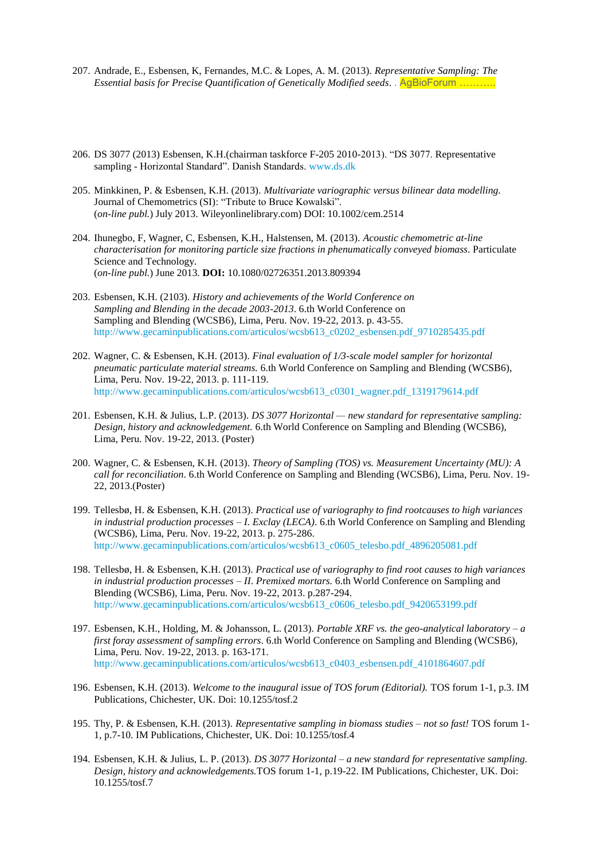- 207. Andrade, E., Esbensen, K, Fernandes, M.C. & Lopes, A. M. (2013). *Representative Sampling: The Essential basis for Precise Quantification of Genetically Modified seeds*. . AgBioForum ………..
- 206. DS 3077 (2013) Esbensen, K.H.(chairman taskforce F-205 2010-2013). "DS 3077. Representative sampling - Horizontal Standard". Danish Standards. [www.ds.dk](http://www.ds.dk/)
- 205. Minkkinen, P. & Esbensen, K.H. (2013). *Multivariate variographic versus bilinear data modelling.* Journal of Chemometrics (SI): "Tribute to Bruce Kowalski". (*on-line publ.*) July 2013. Wileyonlinelibrary.com) DOI: 10.1002/cem.2514
- 204. Ihunegbo, F, Wagner, C, Esbensen, K.H., Halstensen, M. (2013). *Acoustic chemometric at-line characterisation for monitoring particle size fractions in phenumatically conveyed biomass*. Particulate Science and Technology. (*on-line publ.*) June 2013. **DOI:** 10.1080/02726351.2013.809394
- 203. Esbensen, K.H. (2103). *History and achievements of the World Conference on Sampling and Blending in the decade 2003-2013*. 6.th World Conference on Sampling and Blending (WCSB6), Lima, Peru. Nov. 19-22, 2013. p. 43-55. [http://www.gecaminpublications.com/articulos/wcsb613\\_c0202\\_esbensen.pdf\\_9710285435.pdf](http://www.gecaminpublications.com/articulos/wcsb613_c0202_esbensen.pdf_9710285435.pdf)
- 202. Wagner, C. & Esbensen, K.H. (2013). *Final evaluation of 1/3-scale model sampler for horizontal pneumatic particulate material streams.* 6.th World Conference on Sampling and Blending (WCSB6), Lima, Peru. Nov. 19-22, 2013. p. 111-119. [http://www.gecaminpublications.com/articulos/wcsb613\\_c0301\\_wagner.pdf\\_1319179614.pdf](http://www.gecaminpublications.com/articulos/wcsb613_c0301_wagner.pdf_1319179614.pdf)
- 201. Esbensen, K.H. & Julius, L.P. (2013). *DS 3077 Horizontal — new standard for representative sampling: Design, history and acknowledgement.* 6.th World Conference on Sampling and Blending (WCSB6), Lima, Peru. Nov. 19-22, 2013. (Poster)
- 200. Wagner, C. & Esbensen, K.H. (2013). *Theory of Sampling (TOS) vs. Measurement Uncertainty (MU): A call for reconciliation*. 6.th World Conference on Sampling and Blending (WCSB6), Lima, Peru. Nov. 19- 22, 2013.(Poster)
- 199. Tellesbø, H. & Esbensen, K.H. (2013). *Practical use of variography to find rootcauses to high variances in industrial production processes – I. Exclay (LECA)*. 6.th World Conference on Sampling and Blending (WCSB6), Lima, Peru. Nov. 19-22, 2013. p. 275-286. [http://www.gecaminpublications.com/articulos/wcsb613\\_c0605\\_telesbo.pdf\\_4896205081.pdf](http://www.gecaminpublications.com/articulos/wcsb613_c0605_telesbo.pdf_4896205081.pdf)
- 198. Tellesbø, H. & Esbensen, K.H. (2013). *Practical use of variography to find root causes to high variances in industrial production processes – II*. *Premixed mortars.* 6.th World Conference on Sampling and Blending (WCSB6), Lima, Peru. Nov. 19-22, 2013. p.287-294. [http://www.gecaminpublications.com/articulos/wcsb613\\_c0606\\_telesbo.pdf\\_9420653199.pdf](http://www.gecaminpublications.com/articulos/wcsb613_c0606_telesbo.pdf_9420653199.pdf)
- 197. Esbensen, K.H., Holding, M. & Johansson, L. (2013). *Portable XRF vs. the geo-analytical laboratory – a first foray assessment of sampling errors*. 6.th World Conference on Sampling and Blending (WCSB6), Lima, Peru. Nov. 19-22, 2013. p. 163-171. [http://www.gecaminpublications.com/articulos/wcsb613\\_c0403\\_esbensen.pdf\\_4101864607.pdf](http://www.gecaminpublications.com/articulos/wcsb613_c0403_esbensen.pdf_4101864607.pdf)
- 196. Esbensen, K.H. (2013). *Welcome to the inaugural issue of TOS forum (Editorial).* TOS forum 1-1, p.3. IM Publications, Chichester, UK. Doi: 10.1255/tosf.2
- 195. Thy, P. & Esbensen, K.H. (2013). *Representative sampling in biomass studies – not so fast!* TOS forum 1- 1, p.7-10. IM Publications, Chichester, UK. Doi: 10.1255/tosf.4
- 194. Esbensen, K.H. & Julius, L. P. (2013). *DS 3077 Horizontal – a new standard for representative sampling. Design, history and acknowledgements.*TOS forum 1-1, p.19-22. IM Publications, Chichester, UK. Doi: 10.1255/tosf.7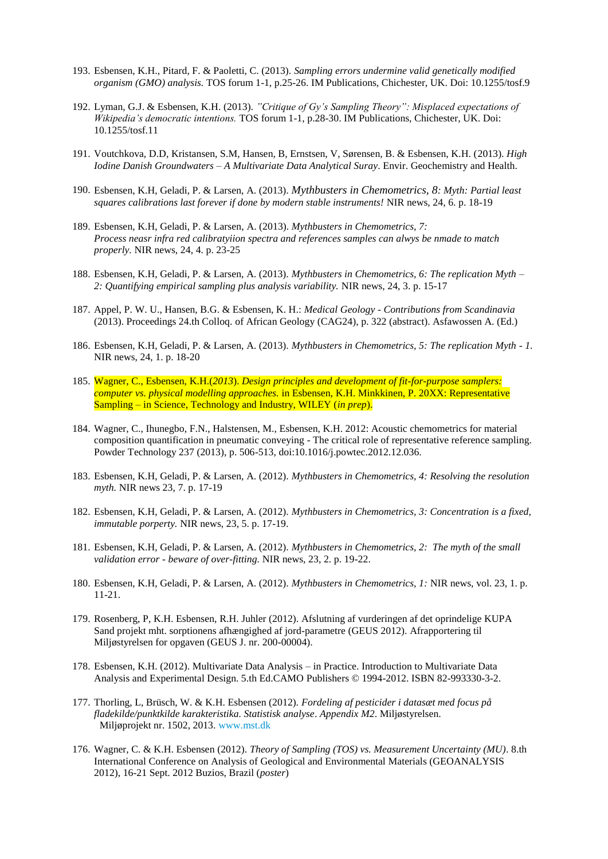- 193. Esbensen, K.H., Pitard, F. & Paoletti, C. (2013). *Sampling errors undermine valid genetically modified organism (GMO) analysis.* TOS forum 1-1, p.25-26. IM Publications, Chichester, UK. Doi: 10.1255/tosf.9
- 192. Lyman, G.J. & Esbensen, K.H. (2013). *"Critique of Gy's Sampling Theory": Misplaced expectations of Wikipedia's democratic intentions.* TOS forum 1-1, p.28-30. IM Publications, Chichester, UK. Doi: 10.1255/tosf.11
- 191. Voutchkova, D.D, Kristansen, S.M, Hansen, B, Ernstsen, V, Sørensen, B. & Esbensen, K.H. (2013). *High Iodine Danish Groundwaters – A Multivariate Data Analytical Suray*. Envir. Geochemistry and Health.
- 190. Esbensen, K.H, Geladi, P. & Larsen, A. (2013). *Mythbusters in Chemometrics, 8: Myth: Partial least squares calibrations last forever if done by modern stable instruments!* NIR news, 24, 6. p. 18-19
- 189. Esbensen, K.H, Geladi, P. & Larsen, A. (2013). *Mythbusters in Chemometrics, 7: Process neasr infra red calibratyiion spectra and references samples can alwys be nmade to match properly.* NIR news, 24, 4. p. 23-25
- 188. Esbensen, K.H, Geladi, P. & Larsen, A. (2013). *Mythbusters in Chemometrics, 6: The replication Myth – 2: Quantifying empirical sampling plus analysis variability.* NIR news, 24, 3. p. 15-17
- 187. Appel, P. W. U., Hansen, B.G. & Esbensen, K. H.: *Medical Geology - Contributions from Scandinavia* (2013). Proceedings 24.th Colloq. of African Geology (CAG24), p. 322 (abstract). Asfawossen A. (Ed.)
- 186. Esbensen, K.H, Geladi, P. & Larsen, A. (2013). *Mythbusters in Chemometrics, 5: The replication Myth - 1.*  NIR news, 24, 1. p. 18-20
- 185. Wagner, C., Esbensen, K.H.(*2013*). *Design principles and development of fit-for-purpose samplers: computer vs. physical modelling approaches.* in Esbensen, K.H. Minkkinen, P. 20XX: Representative Sampling – in Science, Technology and Industry, WILEY (*in prep*).
- 184. Wagner, C., Ihunegbo, F.N., Halstensen, M., Esbensen, K.H. 2012: Acoustic chemometrics for material composition quantification in pneumatic conveying - The critical role of representative reference sampling. Powder Technology 237 (2013), p. 506-513, doi:10.1016/j.powtec.2012.12.036.
- 183. Esbensen, K.H, Geladi, P. & Larsen, A. (2012). *Mythbusters in Chemometrics, 4: Resolving the resolution myth.* NIR news 23, 7. p. 17-19
- 182. Esbensen, K.H, Geladi, P. & Larsen, A. (2012). *Mythbusters in Chemometrics, 3: Concentration is a fixed, immutable porperty.* NIR news, 23, 5. p. 17-19.
- 181. Esbensen, K.H, Geladi, P. & Larsen, A. (2012). *Mythbusters in Chemometrics, 2: The myth of the small validation error - beware of over-fitting.* NIR news, 23, 2. p. 19-22.
- 180. Esbensen, K.H, Geladi, P. & Larsen, A. (2012). *Mythbusters in Chemometrics, 1:* NIR news, vol. 23, 1. p. 11-21.
- 179. Rosenberg, P, K.H. Esbensen, R.H. Juhler (2012). Afslutning af vurderingen af det oprindelige KUPA Sand projekt mht. sorptionens afhængighed af jord-parametre (GEUS 2012). Afrapportering til Miljøstyrelsen for opgaven (GEUS J. nr. 200-00004).
- 178. Esbensen, K.H. (2012). Multivariate Data Analysis in Practice. Introduction to Multivariate Data Analysis and Experimental Design. 5.th Ed.CAMO Publishers © 1994-2012. ISBN 82-993330-3-2.
- 177. Thorling, L, Brüsch, W. & K.H. Esbensen (2012). *Fordeling af pesticider i datasæt med focus på fladekilde/punktkilde karakteristika. Statistisk analyse*. *Appendix M2*. Miljøstyrelsen. Miljøprojekt nr. 1502, 2013. [www.mst.dk](http://www.mst.dk/)
- 176. Wagner, C. & K.H. Esbensen (2012). *Theory of Sampling (TOS) vs. Measurement Uncertainty (MU)*. 8.th International Conference on Analysis of Geological and Environmental Materials (GEOANALYSIS 2012), 16-21 Sept. 2012 Buzios, Brazil (*poster*)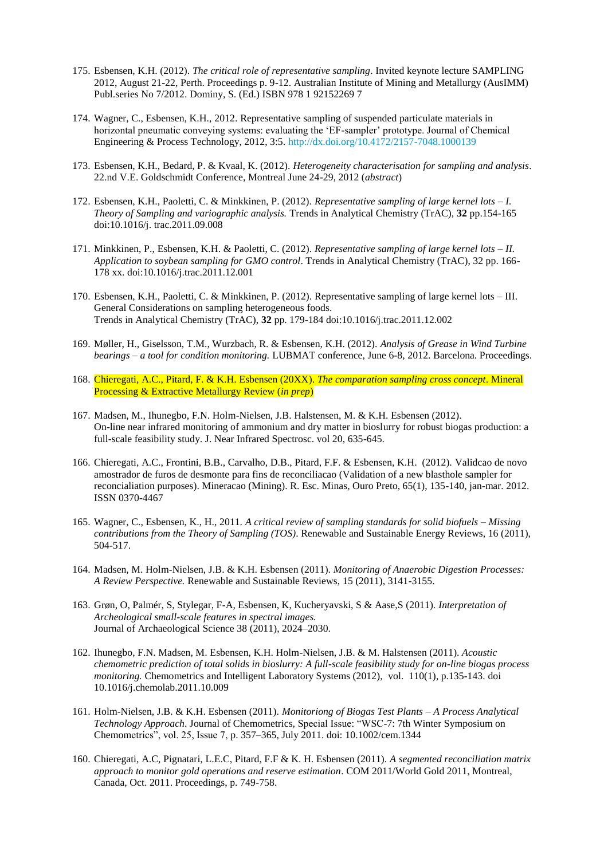- 175. Esbensen, K.H. (2012). *The critical role of representative sampling*. Invited keynote lecture SAMPLING 2012, August 21-22, Perth. Proceedings p. 9-12. Australian Institute of Mining and Metallurgy (AusIMM) Publ.series No 7/2012. Dominy, S. (Ed.) ISBN 978 1 92152269 7
- 174. Wagner, C., Esbensen, K.H., 2012. Representative sampling of suspended particulate materials in horizontal pneumatic conveying systems: evaluating the 'EF-sampler' prototype. Journal of Chemical Engineering & Process Technology, 2012, 3:5.<http://dx.doi.org/10.4172/2157-7048.1000139>
- 173. Esbensen, K.H., Bedard, P. & Kvaal, K. (2012). *Heterogeneity characterisation for sampling and analysis*. 22.nd V.E. Goldschmidt Conference, Montreal June 24-29, 2012 (*abstract*)
- 172. Esbensen, K.H., Paoletti, C. & Minkkinen, P. (2012). *Representative sampling of large kernel lots – I. Theory of Sampling and variographic analysis.* Trends in Analytical Chemistry (TrAC), **32** pp.154-165 doi:10.1016/j. trac.2011.09.008
- 171. Minkkinen, P., Esbensen, K.H. & Paoletti, C. (2012). *Representative sampling of large kernel lots – II. Application to soybean sampling for GMO control*. Trends in Analytical Chemistry (TrAC), 32 pp. 166- 178 xx. doi:10.1016/j.trac.2011.12.001
- 170. Esbensen, K.H., Paoletti, C. & Minkkinen, P. (2012). Representative sampling of large kernel lots III. General Considerations on sampling heterogeneous foods. Trends in Analytical Chemistry (TrAC), **32** pp. 179-184 doi:10.1016/j.trac.2011.12.002
- 169. Møller, H., Giselsson, T.M., Wurzbach, R. & Esbensen, K.H. (2012). *Analysis of Grease in Wind Turbine bearings – a tool for condition monitoring.* LUBMAT conference, June 6-8, 2012. Barcelona. Proceedings.
- 168. Chieregati, A.C., Pitard, F. & K.H. Esbensen (20XX). *The comparation sampling cross concept*. Mineral Processing & Extractive Metallurgy Review (*in prep*)
- 167. Madsen, M., Ihunegbo, F.N. Holm-Nielsen, J.B. Halstensen, M. & K.H. Esbensen (2012). On-line near infrared monitoring of ammonium and dry matter in bioslurry for robust biogas production: a full-scale feasibility study. J. Near Infrared Spectrosc. vol 20, 635-645.
- 166. Chieregati, A.C., Frontini, B.B., Carvalho, D.B., Pitard, F.F. & Esbensen, K.H. (2012). Validcao de novo amostrador de furos de desmonte para fins de reconciliacao (Validation of a new blasthole sampler for reconcialiation purposes). Mineracao (Mining). R. Esc. Minas, Ouro Preto, 65(1), 135-140, jan-mar. 2012. ISSN 0370-4467
- 165. Wagner, C., Esbensen, K., H., 2011. *A critical review of sampling standards for solid biofuels – Missing contributions from the Theory of Sampling (TOS)*. Renewable and Sustainable Energy Reviews, 16 (2011), 504-517.
- 164. Madsen, M. Holm-Nielsen, J.B. & K.H. Esbensen (2011). *Monitoring of Anaerobic Digestion Processes: A Review Perspective.* Renewable and Sustainable Reviews, 15 (2011), 3141-3155.
- 163. Grøn, O, Palmér, S, Stylegar, F-A, Esbensen, K, Kucheryavski, S & Aase,S (2011). *Interpretation of Archeological small-scale features in spectral images.*  Journal of Archaeological Science 38 (2011), 2024–2030.
- 162. Ihunegbo, F.N. Madsen, M. Esbensen, K.H. Holm-Nielsen, J.B. & M. Halstensen (2011). *Acoustic chemometric prediction of total solids in bioslurry: A full-scale feasibility study for on-line biogas process monitoring.* Chemometrics and Intelligent Laboratory Systems (2012), vol. 110(1), p.135-143. doi 10.1016/j.chemolab.2011.10.009
- 161. Holm-Nielsen, J.B. & K.H. Esbensen (2011). *Monitoriong of Biogas Test Plants – A Process Analytical Technology Approach*. Journal of Chemometrics, Special Issue: "WSC-7: 7th Winter Symposium on Chemometrics", vol. 25, Issue 7, p. 357–365, July 2011. doi: 10.1002/cem.1344
- 160. Chieregati, A.C, Pignatari, L.E.C, Pitard, F.F & K. H. Esbensen (2011). *A segmented reconciliation matrix approach to monitor gold operations and reserve estimation*. COM 2011/World Gold 2011, Montreal, Canada, Oct. 2011. Proceedings, p. 749-758.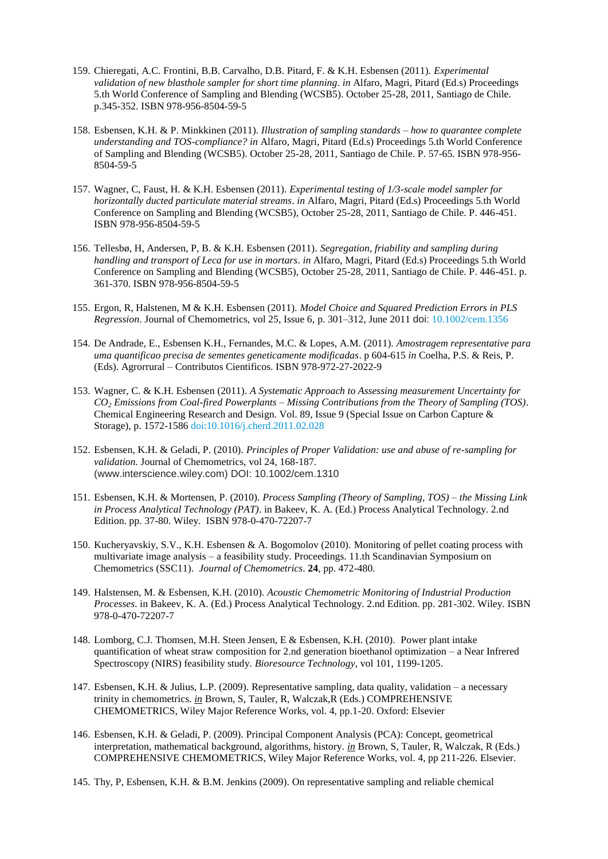- 159. Chieregati, A.C. Frontini, B.B. Carvalho, D.B. Pitard, F. & K.H. Esbensen (2011). *Experimental validation of new blasthole sampler for short time planning*. *in* Alfaro, Magri, Pitard (Ed.s) Proceedings 5.th World Conference of Sampling and Blending (WCSB5). October 25-28, 2011, Santiago de Chile. p.345-352. ISBN 978-956-8504-59-5
- 158. Esbensen, K.H. & P. Minkkinen (2011). *Illustration of sampling standards – how to quarantee complete understanding and TOS-compliance? in* Alfaro, Magri, Pitard (Ed.s) Proceedings 5.th World Conference of Sampling and Blending (WCSB5). October 25-28, 2011, Santiago de Chile. P. 57-65. ISBN 978-956- 8504-59-5
- 157. Wagner, C, Faust, H. & K.H. Esbensen (2011). *Experimental testing of 1/3-scale model sampler for horizontally ducted particulate material streams*. *in* Alfaro, Magri, Pitard (Ed.s) Proceedings 5.th World Conference on Sampling and Blending (WCSB5), October 25-28, 2011, Santiago de Chile. P. 446-451. ISBN 978-956-8504-59-5
- 156. Tellesbø, H, Andersen, P, B. & K.H. Esbensen (2011). *Segregation, friability and sampling during handling and transport of Leca for use in mortars*. *in* Alfaro, Magri, Pitard (Ed.s) Proceedings 5.th World Conference on Sampling and Blending (WCSB5), October 25-28, 2011, Santiago de Chile. P. 446-451. p. 361-370. ISBN 978-956-8504-59-5
- 155. Ergon, R, Halstenen, M & K.H. Esbensen (2011). *Model Choice and Squared Prediction Errors in PLS Regression*. Journal of Chemometrics, vol 25, Issue 6, p. 301–312, June 2011 doi: [10.1002/cem.1356](http://dx.doi.org/10.1002/cem.1356)
- 154. De Andrade, E., Esbensen K.H., Fernandes, M.C. & Lopes, A.M. (2011). *Amostragem representative para uma quantificao precisa de sementes geneticamente modificadas*. p 604-615 *in* Coelha, P.S. & Reis, P. (Eds). Agrorrural – Contributos Cientificos. ISBN 978-972-27-2022-9
- 153. Wagner, C. & K.H. Esbensen (2011). *A Systematic Approach to Assessing measurement Uncertainty for CO<sup>2</sup> Emissions from Coal-fired Powerplants – Missing Contributions from the Theory of Sampling (TOS)*. Chemical Engineering Research and Design. Vol. 89, Issue 9 (Special Issue on Carbon Capture & Storage), p. 1572-1586 [doi:10.1016/j.cherd.2011.02.028](http://dx.doi.org/10.1016/j.cherd.2011.02.028)
- 152. Esbensen, K.H. & Geladi, P. (2010). *Principles of Proper Validation: use and abuse of re-sampling for validation.* Journal of Chemometrics, vol 24, 168-187. (www.interscience.wiley.com) DOI: 10.1002/cem.1310
- 151. Esbensen, K.H. & Mortensen, P. (2010). *Process Sampling (Theory of Sampling, TOS) – the Missing Link in Process Analytical Technology (PAT)*. in Bakeev, K. A. (Ed.) Process Analytical Technology. 2.nd Edition. pp. 37-80. Wiley. ISBN 978-0-470-72207-7
- 150. Kucheryavskiy, S.V., K.H. Esbensen & A. Bogomolov (2010). Monitoring of pellet coating process with multivariate image analysis – a feasibility study. Proceedings. 11.th Scandinavian Symposium on Chemometrics (SSC11). *Journal of Chemometrics*. **24**, pp. 472-480.
- 149. Halstensen, M. & Esbensen, K.H. (2010). *Acoustic Chemometric Monitoring of Industrial Production Processes*. in Bakeev, K. A. (Ed.) Process Analytical Technology. 2.nd Edition. pp. 281-302. Wiley. ISBN 978-0-470-72207-7
- 148. Lomborg, C.J. Thomsen, M.H. Steen Jensen, E & Esbensen, K.H. (2010). Power plant intake quantification of wheat straw composition for 2.nd generation bioethanol optimization – a Near Infrered Spectroscopy (NIRS) feasibility study. *Bioresource Technology*, vol 101, 1199-1205.
- 147. Esbensen, K.H. & Julius, L.P. (2009). Representative sampling, data quality, validation a necessary trinity in chemometrics. *in* Brown, S, Tauler, R, Walczak, R (Eds.) COMPREHENSIVE CHEMOMETRICS, Wiley Major Reference Works, vol. 4, pp.1-20. Oxford: Elsevier
- 146. Esbensen, K.H. & Geladi, P. (2009). Principal Component Analysis (PCA): Concept, geometrical interpretation, mathematical background, algorithms, history. *in* Brown, S, Tauler, R, Walczak, R (Eds.) COMPREHENSIVE CHEMOMETRICS, Wiley Major Reference Works, vol. 4, pp 211-226. Elsevier.
- 145. Thy, P, Esbensen, K.H. & B.M. Jenkins (2009). On representative sampling and reliable chemical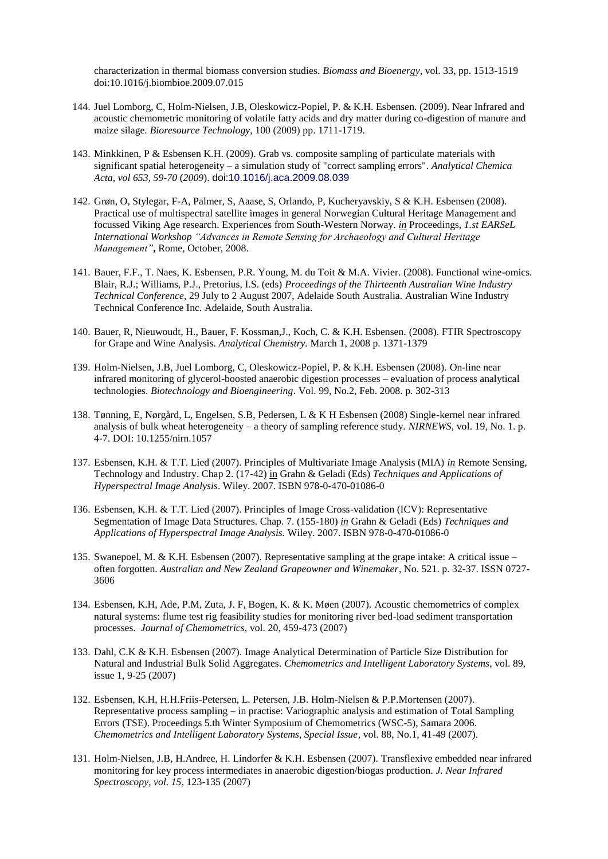characterization in thermal biomass conversion studies. *Biomass and Bioenergy*, vol. 33, pp. 1513-1519 doi:10.1016/j.biombioe.2009.07.015

- 144. Juel Lomborg, C, Holm-Nielsen, J.B, Oleskowicz-Popiel, P. & K.H. Esbensen. (2009). Near Infrared and acoustic chemometric monitoring of volatile fatty acids and dry matter during co-digestion of manure and maize silage. *Bioresource Technology*, 100 (2009) pp. 1711-1719.
- 143. Minkkinen, P & Esbensen K.H. (2009). Grab vs. composite sampling of particulate materials with significant spatial heterogeneity – a simulation study of "correct sampling errors". *Analytical Chemica Acta, vol 653, 59-70* (*2009*). doi:10.1016/j.aca.2009.08.039
- 142. Grøn, O, Stylegar, F-A, Palmer, S, Aaase, S, Orlando, P, Kucheryavskiy, S & K.H. Esbensen (2008). Practical use of multispectral satellite images in general Norwegian Cultural Heritage Management and focussed Viking Age research. Experiences from South-Western Norway. *in* Proceedings, *1.st EARSeL International Workshop "Advances in Remote Sensing for Archaeology and Cultural Heritage Management"***,** Rome, October, 2008.
- 141. Bauer, F.F., T. Naes, K. Esbensen, P.R. Young, M. du Toit & M.A. Vivier. (2008). Functional wine-omics. Blair, R.J.; Williams, P.J., Pretorius, I.S. (eds) *Proceedings of the Thirteenth Australian Wine Industry Technical Conference*, 29 July to 2 August 2007, Adelaide South Australia. Australian Wine Industry Technical Conference Inc. Adelaide, South Australia.
- 140. Bauer, R, Nieuwoudt, H., Bauer, F. Kossman,J., Koch, C. & K.H. Esbensen. (2008). FTIR Spectroscopy for Grape and Wine Analysis. *Analytical Chemistry.* March 1, 2008 p. 1371-1379
- 139. Holm-Nielsen, J.B, Juel Lomborg, C, Oleskowicz-Popiel, P. & K.H. Esbensen (2008). On-line near infrared monitoring of glycerol-boosted anaerobic digestion processes – evaluation of process analytical technologies. *Biotechnology and Bioengineering*. Vol. 99, No.2, Feb. 2008. p. 302-313
- 138. Tønning, E, Nørgård, L, Engelsen, S.B, Pedersen, L & K H Esbensen (2008) Single-kernel near infrared analysis of bulk wheat heterogeneity – a theory of sampling reference study. *NIRNEWS*, vol. 19, No. 1. p. 4-7. DOI: 10.1255/nirn.1057
- 137. Esbensen, K.H. & T.T. Lied (2007). Principles of Multivariate Image Analysis (MIA) *in* Remote Sensing, Technology and Industry. Chap 2. (17-42) in Grahn & Geladi (Eds) *Techniques and Applications of Hyperspectral Image Analysis*. Wiley. 2007. ISBN 978-0-470-01086-0
- 136. Esbensen, K.H. & T.T. Lied (2007). Principles of Image Cross-validation (ICV): Representative Segmentation of Image Data Structures. Chap. 7. (155-180) *in* Grahn & Geladi (Eds) *Techniques and Applications of Hyperspectral Image Analysis.* Wiley. 2007. ISBN 978-0-470-01086-0
- 135. Swanepoel, M. & K.H. Esbensen (2007). Representative sampling at the grape intake: A critical issue often forgotten. *Australian and New Zealand Grapeowner and Winemaker*, No. 521. p. 32-37. ISSN 0727- 3606
- 134. Esbensen, K.H, Ade, P.M, Zuta, J. F, Bogen, K. & K. Møen (2007). Acoustic chemometrics of complex natural systems: flume test rig feasibility studies for monitoring river bed-load sediment transportation processes. *Journal of Chemometrics*, vol. 20, 459-473 (2007)
- 133. Dahl, C.K & K.H. Esbensen (2007). Image Analytical Determination of Particle Size Distribution for Natural and Industrial Bulk Solid Aggregates. *Chemometrics and Intelligent Laboratory Systems*, vol. 89, issue 1, 9-25 (2007)
- 132. Esbensen, K.H, H.H.Friis-Petersen, L. Petersen, J.B. Holm-Nielsen & P.P.Mortensen (2007). Representative process sampling – in practise: Variographic analysis and estimation of Total Sampling Errors (TSE). Proceedings 5.th Winter Symposium of Chemometrics (WSC-5), Samara 2006. *Chemometrics and Intelligent Laboratory Systems, Special Issue*, vol. 88, No.1, 41-49 (2007).
- 131. Holm-Nielsen, J.B, H.Andree, H. Lindorfer & K.H. Esbensen (2007). Transflexive embedded near infrared monitoring for key process intermediates in anaerobic digestion/biogas production. *J. Near Infrared Spectroscopy, vol. 15*, 123-135 (2007)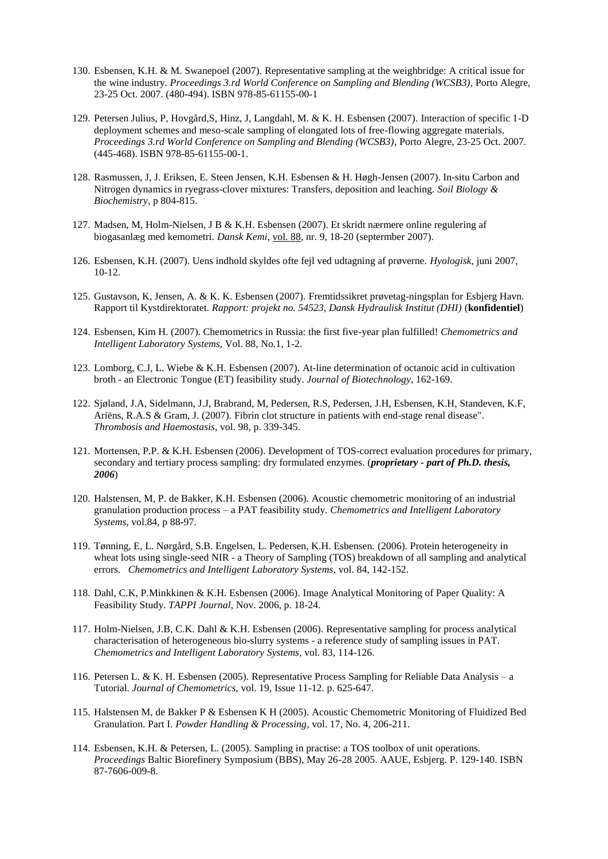- 130. Esbensen, K.H. & M. Swanepoel (2007). Representative sampling at the weighbridge: A critical issue for the wine industry. *Proceedings 3.rd World Conference on Sampling and Blending (WCSB3)*, Porto Alegre, 23-25 Oct. 2007. (480-494). ISBN 978-85-61155-00-1
- 129. Petersen Julius, P, Hovgård,S, Hinz, J, Langdahl, M. & K. H. Esbensen (2007). Interaction of specific 1-D deployment schemes and meso-scale sampling of elongated lots of free-flowing aggregate materials. *Proceedings 3.rd World Conference on Sampling and Blending (WCSB3)*, Porto Alegre, 23-25 Oct. 2007. (445-468). ISBN 978-85-61155-00-1.
- 128. Rasmussen, J, J. Eriksen, E. Steen Jensen, K.H. Esbensen & H. Høgh-Jensen (2007). In-situ Carbon and Nitrogen dynamics in ryegrass-clover mixtures: Transfers, deposition and leaching. *Soil Biology & Biochemistry*, p 804-815.
- 127. Madsen, M, Holm-Nielsen, J B & K.H. Esbensen (2007). Et skridt nærmere online regulering af biogasanlæg med kemometri. *Dansk Kemi*, vol. 88, nr. 9, 18-20 (septermber 2007).
- 126. Esbensen, K.H. (2007). Uens indhold skyldes ofte fejl ved udtagning af prøverne. *Hyologisk*, juni 2007, 10-12.
- 125. Gustavson, K, Jensen, A. & K. K. Esbensen (2007). Fremtidssikret prøvetag-ningsplan for Esbjerg Havn. Rapport til Kystdirektoratet. *Rapport: projekt no. 54523, Dansk Hydraulisk Institut (DHI)* (**konfidentiel**)
- 124. Esbensen, Kim H. (2007). Chemometrics in Russia: the first five-year plan fulfilled! *Chemometrics and Intelligent Laboratory Systems*, Vol. 88, No.1, 1-2.
- 123. Lomborg, C.J, L. Wiebe & K.H. Esbensen (2007). At-line determination of octanoic acid in cultivation broth - an Electronic Tongue (ET) feasibility study. *Journal of Biotechnology*, 162-169.
- 122. Sjøland, J.A, Sidelmann, J.J, Brabrand, M, Pedersen, R.S, Pedersen, J.H, Esbensen, K.H, Standeven, K.F, Ariëns, R.A.S & Gram, J. (2007). Fibrin clot structure in patients with end-stage renal disease". *Thrombosis and Haemostasis*, vol. 98, p. 339-345.
- 121. Mortensen, P.P. & K.H. Esbensen (2006). Development of TOS-correct evaluation procedures for primary, secondary and tertiary process sampling: dry formulated enzymes. (*proprietary - part of Ph.D. thesis, 2006*)
- 120. Halstensen, M, P. de Bakker, K.H. Esbensen (2006). Acoustic chemometric monitoring of an industrial granulation production process – a PAT feasibility study. *Chemometrics and Intelligent Laboratory Systems*, vol.84, p 88-97.
- 119. Tønning, E, L. Nørgård, S.B. Engelsen, L. Pedersen, K.H. Esbensen. (2006). Protein heterogeneity in wheat lots using single-seed NIR - a Theory of Sampling (TOS) breakdown of all sampling and analytical errors. *Chemometrics and Intelligent Laboratory Systems*, vol. 84, 142-152.
- 118. Dahl, C.K, P.Minkkinen & K.H. Esbensen (2006). Image Analytical Monitoring of Paper Quality: A Feasibility Study. *TAPPI Journal*, Nov. 2006, p. 18-24.
- 117. Holm-Nielsen, J.B, C.K. Dahl & K.H. Esbensen (2006). Representative sampling for process analytical characterisation of heterogeneous bio-slurry systems - a reference study of sampling issues in PAT. *Chemometrics and Intelligent Laboratory Systems*, vol. 83, 114-126.
- 116. Petersen L. & K. H. Esbensen (2005). Representative Process Sampling for Reliable Data Analysis a Tutorial. *Journal of Chemometrics*, vol. 19, Issue 11-12. p. 625-647.
- 115. Halstensen M, de Bakker P & Esbensen K H (2005). Acoustic Chemometric Monitoring of Fluidized Bed Granulation. Part I. *Powder Handling & Processing*, vol. 17, No. 4, 206-211.
- 114. Esbensen, K.H. & Petersen, L. (2005). Sampling in practise: a TOS toolbox of unit operations. *Proceedings* Baltic Biorefinery Symposium (BBS), May 26-28 2005. AAUE, Esbjerg. P. 129-140. ISBN 87-7606-009-8.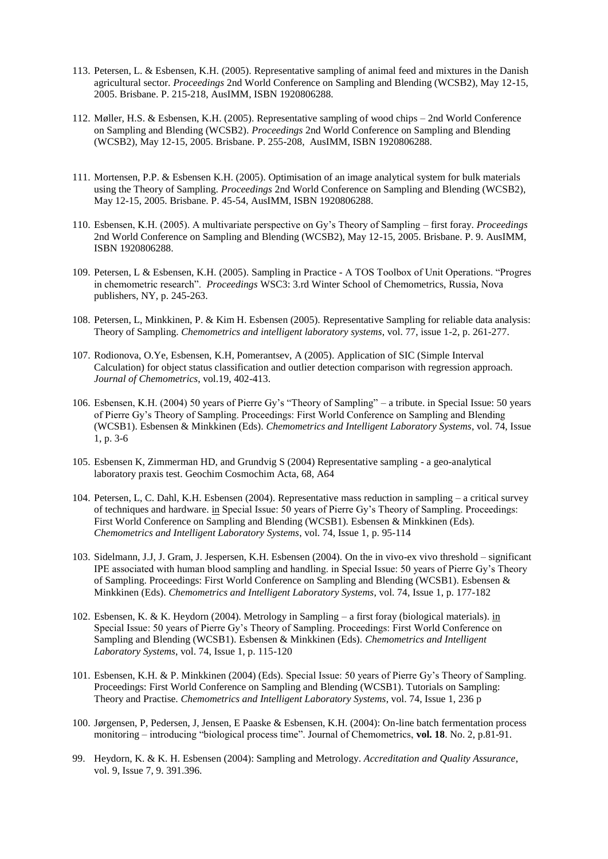- 113. Petersen, L. & Esbensen, K.H. (2005). Representative sampling of animal feed and mixtures in the Danish agricultural sector. *Proceedings* 2nd World Conference on Sampling and Blending (WCSB2), May 12-15, 2005. Brisbane. P. 215-218, AusIMM, ISBN 1920806288.
- 112. Møller, H.S. & Esbensen, K.H. (2005). Representative sampling of wood chips 2nd World Conference on Sampling and Blending (WCSB2). *Proceedings* 2nd World Conference on Sampling and Blending (WCSB2), May 12-15, 2005. Brisbane. P. 255-208, AusIMM, ISBN 1920806288.
- 111. Mortensen, P.P. & Esbensen K.H. (2005). Optimisation of an image analytical system for bulk materials using the Theory of Sampling. *Proceedings* 2nd World Conference on Sampling and Blending (WCSB2), May 12-15, 2005. Brisbane. P. 45-54, AusIMM, ISBN 1920806288.
- 110. Esbensen, K.H. (2005). A multivariate perspective on Gy's Theory of Sampling first foray. *Proceedings* 2nd World Conference on Sampling and Blending (WCSB2), May 12-15, 2005. Brisbane. P. 9. AusIMM, ISBN 1920806288.
- 109. Petersen, L & Esbensen, K.H. (2005). Sampling in Practice A TOS Toolbox of Unit Operations. "Progres in chemometric research". *Proceedings* WSC3: 3.rd Winter School of Chemometrics, Russia, Nova publishers, NY, p. 245-263.
- 108. Petersen, L, Minkkinen, P. & Kim H. Esbensen (2005). Representative Sampling for reliable data analysis: Theory of Sampling. *Chemometrics and intelligent laboratory systems*, vol. 77, issue 1-2, p. 261-277.
- 107. Rodionova, O.Ye, Esbensen, K.H, Pomerantsev, A (2005). Application of SIC (Simple Interval Calculation) for object status classification and outlier detection comparison with regression approach. *Journal of Chemometrics*, vol.19, 402-413.
- 106. Esbensen, K.H. (2004) 50 years of Pierre Gy's "Theory of Sampling" a tribute. in Special Issue: 50 years of Pierre Gy's Theory of Sampling. Proceedings: First World Conference on Sampling and Blending (WCSB1). Esbensen & Minkkinen (Eds). *Chemometrics and Intelligent Laboratory Systems*, vol. 74, Issue 1, p. 3-6
- 105. Esbensen K, Zimmerman HD, and Grundvig S (2004) Representative sampling a geo-analytical laboratory praxis test. Geochim Cosmochim Acta, 68, A64
- 104. Petersen, L, C. Dahl, K.H. Esbensen (2004). Representative mass reduction in sampling a critical survey of techniques and hardware. in Special Issue: 50 years of Pierre Gy's Theory of Sampling. Proceedings: First World Conference on Sampling and Blending (WCSB1). Esbensen & Minkkinen (Eds). *Chemometrics and Intelligent Laboratory Systems*, vol. 74, Issue 1, p. 95-114
- 103. Sidelmann, J.J, J. Gram, J. Jespersen, K.H. Esbensen (2004). On the in vivo-ex vivo threshold significant IPE associated with human blood sampling and handling. in Special Issue: 50 years of Pierre Gy's Theory of Sampling. Proceedings: First World Conference on Sampling and Blending (WCSB1). Esbensen & Minkkinen (Eds). *Chemometrics and Intelligent Laboratory Systems*, vol. 74, Issue 1, p. 177-182
- 102. Esbensen, K. & K. Heydorn (2004). Metrology in Sampling a first foray (biological materials). in Special Issue: 50 years of Pierre Gy's Theory of Sampling. Proceedings: First World Conference on Sampling and Blending (WCSB1). Esbensen & Minkkinen (Eds). *Chemometrics and Intelligent Laboratory Systems*, vol. 74, Issue 1, p. 115-120
- 101. Esbensen, K.H. & P. Minkkinen (2004) (Eds). Special Issue: 50 years of Pierre Gy's Theory of Sampling. Proceedings: First World Conference on Sampling and Blending (WCSB1). Tutorials on Sampling: Theory and Practise. *Chemometrics and Intelligent Laboratory Systems*, vol. 74, Issue 1, 236 p
- 100. Jørgensen, P, Pedersen, J, Jensen, E Paaske & Esbensen, K.H. (2004): On-line batch fermentation process monitoring – introducing "biological process time". Journal of Chemometrics, **vol. 18**. No. 2, p.81-91.
- 99. Heydorn, K. & K. H. Esbensen (2004): Sampling and Metrology. *Accreditation and Quality Assurance*, vol. 9, Issue 7, 9. 391.396.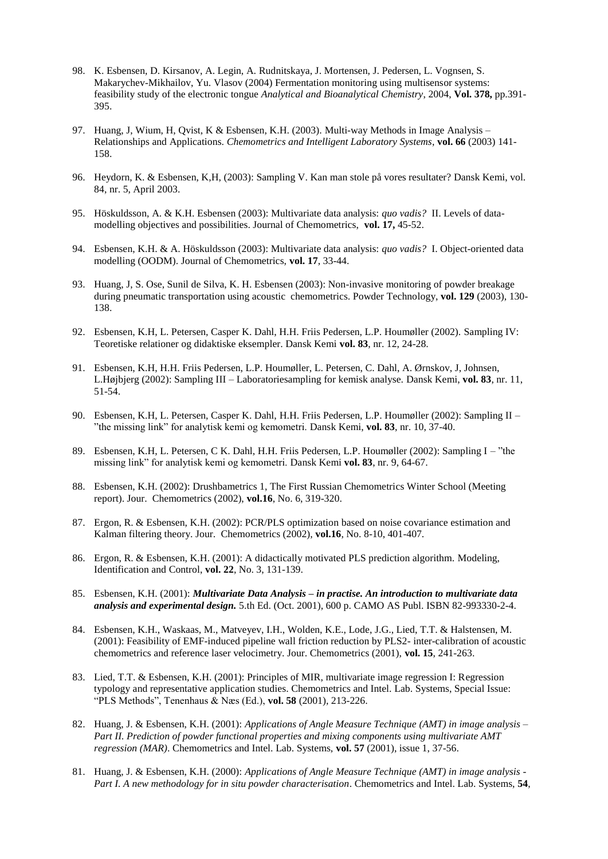- 98. K. Esbensen, D. Kirsanov, A. Legin, A. Rudnitskaya, J. Mortensen, J. Pedersen, L. Vognsen, S. Makarychev-Mikhailov, Yu. Vlasov (2004) Fermentation monitoring using multisensor systems: feasibility study of the electronic tongue *Analytical and Bioanalytical Chemistry*, 2004, **Vol. 378,** pp.391- 395.
- 97. Huang, J, Wium, H, Qvist, K & Esbensen, K.H. (2003). Multi-way Methods in Image Analysis Relationships and Applications. *Chemometrics and Intelligent Laboratory Systems*, **vol. 66** (2003) 141- 158.
- 96. Heydorn, K. & Esbensen, K,H, (2003): Sampling V. Kan man stole på vores resultater? Dansk Kemi, vol. 84, nr. 5, April 2003.
- 95. Höskuldsson, A. & K.H. Esbensen (2003): Multivariate data analysis: *quo vadis?* II. Levels of datamodelling objectives and possibilities. Journal of Chemometrics, **vol. 17,** 45-52.
- 94. Esbensen, K.H. & A. Höskuldsson (2003): Multivariate data analysis: *quo vadis?* I. Object-oriented data modelling (OODM). Journal of Chemometrics, **vol. 17**, 33-44.
- 93. Huang, J, S. Ose, Sunil de Silva, K. H. Esbensen (2003): Non-invasive monitoring of powder breakage during pneumatic transportation using acoustic chemometrics. Powder Technology, **vol. 129** (2003), 130- 138.
- 92. Esbensen, K.H, L. Petersen, Casper K. Dahl, H.H. Friis Pedersen, L.P. Houmøller (2002). Sampling IV: Teoretiske relationer og didaktiske eksempler. Dansk Kemi **vol. 83**, nr. 12, 24-28.
- 91. Esbensen, K.H, H.H. Friis Pedersen, L.P. Houmøller, L. Petersen, C. Dahl, A. Ørnskov, J, Johnsen, L.Højbjerg (2002): Sampling III – Laboratoriesampling for kemisk analyse. Dansk Kemi, **vol. 83**, nr. 11, 51-54.
- 90. Esbensen, K.H, L. Petersen, Casper K. Dahl, H.H. Friis Pedersen, L.P. Houmøller (2002): Sampling II "the missing link" for analytisk kemi og kemometri. Dansk Kemi, **vol. 83**, nr. 10, 37-40.
- 89. Esbensen, K.H, L. Petersen, C K. Dahl, H.H. Friis Pedersen, L.P. Houmøller (2002): Sampling I "the missing link" for analytisk kemi og kemometri. Dansk Kemi **vol. 83**, nr. 9, 64-67.
- 88. Esbensen, K.H. (2002): Drushbametrics 1, The First Russian Chemometrics Winter School (Meeting report). Jour. Chemometrics (2002), **vol.16**, No. 6, 319-320.
- 87. Ergon, R. & Esbensen, K.H. (2002): PCR/PLS optimization based on noise covariance estimation and Kalman filtering theory. Jour. Chemometrics (2002), **vol.16**, No. 8-10, 401-407.
- 86. Ergon, R. & Esbensen, K.H. (2001): A didactically motivated PLS prediction algorithm. Modeling, Identification and Control, **vol. 22**, No. 3, 131-139.
- 85. Esbensen, K.H. (2001): *Multivariate Data Analysis – in practise. An introduction to multivariate data analysis and experimental design.* 5.th Ed. (Oct. 2001), 600 p. CAMO AS Publ. ISBN 82-993330-2-4.
- 84. Esbensen, K.H., Waskaas, M., Matveyev, I.H., Wolden, K.E., Lode, J.G., Lied, T.T. & Halstensen, M. (2001): Feasibility of EMF-induced pipeline wall friction reduction by PLS2- inter-calibration of acoustic chemometrics and reference laser velocimetry. Jour. Chemometrics (2001), **vol. 15**, 241-263.
- 83. Lied, T.T. & Esbensen, K.H. (2001): Principles of MIR, multivariate image regression I: Regression typology and representative application studies. Chemometrics and Intel. Lab. Systems, Special Issue: "PLS Methods", Tenenhaus & Næs (Ed.), **vol. 58** (2001), 213-226.
- 82. Huang, J. & Esbensen, K.H. (2001): *Applications of Angle Measure Technique (AMT) in image analysis – Part II. Prediction of powder functional properties and mixing components using multivariate AMT regression (MAR)*. Chemometrics and Intel. Lab. Systems, **vol. 57** (2001), issue 1, 37-56.
- 81. Huang, J. & Esbensen, K.H. (2000): *Applications of Angle Measure Technique (AMT) in image analysis - Part I. A new methodology for in situ powder characterisation*. Chemometrics and Intel. Lab. Systems, **54**,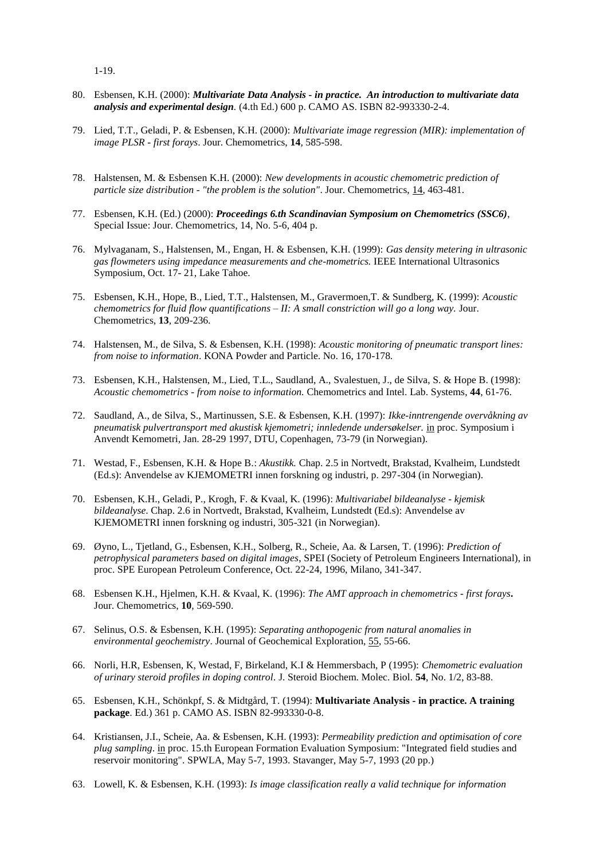1-19.

- 80. Esbensen, K.H. (2000): *Multivariate Data Analysis - in practice. An introduction to multivariate data analysis and experimental design.* (4.th Ed.) 600 p. CAMO AS. ISBN 82-993330-2-4.
- 79. Lied, T.T., Geladi, P. & Esbensen, K.H. (2000): *Multivariate image regression (MIR): implementation of image PLSR - first forays*. Jour. Chemometrics, **14**, 585-598.
- 78. Halstensen, M. & Esbensen K.H. (2000): *New developments in acoustic chemometric prediction of particle size distribution - "the problem is the solution"*. Jour. Chemometrics, 14, 463-481.
- 77. Esbensen, K.H. (Ed.) (2000): *Proceedings 6.th Scandinavian Symposium on Chemometrics (SSC6)*, Special Issue: Jour. Chemometrics, 14, No. 5-6, 404 p.
- 76. Mylvaganam, S., Halstensen, M., Engan, H. & Esbensen, K.H. (1999): *Gas density metering in ultrasonic gas flowmeters using impedance measurements and che-mometrics.* IEEE International Ultrasonics Symposium, Oct. 17- 21, Lake Tahoe.
- 75. Esbensen, K.H., Hope, B., Lied, T.T., Halstensen, M., Gravermoen,T. & Sundberg, K. (1999): *Acoustic chemometrics for fluid flow quantifications – II: A small constriction will go a long way.* Jour. Chemometrics, **13**, 209-236.
- 74. Halstensen, M., de Silva, S. & Esbensen, K.H. (1998): *Acoustic monitoring of pneumatic transport lines: from noise to information*. KONA Powder and Particle. No. 16, 170-178*.*
- 73. Esbensen, K.H., Halstensen, M., Lied, T.L., Saudland, A., Svalestuen, J., de Silva, S. & Hope B. (1998): *Acoustic chemometrics - from noise to information.* Chemometrics and Intel. Lab. Systems, **44**, 61-76.
- 72. Saudland, A., de Silva, S., Martinussen, S.E. & Esbensen, K.H. (1997): *Ikke-inntrengende overvåkning av pneumatisk pulvertransport med akustisk kjemometri; innledende undersøkelser.* in proc. Symposium i Anvendt Kemometri, Jan. 28-29 1997, DTU, Copenhagen, 73-79 (in Norwegian).
- 71. Westad, F., Esbensen, K.H. & Hope B.: *Akustikk.* Chap. 2.5 in Nortvedt, Brakstad, Kvalheim, Lundstedt (Ed.s): Anvendelse av KJEMOMETRI innen forskning og industri, p. 297-304 (in Norwegian).
- 70. Esbensen, K.H., Geladi, P., Krogh, F. & Kvaal, K. (1996): *Multivariabel bildeanalyse - kjemisk bildeanalyse*. Chap. 2.6 in Nortvedt, Brakstad, Kvalheim, Lundstedt (Ed.s): Anvendelse av KJEMOMETRI innen forskning og industri, 305-321 (in Norwegian).
- 69. Øyno, L., Tjetland, G., Esbensen, K.H., Solberg, R., Scheie, Aa. & Larsen, T. (1996): *Prediction of petrophysical parameters based on digital images*, SPEI (Society of Petroleum Engineers International), in proc. SPE European Petroleum Conference, Oct. 22-24, 1996, Milano, 341-347.
- 68. Esbensen K.H., Hjelmen, K.H. & Kvaal, K. (1996): *The AMT approach in chemometrics - first forays***.** Jour. Chemometrics, **10**, 569-590.
- 67. Selinus, O.S. & Esbensen, K.H. (1995): *Separating anthopogenic from natural anomalies in environmental geochemistry*. Journal of Geochemical Exploration*,* 55, 55-66.
- 66. Norli, H.R, Esbensen, K, Westad, F, Birkeland, K.I & Hemmersbach, P (1995): *Chemometric evaluation of urinary steroid profiles in doping control.* J. Steroid Biochem. Molec. Biol. **54**, No. 1/2, 83-88.
- 65. Esbensen, K.H., Schönkpf, S. & Midtgård, T. (1994): **Multivariate Analysis - in practice. A training package**. Ed.) 361 p. CAMO AS. ISBN 82-993330-0-8.
- 64. Kristiansen, J.I., Scheie, Aa. & Esbensen, K.H. (1993): *Permeability prediction and optimisation of core plug sampling*. in proc. 15.th European Formation Evaluation Symposium: "Integrated field studies and reservoir monitoring". SPWLA, May 5-7, 1993. Stavanger, May 5-7, 1993 (20 pp.)
- 63. Lowell, K. & Esbensen, K.H. (1993): *Is image classification really a valid technique for information*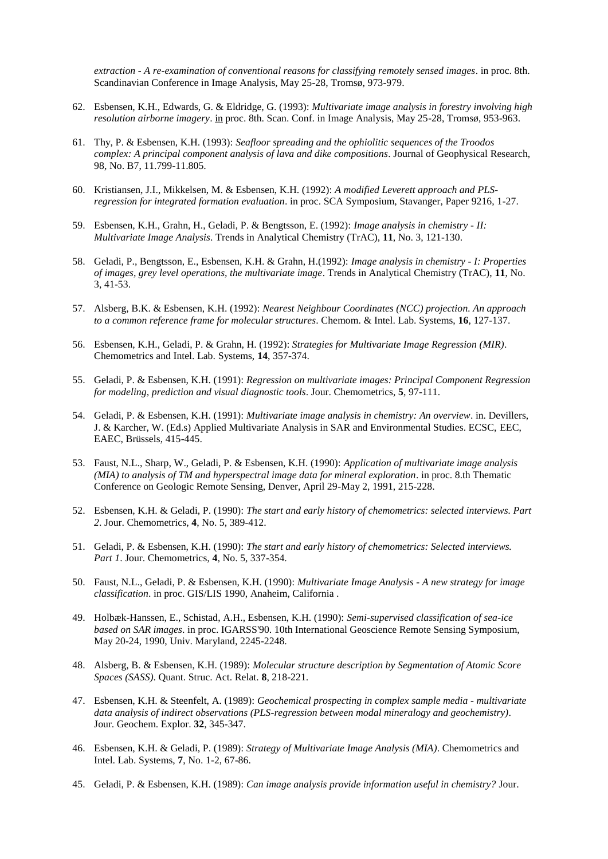*extraction - A re-examination of conventional reasons for classifying remotely sensed images*. in proc. 8th. Scandinavian Conference in Image Analysis, May 25-28, Tromsø, 973-979.

- 62. Esbensen, K.H., Edwards, G. & Eldridge, G. (1993): *Multivariate image analysis in forestry involving high resolution airborne imagery*. in proc. 8th. Scan. Conf. in Image Analysis, May 25-28, Tromsø, 953-963.
- 61. Thy, P. & Esbensen, K.H. (1993): *Seafloor spreading and the ophiolitic sequences of the Troodos complex: A principal component analysis of lava and dike compositions*. Journal of Geophysical Research, 98, No. B7, 11.799-11.805.
- 60. Kristiansen, J.I., Mikkelsen, M. & Esbensen, K.H. (1992): *A modified Leverett approach and PLSregression for integrated formation evaluation*. in proc. SCA Symposium, Stavanger, Paper 9216, 1-27.
- 59. Esbensen, K.H., Grahn, H., Geladi, P. & Bengtsson, E. (1992): *Image analysis in chemistry - II: Multivariate Image Analysis*. Trends in Analytical Chemistry (TrAC), **11**, No. 3, 121-130.
- 58. Geladi, P., Bengtsson, E., Esbensen, K.H. & Grahn, H.(1992): *Image analysis in chemistry - I: Properties of images, grey level operations, the multivariate image*. Trends in Analytical Chemistry (TrAC), **11**, No. 3, 41-53.
- 57. Alsberg, B.K. & Esbensen, K.H. (1992): *Nearest Neighbour Coordinates (NCC) projection. An approach to a common reference frame for molecular structures*. Chemom. & Intel. Lab. Systems, **16**, 127-137.
- 56. Esbensen, K.H., Geladi, P. & Grahn, H. (1992): *Strategies for Multivariate Image Regression (MIR)*. Chemometrics and Intel. Lab. Systems, **14**, 357-374.
- 55. Geladi, P. & Esbensen, K.H. (1991): *Regression on multivariate images: Principal Component Regression for modeling, prediction and visual diagnostic tools*. Jour. Chemometrics, **5**, 97-111.
- 54. Geladi, P. & Esbensen, K.H. (1991): *Multivariate image analysis in chemistry: An overview*. in. Devillers, J. & Karcher, W. (Ed.s) Applied Multivariate Analysis in SAR and Environmental Studies. ECSC, EEC, EAEC, Brüssels, 415-445.
- 53. Faust, N.L., Sharp, W., Geladi, P. & Esbensen, K.H. (1990): *Application of multivariate image analysis (MIA) to analysis of TM and hyperspectral image data for mineral exploration*. in proc. 8.th Thematic Conference on Geologic Remote Sensing, Denver, April 29-May 2, 1991, 215-228.
- 52. Esbensen, K.H. & Geladi, P. (1990): *The start and early history of chemometrics: selected interviews. Part 2*. Jour. Chemometrics, **4**, No. 5, 389-412.
- 51. Geladi, P. & Esbensen, K.H. (1990): *The start and early history of chemometrics: Selected interviews. Part 1*. Jour. Chemometrics, **4**, No. 5, 337-354.
- 50. Faust, N.L., Geladi, P. & Esbensen, K.H. (1990): *Multivariate Image Analysis - A new strategy for image classification*. in proc. GIS/LIS 1990, Anaheim, California .
- 49. Holbæk-Hanssen, E., Schistad, A.H., Esbensen, K.H. (1990): *Semi-supervised classification of sea-ice based on SAR images*. in proc. IGARSS'90. 10th International Geoscience Remote Sensing Symposium, May 20-24, 1990, Univ. Maryland, 2245-2248.
- 48. Alsberg, B. & Esbensen, K.H. (1989): *Molecular structure description by Segmentation of Atomic Score Spaces (SASS)*. Quant. Struc. Act. Relat. **8**, 218-221.
- 47. Esbensen, K.H. & Steenfelt, A. (1989): *Geochemical prospecting in complex sample media - multivariate data analysis of indirect observations (PLS-regression between modal mineralogy and geochemistry)*. Jour. Geochem. Explor. **32**, 345-347.
- 46. Esbensen, K.H. & Geladi, P. (1989): *Strategy of Multivariate Image Analysis (MIA)*. Chemometrics and Intel. Lab. Systems, **7**, No. 1-2, 67-86.
- 45. Geladi, P. & Esbensen, K.H. (1989): *Can image analysis provide information useful in chemistry?* Jour.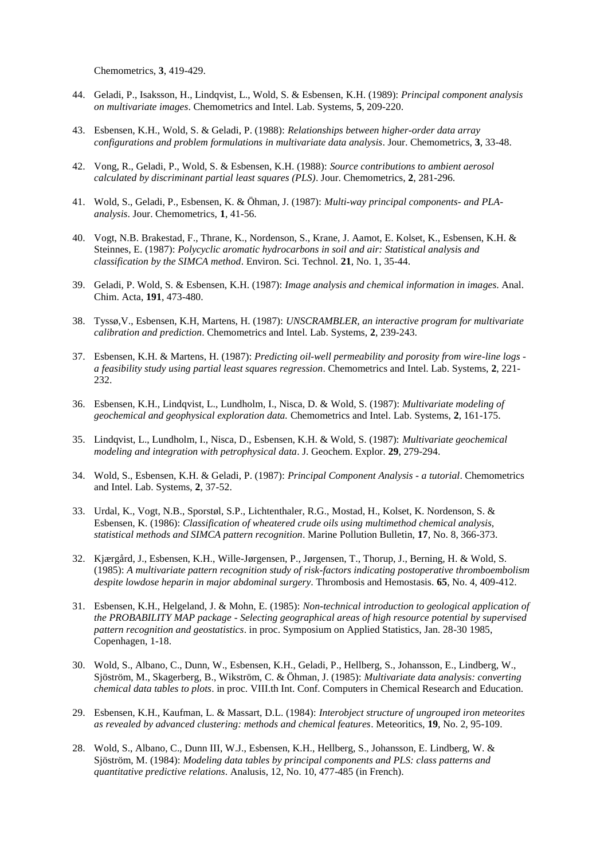Chemometrics, **3**, 419-429.

- 44. Geladi, P., Isaksson, H., Lindqvist, L., Wold, S. & Esbensen, K.H. (1989): *Principal component analysis on multivariate images*. Chemometrics and Intel. Lab. Systems, **5**, 209-220.
- 43. Esbensen, K.H., Wold, S. & Geladi, P. (1988): *Relationships between higher-order data array configurations and problem formulations in multivariate data analysis*. Jour. Chemometrics, **3**, 33-48.
- 42. Vong, R., Geladi, P., Wold, S. & Esbensen, K.H. (1988): *Source contributions to ambient aerosol calculated by discriminant partial least squares (PLS)*. Jour. Chemometrics, **2**, 281-296.
- 41. Wold, S., Geladi, P., Esbensen, K. & Öhman, J. (1987): *Multi-way principal components- and PLAanalysis*. Jour. Chemometrics, **1**, 41-56.
- 40. Vogt, N.B. Brakestad, F., Thrane, K., Nordenson, S., Krane, J. Aamot, E. Kolset, K., Esbensen, K.H. & Steinnes, E. (1987): *Polycyclic aromatic hydrocarbons in soil and air: Statistical analysis and classification by the SIMCA method*. Environ. Sci. Technol. **21**, No. 1, 35-44.
- 39. Geladi, P. Wold, S. & Esbensen, K.H. (1987): *Image analysis and chemical information in images*. Anal. Chim. Acta, **191**, 473-480.
- 38. Tyssø,V., Esbensen, K.H, Martens, H. (1987): *UNSCRAMBLER, an interactive program for multivariate calibration and prediction*. Chemometrics and Intel. Lab. Systems, **2**, 239-243.
- 37. Esbensen, K.H. & Martens, H. (1987): *Predicting oil-well permeability and porosity from wire-line logs a feasibility study using partial least squares regression*. Chemometrics and Intel. Lab. Systems, **2**, 221- 232.
- 36. Esbensen, K.H., Lindqvist, L., Lundholm, I., Nisca, D. & Wold, S. (1987): *Multivariate modeling of geochemical and geophysical exploration data.* Chemometrics and Intel. Lab. Systems, **2**, 161-175.
- 35. Lindqvist, L., Lundholm, I., Nisca, D., Esbensen, K.H. & Wold, S. (1987): *Multivariate geochemical modeling and integration with petrophysical data*. J. Geochem. Explor. **29**, 279-294.
- 34. Wold, S., Esbensen, K.H. & Geladi, P. (1987): *Principal Component Analysis - a tutorial*. Chemometrics and Intel. Lab. Systems, **2**, 37-52.
- 33. Urdal, K., Vogt, N.B., Sporstøl, S.P., Lichtenthaler, R.G., Mostad, H., Kolset, K. Nordenson, S. & Esbensen, K. (1986): *Classification of wheatered crude oils using multimethod chemical analysis, statistical methods and SIMCA pattern recognition*. Marine Pollution Bulletin, **17**, No. 8, 366-373.
- 32. Kjærgård, J., Esbensen, K.H., Wille-Jørgensen, P., Jørgensen, T., Thorup, J., Berning, H. & Wold, S. (1985): *A multivariate pattern recognition study of risk-factors indicating postoperative thromboembolism despite lowdose heparin in major abdominal surgery*. Thrombosis and Hemostasis. **65**, No. 4, 409-412.
- 31. Esbensen, K.H., Helgeland, J. & Mohn, E. (1985): *Non-technical introduction to geological application of the PROBABILITY MAP package - Selecting geographical areas of high resource potential by supervised pattern recognition and geostatistics*. in proc. Symposium on Applied Statistics, Jan. 28-30 1985, Copenhagen, 1-18.
- 30. Wold, S., Albano, C., Dunn, W., Esbensen, K.H., Geladi, P., Hellberg, S., Johansson, E., Lindberg, W., Sjöström, M., Skagerberg, B., Wikström, C. & Öhman, J. (1985): *Multivariate data analysis: converting chemical data tables to plots*. in proc. VIII.th Int. Conf. Computers in Chemical Research and Education.
- 29. Esbensen, K.H., Kaufman, L. & Massart, D.L. (1984): *Interobject structure of ungrouped iron meteorites as revealed by advanced clustering: methods and chemical features*. Meteoritics, **19**, No. 2, 95-109.
- 28. Wold, S., Albano, C., Dunn III, W.J., Esbensen, K.H., Hellberg, S., Johansson, E. Lindberg, W. & Sjöström, M. (1984): *Modeling data tables by principal components and PLS: class patterns and quantitative predictive relations*. Analusis, 12, No. 10, 477-485 (in French).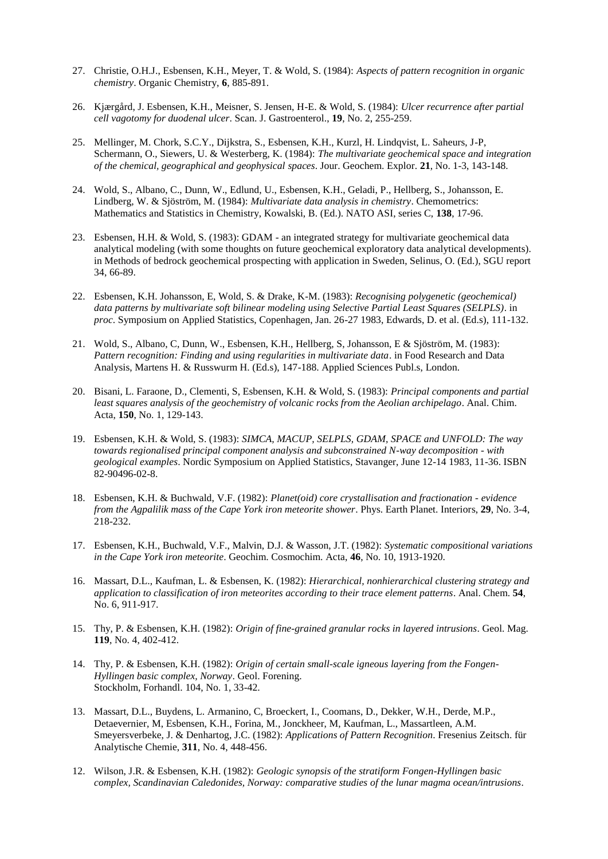- 27. Christie, O.H.J., Esbensen, K.H., Meyer, T. & Wold, S. (1984): *Aspects of pattern recognition in organic chemistry*. Organic Chemistry, **6**, 885-891.
- 26. Kjærgård, J. Esbensen, K.H., Meisner, S. Jensen, H-E. & Wold, S. (1984): *Ulcer recurrence after partial cell vagotomy for duodenal ulcer*. Scan. J. Gastroenterol., **19**, No. 2, 255-259.
- 25. Mellinger, M. Chork, S.C.Y., Dijkstra, S., Esbensen, K.H., Kurzl, H. Lindqvist, L. Saheurs, J-P, Schermann, O., Siewers, U. & Westerberg, K. (1984): *The multivariate geochemical space and integration of the chemical, geographical and geophysical spaces*. Jour. Geochem. Explor. **21**, No. 1-3, 143-148.
- 24. Wold, S., Albano, C., Dunn, W., Edlund, U., Esbensen, K.H., Geladi, P., Hellberg, S., Johansson, E. Lindberg, W. & Sjöström, M. (1984): *Multivariate data analysis in chemistry*. Chemometrics: Mathematics and Statistics in Chemistry, Kowalski, B. (Ed.). NATO ASI, series C, **138**, 17-96.
- 23. Esbensen, H.H. & Wold, S. (1983): GDAM an integrated strategy for multivariate geochemical data analytical modeling (with some thoughts on future geochemical exploratory data analytical developments). in Methods of bedrock geochemical prospecting with application in Sweden, Selinus, O. (Ed.), SGU report 34, 66-89.
- 22. Esbensen, K.H. Johansson, E, Wold, S. & Drake, K-M. (1983): *Recognising polygenetic (geochemical) data patterns by multivariate soft bilinear modeling using Selective Partial Least Squares (SELPLS)*. in *proc*. Symposium on Applied Statistics, Copenhagen, Jan. 26-27 1983, Edwards, D. et al. (Ed.s), 111-132.
- 21. Wold, S., Albano, C, Dunn, W., Esbensen, K.H., Hellberg, S, Johansson, E & Sjöström, M. (1983): *Pattern recognition: Finding and using regularities in multivariate data*. in Food Research and Data Analysis, Martens H. & Russwurm H. (Ed.s), 147-188. Applied Sciences Publ.s, London.
- 20. Bisani, L. Faraone, D., Clementi, S, Esbensen, K.H. & Wold, S. (1983): *Principal components and partial least squares analysis of the geochemistry of volcanic rocks from the Aeolian archipelago*. Anal. Chim. Acta, **150**, No. 1, 129-143.
- 19. Esbensen, K.H. & Wold, S. (1983): *SIMCA, MACUP, SELPLS, GDAM, SPACE and UNFOLD: The way towards regionalised principal component analysis and subconstrained N-way decomposition - with geological examples*. Nordic Symposium on Applied Statistics, Stavanger, June 12-14 1983, 11-36. ISBN 82-90496-02-8.
- 18. Esbensen, K.H. & Buchwald, V.F. (1982): *Planet(oid) core crystallisation and fractionation - evidence from the Agpalilik mass of the Cape York iron meteorite shower*. Phys. Earth Planet. Interiors, **29**, No. 3-4, 218-232.
- 17. Esbensen, K.H., Buchwald, V.F., Malvin, D.J. & Wasson, J.T. (1982): *Systematic compositional variations in the Cape York iron meteorite*. Geochim. Cosmochim. Acta, **46**, No. 10, 1913-1920.
- 16. Massart, D.L., Kaufman, L. & Esbensen, K. (1982): *Hierarchical, nonhierarchical clustering strategy and application to classification of iron meteorites according to their trace element patterns*. Anal. Chem. **54**, No. 6, 911-917.
- 15. Thy, P. & Esbensen, K.H. (1982): *Origin of fine-grained granular rocks in layered intrusions*. Geol. Mag. **119**, No. 4, 402-412.
- 14. Thy, P. & Esbensen, K.H. (1982): *Origin of certain small-scale igneous layering from the Fongen-Hyllingen basic complex, Norway*. Geol. Forening. Stockholm, Forhandl. 104, No. 1, 33-42.
- 13. Massart, D.L., Buydens, L. Armanino, C, Broeckert, I., Coomans, D., Dekker, W.H., Derde, M.P., Detaevernier, M, Esbensen, K.H., Forina, M., Jonckheer, M, Kaufman, L., Massartleen, A.M. Smeyersverbeke, J. & Denhartog, J.C. (1982): *Applications of Pattern Recognition*. Fresenius Zeitsch. für Analytische Chemie, **311**, No. 4, 448-456.
- 12. Wilson, J.R. & Esbensen, K.H. (1982): *Geologic synopsis of the stratiform Fongen-Hyllingen basic complex, Scandinavian Caledonides, Norway: comparative studies of the lunar magma ocean/intrusions*.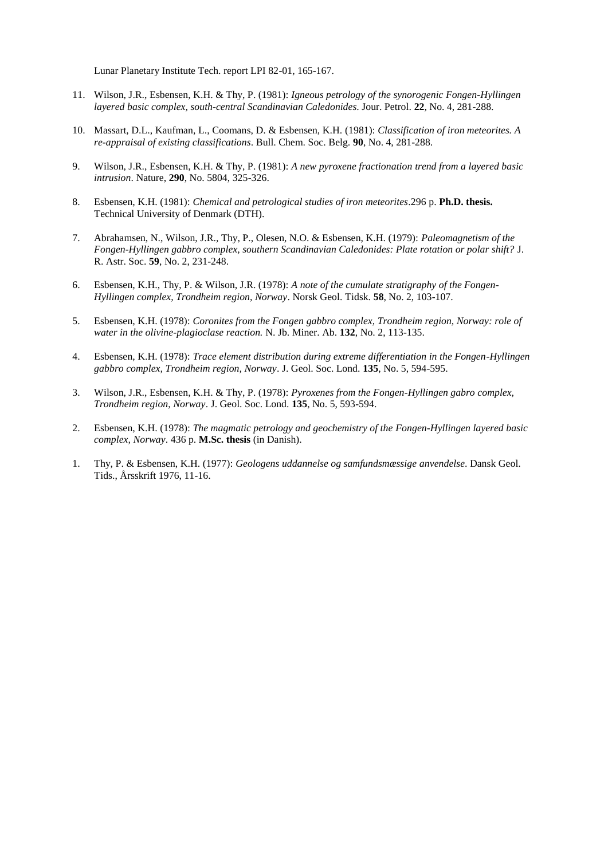Lunar Planetary Institute Tech. report LPI 82-01, 165-167.

- 11. Wilson, J.R., Esbensen, K.H. & Thy, P. (1981): *Igneous petrology of the synorogenic Fongen-Hyllingen layered basic complex, south-central Scandinavian Caledonides*. Jour. Petrol. **22**, No. 4, 281-288.
- 10. Massart, D.L., Kaufman, L., Coomans, D. & Esbensen, K.H. (1981): *Classification of iron meteorites. A re-appraisal of existing classifications*. Bull. Chem. Soc. Belg. **90**, No. 4, 281-288.
- 9. Wilson, J.R., Esbensen, K.H. & Thy, P. (1981): *A new pyroxene fractionation trend from a layered basic intrusion*. Nature, **290**, No. 5804, 325-326.
- 8. Esbensen, K.H. (1981): *Chemical and petrological studies of iron meteorites*.296 p. **Ph.D. thesis.**  Technical University of Denmark (DTH).
- 7. Abrahamsen, N., Wilson, J.R., Thy, P., Olesen, N.O. & Esbensen, K.H. (1979): *Paleomagnetism of the Fongen-Hyllingen gabbro complex, southern Scandinavian Caledonides: Plate rotation or polar shift?* J. R. Astr. Soc. **59**, No. 2, 231-248.
- 6. Esbensen, K.H., Thy, P. & Wilson, J.R. (1978): *A note of the cumulate stratigraphy of the Fongen-Hyllingen complex, Trondheim region, Norway*. Norsk Geol. Tidsk. **58**, No. 2, 103-107.
- 5. Esbensen, K.H. (1978): *Coronites from the Fongen gabbro complex, Trondheim region, Norway: role of water in the olivine-plagioclase reaction.* N. Jb. Miner. Ab. **132**, No. 2, 113-135.
- 4. Esbensen, K.H. (1978): *Trace element distribution during extreme differentiation in the Fongen-Hyllingen gabbro complex, Trondheim region, Norway*. J. Geol. Soc. Lond. **135**, No. 5, 594-595.
- 3. Wilson, J.R., Esbensen, K.H. & Thy, P. (1978): *Pyroxenes from the Fongen-Hyllingen gabro complex, Trondheim region, Norway*. J. Geol. Soc. Lond. **135**, No. 5, 593-594.
- 2. Esbensen, K.H. (1978): *The magmatic petrology and geochemistry of the Fongen-Hyllingen layered basic complex, Norway*. 436 p. **M.Sc. thesis** (in Danish).
- 1. Thy, P. & Esbensen, K.H. (1977): *Geologens uddannelse og samfundsmæssige anvendelse*. Dansk Geol. Tids., Årsskrift 1976, 11-16.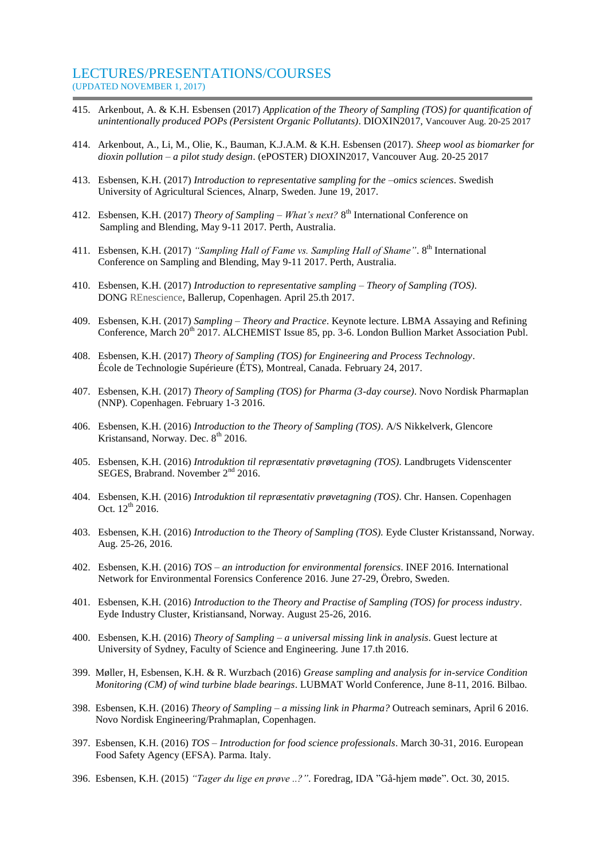#### LECTURES/PRESENTATIONS/COURSES (UPDATED NOVEMBER 1, 2017)

- 415. Arkenbout, A. & K.H. Esbensen (2017) *Application of the Theory of Sampling (TOS) for quantification of unintentionally produced POPs (Persistent Organic Pollutants)*. DIOXIN2017, Vancouver Aug. 20-25 2017
- 414. Arkenbout, A., Li, M., Olie, K., Bauman, K.J.A.M. & K.H. Esbensen (2017). *Sheep wool as biomarker for dioxin pollution – a pilot study design*. (ePOSTER) DIOXIN2017, Vancouver Aug. 20-25 2017
- 413. Esbensen, K.H. (2017) *Introduction to representative sampling for the –omics sciences*. Swedish University of Agricultural Sciences, Alnarp, Sweden. June 19, 2017.
- 412. Esbensen, K.H. (2017) *Theory of Sampling – What's next?* 8 th International Conference on Sampling and Blending, May 9-11 2017. Perth, Australia.
- 411. Esbensen, K.H. (2017) "Sampling Hall of Fame vs. Sampling Hall of Shame". 8<sup>th</sup> International Conference on Sampling and Blending, May 9-11 2017. Perth, Australia.
- 410. Esbensen, K.H. (2017) *Introduction to representative sampling – Theory of Sampling (TOS)*. DONG REnescience, Ballerup, Copenhagen. April 25.th 2017.
- 409. Esbensen, K.H. (2017) *Sampling – Theory and Practice*. Keynote lecture. LBMA Assaying and Refining Conference, March 20<sup>th</sup> 2017. ALCHEMIST Issue 85, pp. 3-6. London Bullion Market Association Publ.
- 408. Esbensen, K.H. (2017) *Theory of Sampling (TOS) for Engineering and Process Technology*. École de Technologie Supérieure (ÉTS), Montreal, Canada. February 24, 2017.
- 407. Esbensen, K.H. (2017) *Theory of Sampling (TOS) for Pharma (3-day course)*. Novo Nordisk Pharmaplan (NNP). Copenhagen. February 1-3 2016.
- 406. Esbensen, K.H. (2016) *Introduction to the Theory of Sampling (TOS)*. A/S Nikkelverk, Glencore Kristansand, Norway. Dec.  $8<sup>th</sup>$  2016.
- 405. Esbensen, K.H. (2016) *Introduktion til repræsentativ prøvetagning (TOS)*. Landbrugets Videnscenter SEGES, Brabrand. November 2<sup>nd</sup> 2016.
- 404. Esbensen, K.H. (2016) *Introduktion til repræsentativ prøvetagning (TOS)*. Chr. Hansen. Copenhagen Oct.  $12^{th}$  2016.
- 403. Esbensen, K.H. (2016) *Introduction to the Theory of Sampling (TOS).* Eyde Cluster Kristanssand, Norway. Aug. 25-26, 2016.
- 402. Esbensen, K.H. (2016) *TOS – an introduction for environmental forensics*. INEF 2016. International Network for Environmental Forensics Conference 2016. June 27-29, Örebro, Sweden.
- 401. Esbensen, K.H. (2016) *Introduction to the Theory and Practise of Sampling (TOS) for process industry*. Eyde Industry Cluster, Kristiansand, Norway. August 25-26, 2016.
- 400. Esbensen, K.H. (2016) *Theory of Sampling – a universal missing link in analysis*. Guest lecture at University of Sydney, Faculty of Science and Engineering. June 17.th 2016.
- 399. Møller, H, Esbensen, K.H. & R. Wurzbach (2016) *Grease sampling and analysis for in-service Condition Monitoring (CM) of wind turbine blade bearings*. LUBMAT World Conference, June 8-11, 2016. Bilbao.
- 398. Esbensen, K.H. (2016) *Theory of Sampling – a missing link in Pharma?* Outreach seminars, April 6 2016. Novo Nordisk Engineering/Prahmaplan, Copenhagen.
- 397. Esbensen, K.H. (2016) *TOS – Introduction for food science professionals*. March 30-31, 2016. European Food Safety Agency (EFSA). Parma. Italy.
- 396. Esbensen, K.H. (2015) *"Tager du lige en prøve ..?"*. Foredrag, IDA "Gå-hjem møde". Oct. 30, 2015.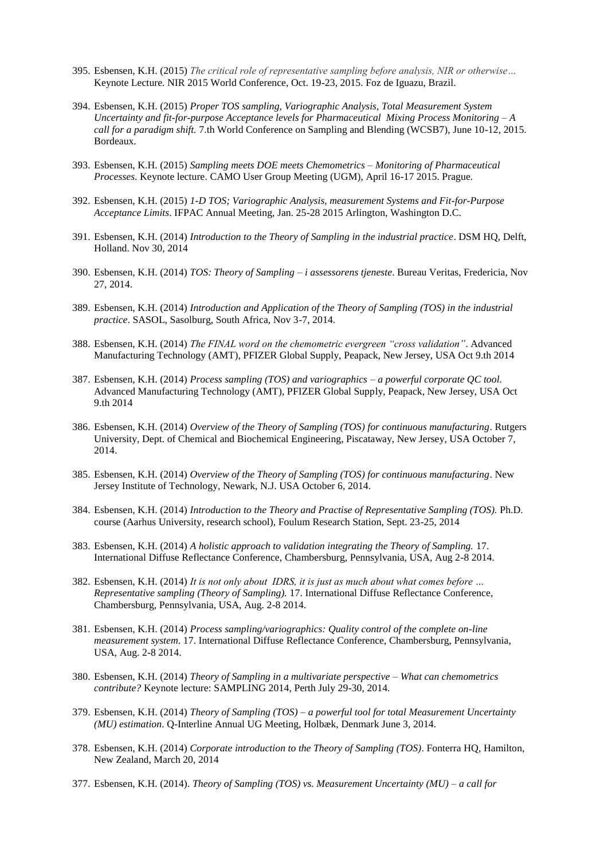- 395. Esbensen, K.H. (2015) *The critical role of representative sampling before analysis, NIR or otherwise…* Keynote Lecture. NIR 2015 World Conference, Oct. 19-23, 2015. Foz de Iguazu, Brazil.
- 394. Esbensen, K.H. (2015) *Proper TOS sampling, Variographic Analysis, Total Measurement System Uncertainty and fit-for-purpose Acceptance levels for Pharmaceutical Mixing Process Monitoring – A call for a paradigm shift.* 7.th World Conference on Sampling and Blending (WCSB7), June 10-12, 2015. Bordeaux.
- 393. Esbensen, K.H. (2015) *Sampling meets DOE meets Chemometrics – Monitoring of Pharmaceutical Processes*. Keynote lecture. CAMO User Group Meeting (UGM), April 16-17 2015. Prague.
- 392. Esbensen, K.H. (2015) *1-D TOS; Variographic Analysis, measurement Systems and Fit-for-Purpose Acceptance Limits*. IFPAC Annual Meeting, Jan. 25-28 2015 Arlington, Washington D.C.
- 391. Esbensen, K.H. (2014) *Introduction to the Theory of Sampling in the industrial practice*. DSM HQ, Delft, Holland. Nov 30, 2014
- 390. Esbensen, K.H. (2014) *TOS: Theory of Sampling – i assessorens tjeneste*. Bureau Veritas, Fredericia, Nov 27, 2014.
- 389. Esbensen, K.H. (2014) *Introduction and Application of the Theory of Sampling (TOS) in the industrial practice*. SASOL, Sasolburg, South Africa, Nov 3-7, 2014.
- 388. Esbensen, K.H. (2014) *The FINAL word on the chemometric evergreen "cross validation"*. Advanced Manufacturing Technology (AMT), PFIZER Global Supply, Peapack, New Jersey, USA Oct 9.th 2014
- 387. Esbensen, K.H. (2014) *Process sampling (TOS) and variographics – a powerful corporate QC tool.* Advanced Manufacturing Technology (AMT), PFIZER Global Supply, Peapack, New Jersey, USA Oct 9.th 2014
- 386. Esbensen, K.H. (2014) *Overview of the Theory of Sampling (TOS) for continuous manufacturing*. Rutgers University, Dept. of Chemical and Biochemical Engineering, Piscataway, New Jersey, USA October 7, 2014.
- 385. Esbensen, K.H. (2014) *Overview of the Theory of Sampling (TOS) for continuous manufacturing*. New Jersey Institute of Technology, Newark, N.J. USA October 6, 2014.
- 384. Esbensen, K.H. (2014) *Introduction to the Theory and Practise of Representative Sampling (TOS).* Ph.D. course (Aarhus University, research school), Foulum Research Station, Sept. 23-25, 2014
- 383. Esbensen, K.H. (2014) *A holistic approach to validation integrating the Theory of Sampling.* 17. International Diffuse Reflectance Conference, Chambersburg, Pennsylvania, USA, Aug 2-8 2014.
- 382. Esbensen, K.H. (2014) *It is not only about IDRS, it is just as much about what comes before … Representative sampling (Theory of Sampling).* 17. International Diffuse Reflectance Conference, Chambersburg, Pennsylvania, USA, Aug. 2-8 2014.
- 381. Esbensen, K.H. (2014) *Process sampling/variographics: Quality control of the complete on-line measurement system*. 17. International Diffuse Reflectance Conference, Chambersburg, Pennsylvania, USA, Aug. 2-8 2014.
- 380. Esbensen, K.H. (2014) *Theory of Sampling in a multivariate perspective – What can chemometrics contribute?* Keynote lecture: SAMPLING 2014, Perth July 29-30, 2014.
- 379. Esbensen, K.H. (2014) *Theory of Sampling (TOS) – a powerful tool for total Measurement Uncertainty (MU) estimation*. Q-Interline Annual UG Meeting, Holbæk, Denmark June 3, 2014.
- 378. Esbensen, K.H. (2014) *Corporate introduction to the Theory of Sampling (TOS)*. Fonterra HQ, Hamilton, New Zealand, March 20, 2014
- 377. Esbensen, K.H. (2014). *Theory of Sampling (TOS) vs. Measurement Uncertainty (MU) – a call for*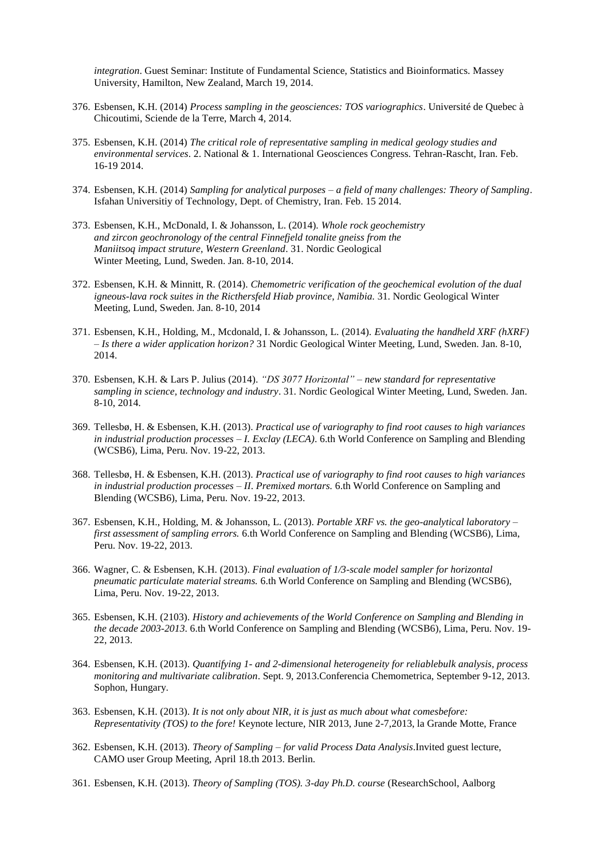*integration*. Guest Seminar: Institute of Fundamental Science, Statistics and Bioinformatics. Massey University, Hamilton, New Zealand, March 19, 2014.

- 376. Esbensen, K.H. (2014) *Process sampling in the geosciences: TOS variographics*. Université de Quebec à Chicoutimi, Sciende de la Terre, March 4, 2014.
- 375. Esbensen, K.H. (2014) *The critical role of representative sampling in medical geology studies and environmental services*. 2. National & 1. International Geosciences Congress. Tehran-Rascht, Iran. Feb. 16-19 2014.
- 374. Esbensen, K.H. (2014) *Sampling for analytical purposes – a field of many challenges: Theory of Sampling*. Isfahan Universitiy of Technology, Dept. of Chemistry, Iran. Feb. 15 2014.
- 373. Esbensen, K.H., McDonald, I. & Johansson, L. (2014). *Whole rock geochemistry and zircon geochronology of the central Finnefjeld tonalite gneiss from the Maniitsoq impact struture, Western Greenland*. 31. Nordic Geological Winter Meeting, Lund, Sweden. Jan. 8-10, 2014.
- 372. Esbensen, K.H. & Minnitt, R. (2014). *Chemometric verification of the geochemical evolution of the dual igneous-lava rock suites in the Ricthersfeld Hiab province, Namibia.* 31. Nordic Geological Winter Meeting, Lund, Sweden. Jan. 8-10, 2014
- 371. Esbensen, K.H., Holding, M., Mcdonald, I. & Johansson, L. (2014). *Evaluating the handheld XRF (hXRF) – Is there a wider application horizon?* 31 Nordic Geological Winter Meeting, Lund, Sweden. Jan. 8-10, 2014.
- 370. Esbensen, K.H. & Lars P. Julius (2014). *"DS 3077 Horizontal" – new standard for representative sampling in science, technology and industry*. 31. Nordic Geological Winter Meeting, Lund, Sweden. Jan. 8-10, 2014.
- 369. Tellesbø, H. & Esbensen, K.H. (2013). *Practical use of variography to find root causes to high variances in industrial production processes – I. Exclay (LECA)*. 6.th World Conference on Sampling and Blending (WCSB6), Lima, Peru. Nov. 19-22, 2013.
- 368. Tellesbø, H. & Esbensen, K.H. (2013). *Practical use of variography to find root causes to high variances in industrial production processes – II*. *Premixed mortars.* 6.th World Conference on Sampling and Blending (WCSB6), Lima, Peru. Nov. 19-22, 2013.
- 367. Esbensen, K.H., Holding, M. & Johansson, L. (2013). *Portable XRF vs. the geo-analytical laboratory – first assessment of sampling errors.* 6.th World Conference on Sampling and Blending (WCSB6), Lima, Peru. Nov. 19-22, 2013.
- 366. Wagner, C. & Esbensen, K.H. (2013). *Final evaluation of 1/3-scale model sampler for horizontal pneumatic particulate material streams.* 6.th World Conference on Sampling and Blending (WCSB6), Lima, Peru. Nov. 19-22, 2013.
- 365. Esbensen, K.H. (2103). *History and achievements of the World Conference on Sampling and Blending in the decade 2003-2013*. 6.th World Conference on Sampling and Blending (WCSB6), Lima, Peru. Nov. 19- 22, 2013.
- 364. Esbensen, K.H. (2013). *Quantifying 1- and 2-dimensional heterogeneity for reliablebulk analysis, process monitoring and multivariate calibration*. Sept. 9, 2013.Conferencia Chemometrica, September 9-12, 2013. Sophon, Hungary.
- 363. Esbensen, K.H. (2013). *It is not only about NIR, it is just as much about what comesbefore: Representativity (TOS) to the fore!* Keynote lecture, NIR 2013, June 2-7,2013, la Grande Motte, France
- 362. Esbensen, K.H. (2013). *Theory of Sampling – for valid Process Data Analysis*.Invited guest lecture, CAMO user Group Meeting, April 18.th 2013. Berlin.
- 361. Esbensen, K.H. (2013). *Theory of Sampling (TOS). 3-day Ph.D. course* (ResearchSchool, Aalborg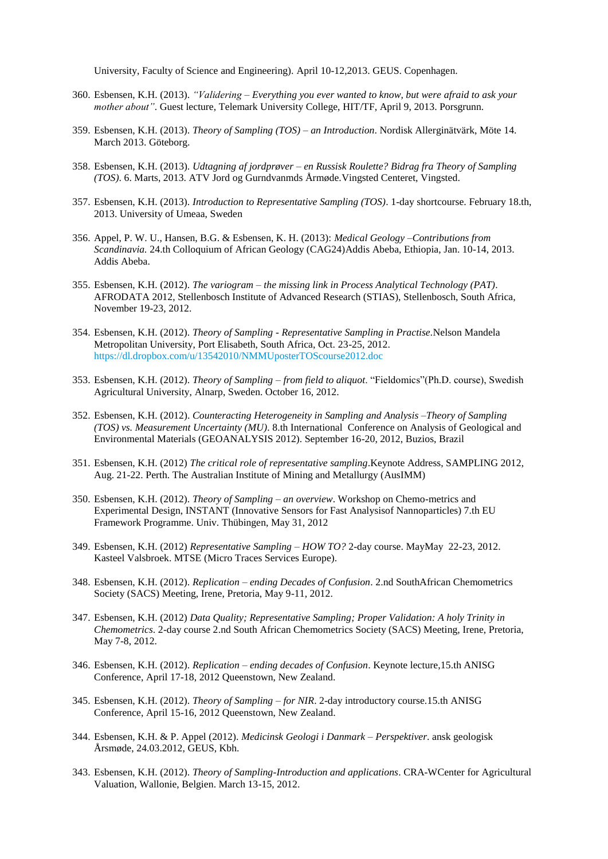University, Faculty of Science and Engineering). April 10-12,2013. GEUS. Copenhagen.

- 360. Esbensen, K.H. (2013). *"Validering – Everything you ever wanted to know, but were afraid to ask your mother about"*. Guest lecture, Telemark University College, HIT/TF, April 9, 2013. Porsgrunn.
- 359. Esbensen, K.H. (2013). *Theory of Sampling (TOS) – an Introduction*. Nordisk Allerginätvärk, Möte 14. March 2013. Göteborg.
- 358. Esbensen, K.H. (2013). *Udtagning af jordprøver – en Russisk Roulette? Bidrag fra Theory of Sampling (TOS)*. 6. Marts, 2013. ATV Jord og Gurndvanmds Årmøde.Vingsted Centeret, Vingsted.
- 357. Esbensen, K.H. (2013). *Introduction to Representative Sampling (TOS)*. 1-day shortcourse. February 18.th, 2013. University of Umeaa, Sweden
- 356. Appel, P. W. U., Hansen, B.G. & Esbensen, K. H. (2013): *Medical Geology –Contributions from Scandinavia.* 24.th Colloquium of African Geology (CAG24)Addis Abeba, Ethiopia, Jan. 10-14, 2013. Addis Abeba.
- 355. Esbensen, K.H. (2012). *The variogram – the missing link in Process Analytical Technology (PAT)*. AFRODATA 2012, Stellenbosch Institute of Advanced Research (STIAS), Stellenbosch, South Africa, November 19-23, 2012.
- 354. Esbensen, K.H. (2012). *Theory of Sampling - Representative Sampling in Practise.*Nelson Mandela Metropolitan University, Port Elisabeth, South Africa, Oct. 23-25, 2012. <https://dl.dropbox.com/u/13542010/NMMUposterTOScourse2012.doc>
- 353. Esbensen, K.H. (2012). *Theory of Sampling – from field to aliquot*. "Fieldomics"(Ph.D. course), Swedish Agricultural University, Alnarp, Sweden. October 16, 2012.
- 352. Esbensen, K.H. (2012). *Counteracting Heterogeneity in Sampling and Analysis –Theory of Sampling (TOS) vs. Measurement Uncertainty (MU)*. 8.th International Conference on Analysis of Geological and Environmental Materials (GEOANALYSIS 2012). September 16-20, 2012, Buzios, Brazil
- 351. Esbensen, K.H. (2012) *The critical role of representative sampling*.Keynote Address, SAMPLING 2012, Aug. 21-22. Perth. The Australian Institute of Mining and Metallurgy (AusIMM)
- 350. Esbensen, K.H. (2012). *Theory of Sampling – an overview*. Workshop on Chemo-metrics and Experimental Design, INSTANT (Innovative Sensors for Fast Analysisof Nannoparticles) 7.th EU Framework Programme. Univ. Thübingen, May 31, 2012
- 349. Esbensen, K.H. (2012) *Representative Sampling – HOW TO?* 2-day course. MayMay 22-23, 2012. Kasteel Valsbroek. MTSE (Micro Traces Services Europe).
- 348. Esbensen, K.H. (2012). *Replication – ending Decades of Confusion*. 2.nd SouthAfrican Chemometrics Society (SACS) Meeting, Irene, Pretoria, May 9-11, 2012.
- 347. Esbensen, K.H. (2012) *Data Quality; Representative Sampling; Proper Validation: A holy Trinity in Chemometrics*. 2-day course 2.nd South African Chemometrics Society (SACS) Meeting, Irene, Pretoria, May 7-8, 2012.
- 346. Esbensen, K.H. (2012). *Replication – ending decades of Confusion*. Keynote lecture,15.th ANISG Conference, April 17-18, 2012 Queenstown, New Zealand.
- 345. Esbensen, K.H. (2012). *Theory of Sampling – for NIR*. 2-day introductory course.15.th ANISG Conference, April 15-16, 2012 Queenstown, New Zealand.
- 344. Esbensen, K.H. & P. Appel (2012). *Medicinsk Geologi i Danmark – Perspektiver*. ansk geologisk Årsmøde, 24.03.2012, GEUS, Kbh.
- 343. Esbensen, K.H. (2012). *Theory of Sampling-Introduction and applications*. CRA-WCenter for Agricultural Valuation, Wallonie, Belgien. March 13-15, 2012.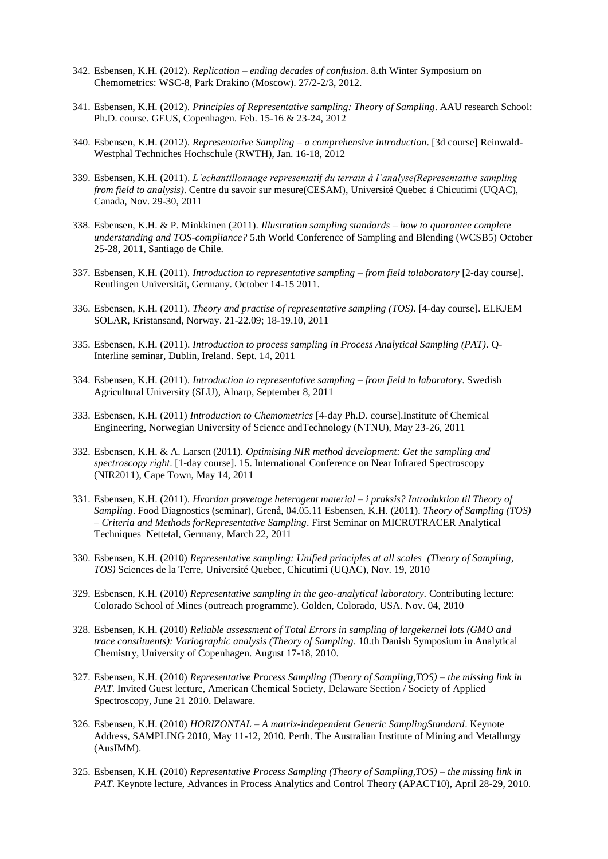- 342. Esbensen, K.H. (2012). *Replication – ending decades of confusion*. 8.th Winter Symposium on Chemometrics: WSC-8, Park Drakino (Moscow). 27/2-2/3, 2012.
- 341. Esbensen, K.H. (2012). *Principles of Representative sampling: Theory of Sampling*. AAU research School: Ph.D. course. GEUS, Copenhagen. Feb. 15-16 & 23-24, 2012
- 340. Esbensen, K.H. (2012). *Representative Sampling – a comprehensive introduction*. [3d course] Reinwald-Westphal Techniches Hochschule (RWTH), Jan. 16-18, 2012
- 339. Esbensen, K.H. (2011). *L'echantillonnage representatif du terrain á l'analyse(Representative sampling from field to analysis)*. Centre du savoir sur mesure(CESAM), Université Quebec á Chicutimi (UQAC), Canada, Nov. 29-30, 2011
- 338. Esbensen, K.H. & P. Minkkinen (2011). *Illustration sampling standards – how to quarantee complete understanding and TOS-compliance?* 5.th World Conference of Sampling and Blending (WCSB5) October 25-28, 2011, Santiago de Chile.
- 337. Esbensen, K.H. (2011). *Introduction to representative sampling – from field tolaboratory* [2-day course]. Reutlingen Universität, Germany. October 14-15 2011.
- 336. Esbensen, K.H. (2011). *Theory and practise of representative sampling (TOS)*. [4-day course]. ELKJEM SOLAR, Kristansand, Norway. 21-22.09; 18-19.10, 2011
- 335. Esbensen, K.H. (2011). *Introduction to process sampling in Process Analytical Sampling (PAT)*. Q-Interline seminar, Dublin, Ireland. Sept. 14, 2011
- 334. Esbensen, K.H. (2011). *Introduction to representative sampling – from field to laboratory*. Swedish Agricultural University (SLU), Alnarp, September 8, 2011
- 333. Esbensen, K.H. (2011) *Introduction to Chemometrics* [4-day Ph.D. course].Institute of Chemical Engineering, Norwegian University of Science andTechnology (NTNU), May 23-26, 2011
- 332. Esbensen, K.H. & A. Larsen (2011). *Optimising NIR method development: Get the sampling and spectroscopy right*. [1-day course]. 15. International Conference on Near Infrared Spectroscopy (NIR2011), Cape Town, May 14, 2011
- 331. Esbensen, K.H. (2011). *Hvordan prøvetage heterogent material – i praksis? Introduktion til Theory of Sampling*. Food Diagnostics (seminar), Grenå, 04.05.11 Esbensen, K.H. (2011). *Theory of Sampling (TOS) – Criteria and Methods forRepresentative Sampling*. First Seminar on MICROTRACER Analytical Techniques Nettetal, Germany, March 22, 2011
- 330. Esbensen, K.H. (2010) *Representative sampling: Unified principles at all scales (Theory of Sampling, TOS)* Sciences de la Terre, Université Quebec, Chicutimi (UQAC), Nov. 19, 2010
- 329. Esbensen, K.H. (2010) *Representative sampling in the geo-analytical laboratory.* Contributing lecture: Colorado School of Mines (outreach programme). Golden, Colorado, USA. Nov. 04, 2010
- 328. Esbensen, K.H. (2010) *Reliable assessment of Total Errors in sampling of largekernel lots (GMO and trace constituents): Variographic analysis (Theory of Sampling*. 10.th Danish Symposium in Analytical Chemistry, University of Copenhagen. August 17-18, 2010.
- 327. Esbensen, K.H. (2010) *Representative Process Sampling (Theory of Sampling,TOS) – the missing link in PAT*. Invited Guest lecture, American Chemical Society, Delaware Section / Society of Applied Spectroscopy, June 21 2010. Delaware.
- 326. Esbensen, K.H. (2010) *HORIZONTAL – A matrix-independent Generic SamplingStandard*. Keynote Address, SAMPLING 2010, May 11-12, 2010. Perth. The Australian Institute of Mining and Metallurgy (AusIMM).
- 325. Esbensen, K.H. (2010) *Representative Process Sampling (Theory of Sampling,TOS) – the missing link in PAT*. Keynote lecture, Advances in Process Analytics and Control Theory (APACT10), April 28-29, 2010.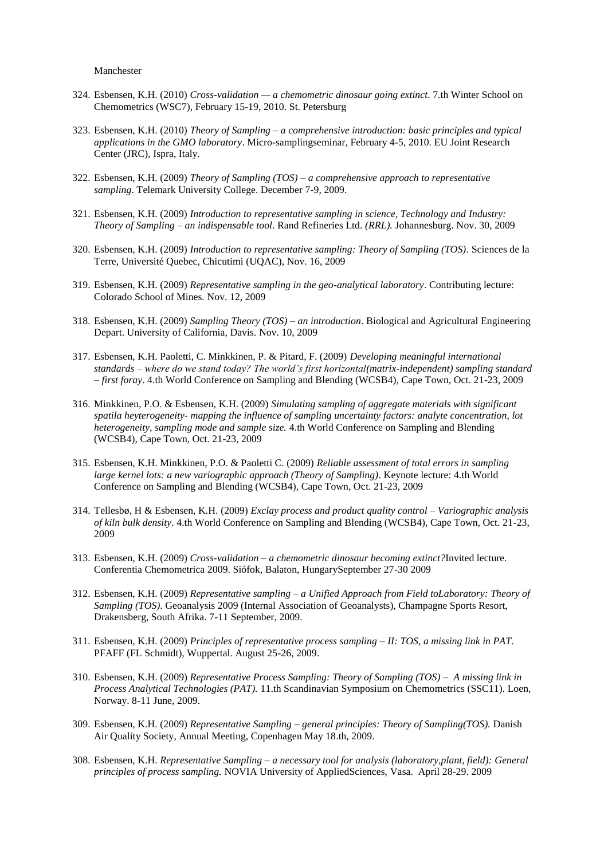Manchester

- 324. Esbensen, K.H. (2010) *Cross-validation — [a chemometric dinosaur going extinct](http://wsc.chemometrics.ru/wsc7/program/presentation/15)*. 7.th Winter School on Chemometrics (WSC7), February 15-19, 2010. St. Petersburg
- 323. Esbensen, K.H. (2010) *Theory of Sampling – a comprehensive introduction: basic principles and typical applications in the GMO laboratory*. Micro-samplingseminar, February 4-5, 2010. EU Joint Research Center (JRC), Ispra, Italy.
- 322. Esbensen, K.H. (2009) *Theory of Sampling (TOS) – a comprehensive approach to representative sampling*. Telemark University College. December 7-9, 2009.
- 321. Esbensen, K.H. (2009) *Introduction to representative sampling in science, Technology and Industry: Theory of Sampling – an indispensable tool*. Rand Refineries Ltd. *(RRL).* Johannesburg. Nov. 30, 2009
- 320. Esbensen, K.H. (2009) *Introduction to representative sampling: Theory of Sampling (TOS)*. Sciences de la Terre, Université Quebec, Chicutimi (UQAC), Nov. 16, 2009
- 319. Esbensen, K.H. (2009) *Representative sampling in the geo-analytical laboratory*. Contributing lecture: Colorado School of Mines. Nov. 12, 2009
- 318. Esbensen, K.H. (2009) *Sampling Theory (TOS) – an introduction*. Biological and Agricultural Engineering Depart. University of California, Davis. Nov. 10, 2009
- 317. Esbensen, K.H. Paoletti, C. Minkkinen, P. & Pitard, F. (2009) *Developing meaningful international standards – where do we stand today? The world's first horizontal(matrix-independent) sampling standard – first foray*. 4.th World Conference on Sampling and Blending (WCSB4), Cape Town, Oct. 21-23, 2009
- 316. Minkkinen, P.O. & Esbensen, K.H. (2009) *Simulating sampling of aggregate materials with significant spatila heyterogeneity- mapping the influence of sampling uncertainty factors: analyte concentration, lot heterogeneity, sampling mode and sample size.* 4.th World Conference on Sampling and Blending (WCSB4), Cape Town, Oct. 21-23, 2009
- 315. Esbensen, K.H. Minkkinen, P.O. & Paoletti C. (2009) *Reliable assessment of total errors in sampling large kernel lots: a new variographic approach (Theory of Sampling)*. Keynote lecture: 4.th World Conference on Sampling and Blending (WCSB4), Cape Town, Oct. 21-23, 2009
- 314. Tellesbø, H & Esbensen, K.H. (2009) *Exclay process and product quality control – Variographic analysis of kiln bulk density*. 4.th World Conference on Sampling and Blending (WCSB4), Cape Town, Oct. 21-23, 2009
- 313. Esbensen, K.H. (2009) *Cross-validation – a chemometric dinosaur becoming extinct?*Invited lecture. Conferentia Chemometrica 2009. Siófok, Balaton, HungarySeptember 27-30 2009
- 312. Esbensen, K.H. (2009) *Representative sampling – a Unified Approach from Field toLaboratory: Theory of Sampling (TOS)*. Geoanalysis 2009 (Internal Association of Geoanalysts), Champagne Sports Resort, Drakensberg, South Afrika. 7-11 September, 2009.
- 311. Esbensen, K.H. (2009) *Principles of representative process sampling – II: TOS, a missing link in PAT*. PFAFF (FL Schmidt), Wuppertal. August 25-26, 2009.
- 310. Esbensen, K.H. (2009) *Representative Process Sampling: Theory of Sampling (TOS) – A missing link in Process Analytical Technologies (PAT).* 11.th Scandinavian Symposium on Chemometrics (SSC11). Loen, Norway. 8-11 June, 2009.
- 309. Esbensen, K.H. (2009) *Representative Sampling – general principles: Theory of Sampling(TOS).* Danish Air Quality Society, Annual Meeting, Copenhagen May 18.th, 2009.
- 308. Esbensen, K.H. *Representative Sampling – a necessary tool for analysis (laboratory,plant, field): General principles of process sampling.* NOVIA University of AppliedSciences, Vasa. April 28-29. 2009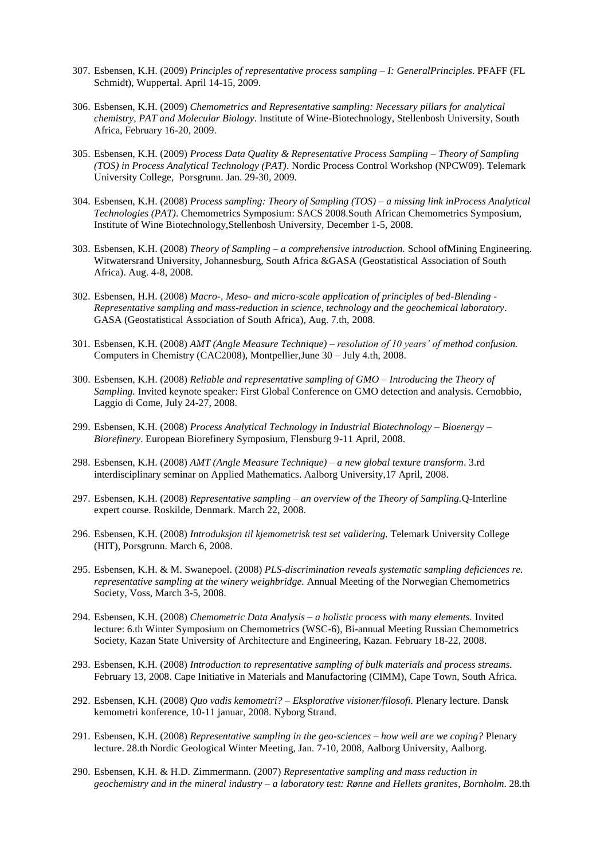- 307. Esbensen, K.H. (2009) *Principles of representative process sampling – I: GeneralPrinciples*. PFAFF (FL Schmidt), Wuppertal. April 14-15, 2009.
- 306. Esbensen, K.H. (2009) *Chemometrics and Representative sampling: Necessary pillars for analytical chemistry, PAT and Molecular Biology*. Institute of Wine-Biotechnology, Stellenbosh University, South Africa, February 16-20, 2009.
- 305. Esbensen, K.H. (2009) *Process Data Quality & Representative Process Sampling – Theory of Sampling (TOS) in Process Analytical Technology (PAT)*. Nordic Process Control Workshop (NPCW09). Telemark University College, Porsgrunn. Jan. 29-30, 2009.
- 304. Esbensen, K.H. (2008) *Process sampling: Theory of Sampling (TOS) – a missing link inProcess Analytical Technologies (PAT)*. Chemometrics Symposium: SACS 2008.South African Chemometrics Symposium, Institute of Wine Biotechnology,Stellenbosh University, December 1-5, 2008.
- 303. Esbensen, K.H. (2008) *Theory of Sampling – a comprehensive introduction.* School ofMining Engineering. Witwatersrand University, Johannesburg, South Africa &GASA (Geostatistical Association of South Africa). Aug. 4-8, 2008.
- 302. Esbensen, H.H. (2008) *Macro-, Meso- and micro-scale application of principles of bed-Blending - Representative sampling and mass-reduction in science, technology and the geochemical laboratory*. GASA (Geostatistical Association of South Africa), Aug. 7.th, 2008.
- 301. Esbensen, K.H. (2008) *AMT (Angle Measure Technique) – resolution of 10 years' of method confusion.* Computers in Chemistry (CAC2008), Montpellier,June 30 – July 4.th, 2008.
- 300. Esbensen, K.H. (2008) *Reliable and representative sampling of GMO – Introducing the Theory of Sampling.* Invited keynote speaker: First Global Conference on GMO detection and analysis. Cernobbio, Laggio di Come, July 24-27, 2008.
- 299. Esbensen, K.H. (2008) *Process Analytical Technology in Industrial Biotechnology – Bioenergy – Biorefinery*. European Biorefinery Symposium, Flensburg 9-11 April, 2008.
- 298. Esbensen, K.H. (2008) *AMT (Angle Measure Technique) – a new global texture transform*. 3.rd interdisciplinary seminar on Applied Mathematics. Aalborg University,17 April, 2008.
- 297. Esbensen, K.H. (2008) *Representative sampling – an overview of the Theory of Sampling.*Q-Interline expert course. Roskilde, Denmark. March 22, 2008.
- 296. Esbensen, K.H. (2008) *Introduksjon til kjemometrisk test set validering.* Telemark University College (HIT), Porsgrunn. March 6, 2008.
- 295. Esbensen, K.H. & M. Swanepoel. (2008) *PLS-discrimination reveals systematic sampling deficiences re. representative sampling at the winery weighbridge.* Annual Meeting of the Norwegian Chemometrics Society, Voss, March 3-5, 2008.
- 294. Esbensen, K.H. (2008) *Chemometric Data Analysis – a holistic process with many elements.* Invited lecture: 6.th Winter Symposium on Chemometrics (WSC-6), Bi-annual Meeting Russian Chemometrics Society, Kazan State University of Architecture and Engineering, Kazan. February 18-22, 2008.
- 293. Esbensen, K.H. (2008) *Introduction to representative sampling of bulk materials and process streams.* February 13, 2008. Cape Initiative in Materials and Manufactoring (CIMM), Cape Town, South Africa.
- 292. Esbensen, K.H. (2008) *Quo vadis kemometri? – Eksplorative visioner/filosofi.* Plenary lecture. Dansk kemometri konference, 10-11 januar, 2008. Nyborg Strand.
- 291. Esbensen, K.H. (2008) *Representative sampling in the geo-sciences – how well are we coping?* Plenary lecture. 28.th Nordic Geological Winter Meeting, Jan. 7-10, 2008, Aalborg University, Aalborg.
- 290. Esbensen, K.H. & H.D. Zimmermann. (2007) *Representative sampling and mass reduction in geochemistry and in the mineral industry – a laboratory test: Rønne and Hellets granites*, *Bornholm*. 28.th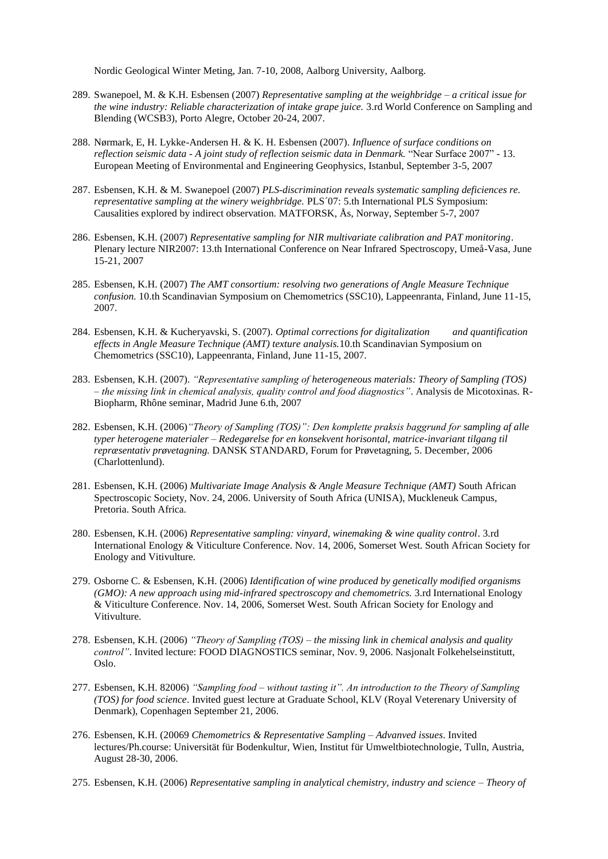Nordic Geological Winter Meting, Jan. 7-10, 2008, Aalborg University, Aalborg.

- 289. Swanepoel, M. & K.H. Esbensen (2007) *Representative sampling at the weighbridge – a critical issue for the wine industry: Reliable characterization of intake grape juice.* 3.rd World Conference on Sampling and Blending (WCSB3), Porto Alegre, October 20-24, 2007.
- 288. Nørmark, E, H. Lykke-Andersen H. & K. H. Esbensen (2007). *Influence of surface conditions on reflection seismic data - A joint study of reflection seismic data in Denmark.* "Near Surface 2007" - 13. European Meeting of Environmental and Engineering Geophysics, Istanbul, September 3-5, 2007
- 287. Esbensen, K.H. & M. Swanepoel (2007) *PLS-discrimination reveals systematic sampling deficiences re. representative sampling at the winery weighbridge.* PLS´07: 5.th International PLS Symposium: Causalities explored by indirect observation. MATFORSK, Ås, Norway, September 5-7, 2007
- 286. Esbensen, K.H. (2007) *Representative sampling for NIR multivariate calibration and PAT monitoring*. Plenary lecture NIR2007: 13.th International Conference on Near Infrared Spectroscopy, Umeå-Vasa, June 15-21, 2007
- 285. Esbensen, K.H. (2007) *The AMT consortium: resolving two generations of Angle Measure Technique confusion.* 10.th Scandinavian Symposium on Chemometrics (SSC10), Lappeenranta, Finland, June 11-15, 2007.
- 284. Esbensen, K.H. & Kucheryavski, S. (2007). *Optimal corrections for digitalization and quantification effects in Angle Measure Technique (AMT) texture analysis.*10.th Scandinavian Symposium on Chemometrics (SSC10), Lappeenranta, Finland, June 11-15, 2007.
- 283. Esbensen, K.H. (2007). *"Representative sampling of heterogeneous materials: Theory of Sampling (TOS) – the missing link in chemical analysis, quality control and food diagnostics"*. Analysis de Micotoxinas. R-Biopharm, Rhône seminar, Madrid June 6.th, 2007
- 282. Esbensen, K.H. (2006)*"Theory of Sampling (TOS)": Den komplette praksis baggrund for sampling af alle typer heterogene materialer – Redegørelse for en konsekvent horisontal, matrice-invariant tilgang til repræsentativ prøvetagning.* DANSK STANDARD, Forum for Prøvetagning, 5. December, 2006 (Charlottenlund).
- 281. Esbensen, K.H. (2006) *Multivariate Image Analysis & Angle Measure Technique (AMT)* South African Spectroscopic Society, Nov. 24, 2006. University of South Africa (UNISA), Muckleneuk Campus, Pretoria. South Africa.
- 280. Esbensen, K.H. (2006) *Representative sampling: vinyard, winemaking & wine quality control*. 3.rd International Enology & Viticulture Conference. Nov. 14, 2006, Somerset West. South African Society for Enology and Vitivulture.
- 279. Osborne C. & Esbensen, K.H. (2006) *Identification of wine produced by genetically modified organisms (GMO): A new approach using mid-infrared spectroscopy and chemometrics.* 3.rd International Enology & Viticulture Conference. Nov. 14, 2006, Somerset West. South African Society for Enology and Vitivulture.
- 278. Esbensen, K.H. (2006) *"Theory of Sampling (TOS) – the missing link in chemical analysis and quality control"*. Invited lecture: FOOD DIAGNOSTICS seminar, Nov. 9, 2006. Nasjonalt Folkehelseinstitutt, Oslo.
- 277. Esbensen, K.H. 82006) *"Sampling food – without tasting it". An introduction to the Theory of Sampling (TOS) for food science*. Invited guest lecture at Graduate School, KLV (Royal Veterenary University of Denmark), Copenhagen September 21, 2006.
- 276. Esbensen, K.H. (20069 *Chemometrics & Representative Sampling – Advanved issues*. Invited lectures/Ph.course: Universität für Bodenkultur, Wien, Institut für Umweltbiotechnologie, Tulln, Austria, August 28-30, 2006.
- 275. Esbensen, K.H. (2006) *Representative sampling in analytical chemistry, industry and science – Theory of*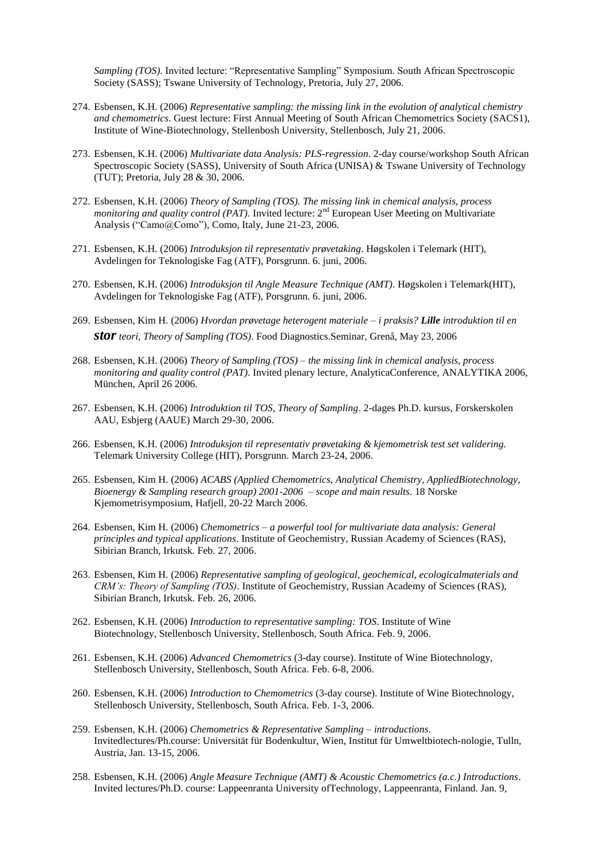*Sampling (TOS)*. Invited lecture: "Representative Sampling" Symposium. South African Spectroscopic Society (SASS); Tswane University of Technology, Pretoria, July 27, 2006.

- 274. Esbensen, K.H. (2006) *Representative sampling: the missing link in the evolution of analytical chemistry and chemometrics*. Guest lecture: First Annual Meeting of South African Chemometrics Society (SACS1), Institute of Wine-Biotechnology, Stellenbosh University, Stellenbosch, July 21, 2006.
- 273. Esbensen, K.H. (2006) *Multivariate data Analysis: PLS-regression*. 2-day course/workshop South African Spectroscopic Society (SASS), University of South Africa (UNISA) & Tswane University of Technology (TUT); Pretoria, July 28 & 30, 2006.
- 272. Esbensen, K.H. (2006) *Theory of Sampling (TOS). The missing link in chemical analysis, process monitoring and quality control (PAT)*. Invited lecture: 2<sup>nd</sup> European User Meeting on Multivariate Analysis ("Camo@Como"), Como, Italy, June 21-23, 2006.
- 271. Esbensen, K.H. (2006) *Introduksjon til representativ prøvetaking*. Høgskolen i Telemark (HIT), Avdelingen for Teknologiske Fag (ATF), Porsgrunn. 6. juni, 2006.
- 270. Esbensen, K.H. (2006) *Introduksjon til Angle Measure Technique (AMT)*. Høgskolen i Telemark(HIT), Avdelingen for Teknologiske Fag (ATF), Porsgrunn. 6. juni, 2006.
- 269. Esbensen, Kim H. (2006) *Hvordan prøvetage heterogent materiale – i praksis? Lille introduktion til en storteori, Theory of Sampling (TOS)*. Food Diagnostics.Seminar, Grenå, May 23, 2006
- 268. Esbensen, K.H. (2006) *Theory of Sampling (TOS) – the missing link in chemical analysis, process monitoring and quality control (PAT)*. Invited plenary lecture, AnalyticaConference, ANALYTIKA 2006, München, April 26 2006.
- 267. Esbensen, K.H. (2006) *Introduktion til TOS, Theory of Sampling*. 2-dages Ph.D. kursus, Forskerskolen AAU, Esbjerg (AAUE) March 29-30, 2006.
- 266. Esbensen, K.H. (2006) *Introduksjon til representativ prøvetaking & kjemometrisk test set validering.* Telemark University College (HIT), Porsgrunn. March 23-24, 2006.
- 265. Esbensen, Kim H. (2006) *ACABS (Applied Chemometrics, Analytical Chemistry, AppliedBiotechnology, Bioenergy & Sampling research group) 2001-2006 – scope and main results*. 18 Norske Kjemometrisymposium, Hafjell, 20-22 March 2006.
- 264. Esbensen, Kim H. (2006) *Chemometrics – a powerful tool for multivariate data analysis: General principles and typical applications*. Institute of Geochemistry, Russian Academy of Sciences (RAS), Sibirian Branch, Irkutsk. Feb. 27, 2006.
- 263. Esbensen, Kim H. (2006) *Representative sampling of geological, geochemical, ecologicalmaterials and CRM's: Theory of Sampling (TOS)*. Institute of Geochemistry, Russian Academy of Sciences (RAS), Sibirian Branch, Irkutsk. Feb. 26, 2006.
- 262. Esbensen, K.H. (2006) *Introduction to representative sampling: TOS*. Institute of Wine Biotechnology, Stellenbosch University, Stellenbosch, South Africa. Feb. 9, 2006.
- 261. Esbensen, K.H. (2006) *Advanced Chemometrics* (3-day course). Institute of Wine Biotechnology, Stellenbosch University, Stellenbosch, South Africa. Feb. 6-8, 2006.
- 260. Esbensen, K.H. (2006) *Introduction to Chemometrics* (3-day course). Institute of Wine Biotechnology, Stellenbosch University, Stellenbosch, South Africa. Feb. 1-3, 2006.
- 259. Esbensen, K.H. (2006) *Chemometrics & Representative Sampling – introductions*. Invitedlectures/Ph.course: Universität für Bodenkultur, Wien, Institut für Umweltbiotech-nologie, Tulln, Austria, Jan. 13-15, 2006.
- 258. Esbensen, K.H. (2006) *Angle Measure Technique (AMT) & Acoustic Chemometrics (a.c.) Introductions*. Invited lectures/Ph.D. course: Lappeenranta University ofTechnology, Lappeenranta, Finland. Jan. 9,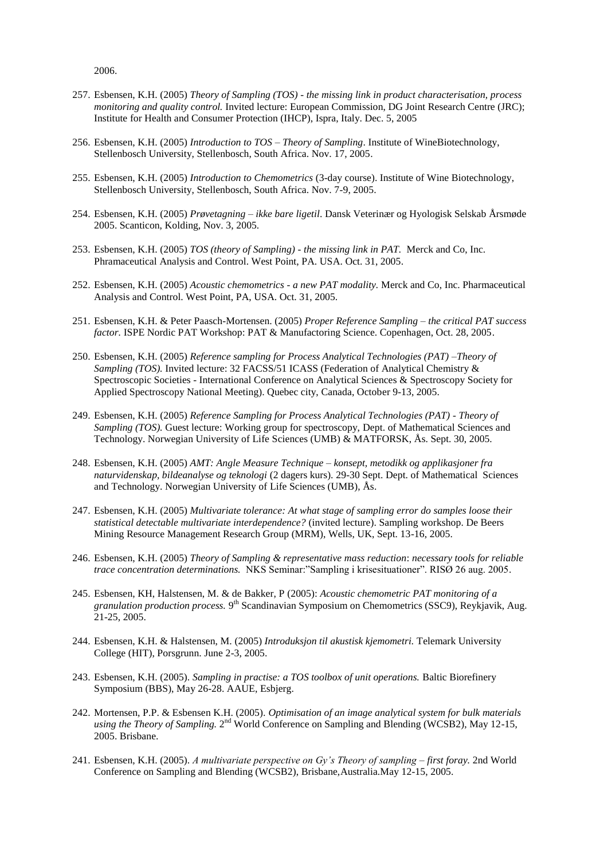2006.

- 257. Esbensen, K.H. (2005) *Theory of Sampling (TOS) - the missing link in product characterisation, process monitoring and quality control.* Invited lecture: European Commission, DG Joint Research Centre (JRC); Institute for Health and Consumer Protection (IHCP), Ispra, Italy. Dec. 5, 2005
- 256. Esbensen, K.H. (2005) *Introduction to TOS – Theory of Sampling*. Institute of WineBiotechnology, Stellenbosch University, Stellenbosch, South Africa. Nov. 17, 2005.
- 255. Esbensen, K.H. (2005) *Introduction to Chemometrics* (3-day course). Institute of Wine Biotechnology, Stellenbosch University, Stellenbosch, South Africa. Nov. 7-9, 2005.
- 254. Esbensen, K.H. (2005) *Prøvetagning – ikke bare ligetil*. Dansk Veterinær og Hyologisk Selskab Årsmøde 2005. Scanticon, Kolding, Nov. 3, 2005.
- 253. Esbensen, K.H. (2005) *TOS (theory of Sampling) - the missing link in PAT.*Merck and Co, Inc. Phramaceutical Analysis and Control. West Point, PA. USA. Oct. 31, 2005.
- 252. Esbensen, K.H. (2005) *Acoustic chemometrics - a new PAT modality.* Merck and Co, Inc. Pharmaceutical Analysis and Control. West Point, PA, USA. Oct. 31, 2005.
- 251. Esbensen, K.H. & Peter Paasch-Mortensen. (2005) *Proper Reference Sampling – the critical PAT success factor.* ISPE Nordic PAT Workshop: PAT & Manufactoring Science. Copenhagen, Oct. 28, 2005.
- 250. Esbensen, K.H. (2005) *Reference sampling for Process Analytical Technologies (PAT) –Theory of Sampling (TOS).* Invited lecture: 32 FACSS/51 ICASS (Federation of Analytical Chemistry & Spectroscopic Societies - International Conference on Analytical Sciences & Spectroscopy Society for Applied Spectroscopy National Meeting). Quebec city, Canada, October 9-13, 2005.
- 249. Esbensen, K.H. (2005) *Reference Sampling for Process Analytical Technologies (PAT) - Theory of Sampling (TOS).* Guest lecture: Working group for spectroscopy, Dept. of Mathematical Sciences and Technology. Norwegian University of Life Sciences (UMB) & MATFORSK, Ås. Sept. 30, 2005.
- 248. Esbensen, K.H. (2005) *AMT: Angle Measure Technique – konsept, metodikk og applikasjoner fra naturvidenskap, bildeanalyse og teknologi* (2 dagers kurs). 29-30 Sept. Dept. of Mathematical Sciences and Technology. Norwegian University of Life Sciences (UMB), Ås.
- 247. Esbensen, K.H. (2005) *Multivariate tolerance: At what stage of sampling error do samples loose their statistical detectable multivariate interdependence?* (invited lecture). Sampling workshop. De Beers Mining Resource Management Research Group (MRM), Wells, UK, Sept. 13-16, 2005.
- 246. Esbensen, K.H. (2005) *Theory of Sampling & representative mass reduction*: *necessary tools for reliable trace concentration determinations.* NKS Seminar:"Sampling i krisesituationer". RISØ 26 aug. 2005.
- 245. Esbensen, KH, Halstensen, M. & de Bakker, P (2005): *Acoustic chemometric PAT monitoring of a*  granulation production process. 9<sup>th</sup> Scandinavian Symposium on Chemometrics (SSC9), Reykjavik, Aug. 21-25, 2005.
- 244. Esbensen, K.H. & Halstensen, M. (2005) *Introduksjon til akustisk kjemometri.* Telemark University College (HIT), Porsgrunn. June 2-3, 2005.
- 243. Esbensen, K.H. (2005). *Sampling in practise: a TOS toolbox of unit operations.* Baltic Biorefinery Symposium (BBS), May 26-28. AAUE, Esbjerg.
- 242. Mortensen, P.P. & Esbensen K.H. (2005). *Optimisation of an image analytical system for bulk materials*  using the Theory of Sampling. 2<sup>nd</sup> World Conference on Sampling and Blending (WCSB2), May 12-15, 2005. Brisbane.
- 241. Esbensen, K.H. (2005). *A multivariate perspective on Gy's Theory of sampling – first foray.* 2nd World Conference on Sampling and Blending (WCSB2), Brisbane,Australia.May 12-15, 2005.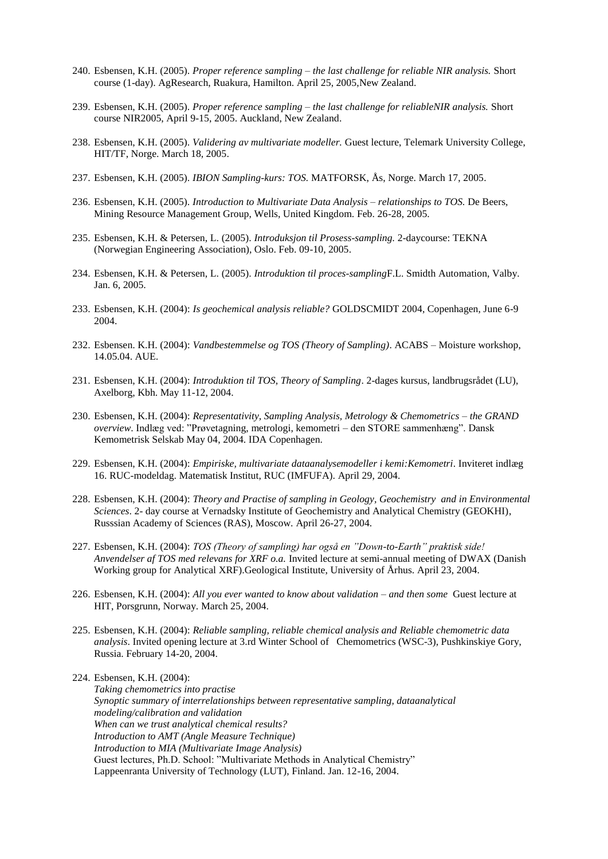- 240. Esbensen, K.H. (2005). *Proper reference sampling – the last challenge for reliable NIR analysis.* Short course (1-day). AgResearch, Ruakura, Hamilton. April 25, 2005,New Zealand.
- 239. Esbensen, K.H. (2005). *Proper reference sampling – the last challenge for reliableNIR analysis.* Short course NIR2005, April 9-15, 2005. Auckland, New Zealand.
- 238. Esbensen, K.H. (2005). *Validering av multivariate modeller.* Guest lecture, Telemark University College, HIT/TF, Norge. March 18, 2005.
- 237. Esbensen, K.H. (2005). *IBION Sampling-kurs: TOS.* MATFORSK, Ås, Norge. March 17, 2005.
- 236. Esbensen, K.H. (2005). *Introduction to Multivariate Data Analysis – relationships to TOS.* De Beers, Mining Resource Management Group, Wells, United Kingdom. Feb. 26-28, 2005.
- 235. Esbensen, K.H. & Petersen, L. (2005). *Introduksjon til Prosess-sampling.* 2-daycourse: TEKNA (Norwegian Engineering Association), Oslo. Feb. 09-10, 2005.
- 234. Esbensen, K.H. & Petersen, L. (2005). *Introduktion til proces-sampling*F.L. Smidth Automation, Valby. Jan. 6, 2005.
- 233. Esbensen, K.H. (2004): *Is geochemical analysis reliable?* GOLDSCMIDT 2004, Copenhagen, June 6-9 2004.
- 232. Esbensen. K.H. (2004): *Vandbestemmelse og TOS (Theory of Sampling)*. ACABS Moisture workshop, 14.05.04. AUE.
- 231. Esbensen, K.H. (2004): *Introduktion til TOS, Theory of Sampling*. 2-dages kursus, landbrugsrådet (LU), Axelborg, Kbh. May 11-12, 2004.
- 230. Esbensen, K.H. (2004): *Representativity, Sampling Analysis, Metrology & Chemometrics – the GRAND overview*. Indlæg ved: "Prøvetagning, metrologi, kemometri – den STORE sammenhæng". Dansk Kemometrisk Selskab May 04, 2004. IDA Copenhagen.
- 229. Esbensen, K.H. (2004): *Empiriske, multivariate dataanalysemodeller i kemi:Kemometri*. Inviteret indlæg 16. RUC-modeldag. Matematisk Institut, RUC (IMFUFA). April 29, 2004.
- 228. Esbensen, K.H. (2004): *Theory and Practise of sampling in Geology, Geochemistry and in Environmental Sciences*. 2- day course at Vernadsky Institute of Geochemistry and Analytical Chemistry (GEOKHI), Russsian Academy of Sciences (RAS), Moscow. April 26-27, 2004.
- 227. Esbensen, K.H. (2004): *TOS (Theory of sampling) har også en "Down-to-Earth" praktisk side! Anvendelser af TOS med relevans for XRF o.a.* Invited lecture at semi-annual meeting of DWAX (Danish Working group for Analytical XRF).Geological Institute, University of Århus. April 23, 2004.
- 226. Esbensen, K.H. (2004): *All you ever wanted to know about validation – and then some* Guest lecture at HIT, Porsgrunn, Norway. March 25, 2004.
- 225. Esbensen, K.H. (2004): *Reliable sampling, reliable chemical analysis and Reliable chemometric data analysis*. Invited opening lecture at 3.rd Winter School of Chemometrics (WSC-3), Pushkinskiye Gory, Russia. February 14-20, 2004.

224. Esbensen, K.H. (2004): *Taking chemometrics into practise Synoptic summary of interrelationships between representative sampling, dataanalytical modeling/calibration and validation When can we trust analytical chemical results? Introduction to AMT (Angle Measure Technique) Introduction to MIA (Multivariate Image Analysis)* Guest lectures, Ph.D. School: "Multivariate Methods in Analytical Chemistry" Lappeenranta University of Technology (LUT), Finland. Jan. 12-16, 2004.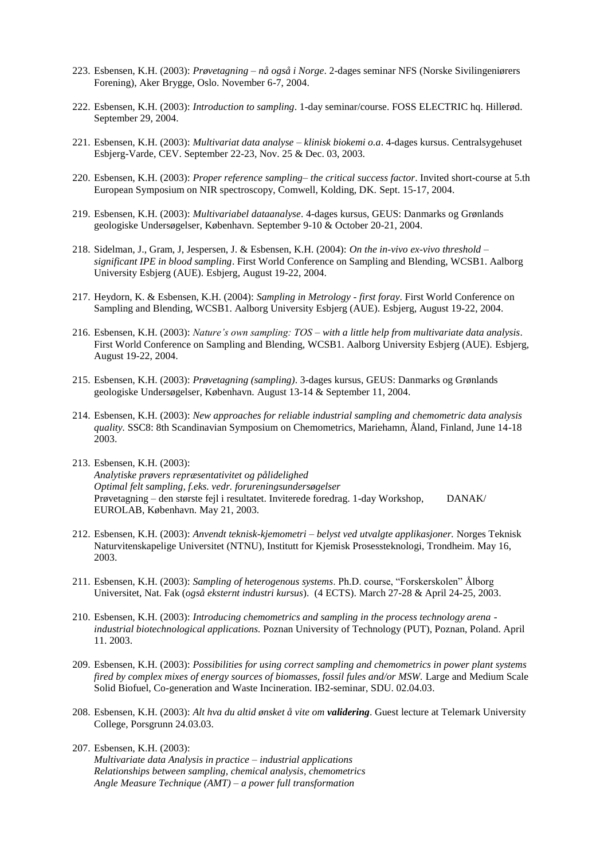- 223. Esbensen, K.H. (2003): *Prøvetagning – nå også i Norge*. 2-dages seminar NFS (Norske Sivilingeniørers Forening), Aker Brygge, Oslo. November 6-7, 2004.
- 222. Esbensen, K.H. (2003): *Introduction to sampling*. 1-day seminar/course. FOSS ELECTRIC hq. Hillerød. September 29, 2004.
- 221. Esbensen, K.H. (2003): *Multivariat data analyse – klinisk biokemi o.a*. 4-dages kursus. Centralsygehuset Esbjerg-Varde, CEV. September 22-23, Nov. 25 & Dec. 03, 2003.
- 220. Esbensen, K.H. (2003): *Proper reference sampling– the critical success factor*. Invited short-course at 5.th European Symposium on NIR spectroscopy, Comwell, Kolding, DK. Sept. 15-17, 2004.
- 219. Esbensen, K.H. (2003): *Multivariabel dataanalyse*. 4-dages kursus, GEUS: Danmarks og Grønlands geologiske Undersøgelser, København. September 9-10 & October 20-21, 2004.
- 218. Sidelman, J., Gram, J, Jespersen, J. & Esbensen, K.H. (2004): *On the in-vivo ex-vivo threshold – significant IPE in blood sampling*. First World Conference on Sampling and Blending, WCSB1. Aalborg University Esbjerg (AUE). Esbjerg, August 19-22, 2004.
- 217. Heydorn, K. & Esbensen, K.H. (2004): *Sampling in Metrology - first foray*. First World Conference on Sampling and Blending, WCSB1. Aalborg University Esbjerg (AUE). Esbjerg, August 19-22, 2004.
- 216. Esbensen, K.H. (2003): *Nature's own sampling: TOS – with a little help from multivariate data analysis*. First World Conference on Sampling and Blending, WCSB1. Aalborg University Esbjerg (AUE). Esbjerg, August 19-22, 2004.
- 215. Esbensen, K.H. (2003): *Prøvetagning (sampling)*. 3-dages kursus, GEUS: Danmarks og Grønlands geologiske Undersøgelser, København. August 13-14 & September 11, 2004.
- 214. Esbensen, K.H. (2003): *New approaches for reliable industrial sampling and chemometric data analysis quality.* SSC8: 8th Scandinavian Symposium on Chemometrics, Mariehamn, Åland, Finland, June 14-18 2003.
- 213. Esbensen, K.H. (2003): *Analytiske prøvers repræsentativitet og pålidelighed Optimal felt sampling, f.eks. vedr. forureningsundersøgelser* Prøvetagning – den største fejl i resultatet. Inviterede foredrag. 1-day Workshop, DANAK/ EUROLAB, København. May 21, 2003.
- 212. Esbensen, K.H. (2003): *Anvendt teknisk-kjemometri – belyst ved utvalgte applikasjoner.* Norges Teknisk Naturvitenskapelige Universitet (NTNU), Institutt for Kjemisk Prosessteknologi, Trondheim. May 16, 2003.
- 211. Esbensen, K.H. (2003): *Sampling of heterogenous systems*. Ph.D. course, "Forskerskolen" Ålborg Universitet, Nat. Fak (*også eksternt industri kursus*). (4 ECTS). March 27-28 & April 24-25, 2003.
- 210. Esbensen, K.H. (2003): *Introducing chemometrics and sampling in the process technology arena industrial biotechnological applications.* Poznan University of Technology (PUT), Poznan, Poland. April 11. 2003.
- 209. Esbensen, K.H. (2003): *Possibilities for using correct sampling and chemometrics in power plant systems fired by complex mixes of energy sources of biomasses, fossil fules and/or MSW.* Large and Medium Scale Solid Biofuel, Co-generation and Waste Incineration. IB2-seminar, SDU. 02.04.03.
- 208. Esbensen, K.H. (2003): *Alt hva du altid ønsket å vite om validering*. Guest lecture at Telemark University College, Porsgrunn 24.03.03.
- 207. Esbensen, K.H. (2003): *Multivariate data Analysis in practice – industrial applications Relationships between sampling, chemical analysis, chemometrics Angle Measure Technique (AMT) – a power full transformation*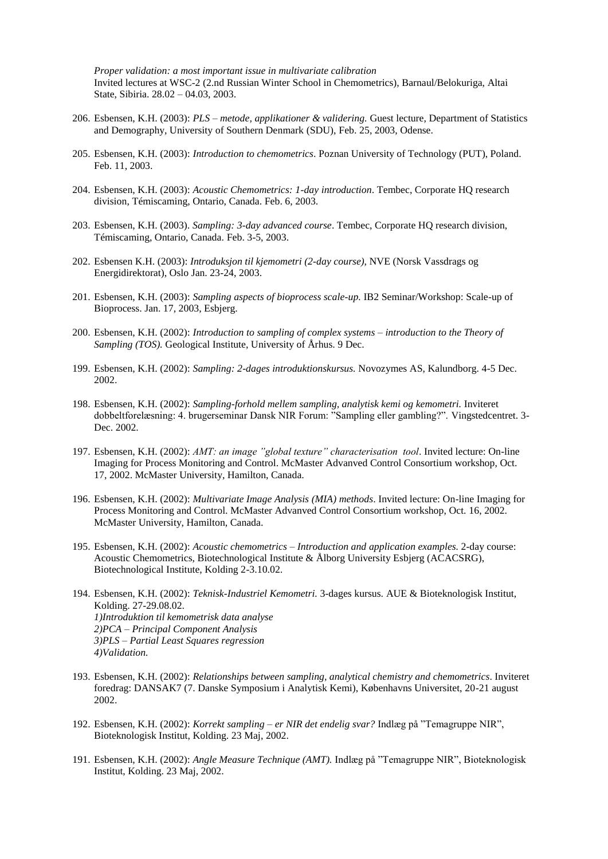*Proper validation: a most important issue in multivariate calibration* Invited lectures at WSC-2 (2.nd Russian Winter School in Chemometrics), Barnaul/Belokuriga, Altai State, Sibiria. 28.02 – 04.03, 2003.

- 206. Esbensen, K.H. (2003): *PLS – metode, applikationer & validering.* Guest lecture, Department of Statistics and Demography, University of Southern Denmark (SDU), Feb. 25, 2003, Odense.
- 205. Esbensen, K.H. (2003): *Introduction to chemometrics*. Poznan University of Technology (PUT), Poland. Feb. 11, 2003.
- 204. Esbensen, K.H. (2003): *Acoustic Chemometrics: 1-day introduction*. Tembec, Corporate HQ research division, Témiscaming, Ontario, Canada. Feb. 6, 2003.
- 203. Esbensen, K.H. (2003). *Sampling: 3-day advanced course*. Tembec, Corporate HQ research division, Témiscaming, Ontario, Canada. Feb. 3-5, 2003.
- 202. Esbensen K.H. (2003): *Introduksjon til kjemometri (2-day course)*, NVE (Norsk Vassdrags og Energidirektorat), Oslo Jan. 23-24, 2003.
- 201. Esbensen, K.H. (2003): *Sampling aspects of bioprocess scale-up.* IB2 Seminar/Workshop: Scale-up of Bioprocess. Jan. 17, 2003, Esbjerg.
- 200. Esbensen, K.H. (2002): *Introduction to sampling of complex systems – introduction to the Theory of Sampling (TOS).* Geological Institute, University of Århus. 9 Dec.
- 199. Esbensen, K.H. (2002): *Sampling: 2-dages introduktionskursus.* Novozymes AS, Kalundborg. 4-5 Dec. 2002.
- 198. Esbensen, K.H. (2002): *Sampling-forhold mellem sampling, analytisk kemi og kemometri.* Inviteret dobbeltforelæsning: 4. brugerseminar Dansk NIR Forum: "Sampling eller gambling?". Vingstedcentret. 3- Dec. 2002.
- 197. Esbensen, K.H. (2002): *AMT: an image "global texture" characterisation tool*. Invited lecture: On-line Imaging for Process Monitoring and Control. McMaster Advanved Control Consortium workshop, Oct. 17, 2002. McMaster University, Hamilton, Canada.
- 196. Esbensen, K.H. (2002): *Multivariate Image Analysis (MIA) methods*. Invited lecture: On-line Imaging for Process Monitoring and Control. McMaster Advanved Control Consortium workshop, Oct. 16, 2002. McMaster University, Hamilton, Canada.
- 195. Esbensen, K.H. (2002): *Acoustic chemometrics – Introduction and application examples.* 2-day course: Acoustic Chemometrics, Biotechnological Institute & Ålborg University Esbjerg (ACACSRG), Biotechnological Institute, Kolding 2-3.10.02.
- 194. Esbensen, K.H. (2002): *Teknisk-Industriel Kemometri.* 3-dages kursus. AUE & Bioteknologisk Institut, Kolding. 27-29.08.02. *1)Introduktion til kemometrisk data analyse 2)PCA – Principal Component Analysis 3)PLS – Partial Least Squares regression 4)Validation.*
- 193. Esbensen, K.H. (2002): *Relationships between sampling, analytical chemistry and chemometrics*. Inviteret foredrag: DANSAK7 (7. Danske Symposium i Analytisk Kemi), Københavns Universitet, 20-21 august 2002.
- 192. Esbensen, K.H. (2002): *Korrekt sampling – er NIR det endelig svar?* Indlæg på "Temagruppe NIR", Bioteknologisk Institut, Kolding. 23 Maj, 2002.
- 191. Esbensen, K.H. (2002): *Angle Measure Technique (AMT).* Indlæg på "Temagruppe NIR", Bioteknologisk Institut, Kolding. 23 Maj, 2002.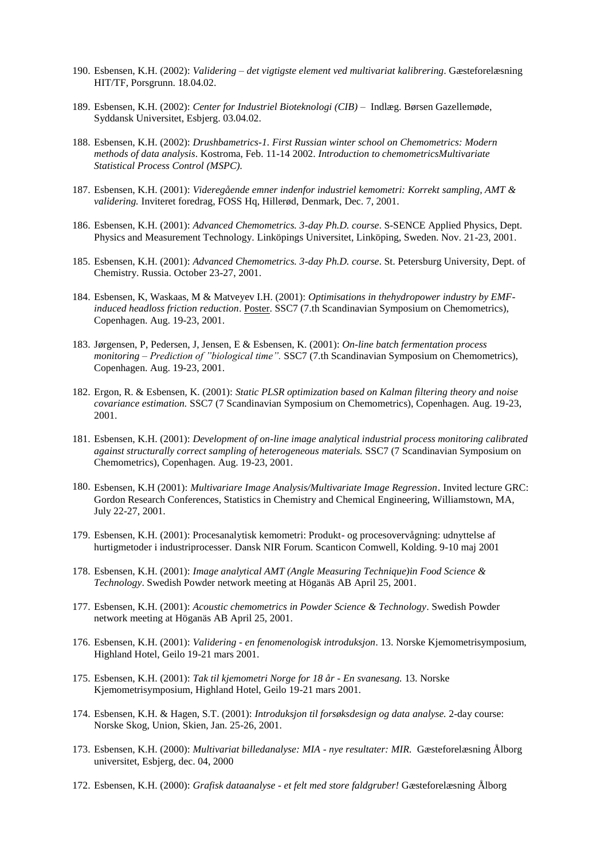- 190. Esbensen, K.H. (2002): *Validering – det vigtigste element ved multivariat kalibrering*. Gæsteforelæsning HIT/TF, Porsgrunn. 18.04.02.
- 189. Esbensen, K.H. (2002): *Center for Industriel Bioteknologi (CIB)* Indlæg. Børsen Gazellemøde, Syddansk Universitet, Esbjerg. 03.04.02.
- 188. Esbensen, K.H. (2002): *Drushbametrics-1. First Russian winter school on Chemometrics: Modern methods of data analysis*. Kostroma, Feb. 11-14 2002. *Introduction to chemometricsMultivariate Statistical Process Control (MSPC).*
- 187. Esbensen, K.H. (2001): *Videregående emner indenfor industriel kemometri: Korrekt sampling, AMT & validering.* Inviteret foredrag, FOSS Hq, Hillerød, Denmark, Dec. 7, 2001.
- 186. Esbensen, K.H. (2001): *Advanced Chemometrics. 3-day Ph.D. course*. S-SENCE Applied Physics, Dept. Physics and Measurement Technology. Linköpings Universitet, Linköping, Sweden. Nov. 21-23, 2001.
- 185. Esbensen, K.H. (2001): *Advanced Chemometrics. 3-day Ph.D. course*. St. Petersburg University, Dept. of Chemistry. Russia. October 23-27, 2001.
- 184. Esbensen, K, Waskaas, M & Matveyev I.H. (2001): *Optimisations in thehydropower industry by EMFinduced headloss friction reduction*. Poster. SSC7 (7.th Scandinavian Symposium on Chemometrics), Copenhagen. Aug. 19-23, 2001.
- 183. Jørgensen, P, Pedersen, J, Jensen, E & Esbensen, K. (2001): *On-line batch fermentation process monitoring – Prediction of "biological time".* SSC7 (7.th Scandinavian Symposium on Chemometrics), Copenhagen. Aug. 19-23, 2001.
- 182. Ergon, R. & Esbensen, K. (2001): *Static PLSR optimization based on Kalman filtering theory and noise covariance estimation.* SSC7 (7 Scandinavian Symposium on Chemometrics), Copenhagen. Aug. 19-23, 2001.
- 181. Esbensen, K.H. (2001): *Development of on-line image analytical industrial process monitoring calibrated against structurally correct sampling of heterogeneous materials.* SSC7 (7 Scandinavian Symposium on Chemometrics), Copenhagen. Aug. 19-23, 2001.
- 180. Esbensen, K.H (2001): *Multivariare Image Analysis/Multivariate Image Regression*. Invited lecture GRC: Gordon Research Conferences, Statistics in Chemistry and Chemical Engineering, Williamstown, MA, July 22-27, 2001.
- 179. Esbensen, K.H. (2001): Procesanalytisk kemometri: Produkt- og procesovervågning: udnyttelse af hurtigmetoder i industriprocesser. Dansk NIR Forum. Scanticon Comwell, Kolding. 9-10 maj 2001
- 178. Esbensen, K.H. (2001): *Image analytical AMT (Angle Measuring Technique)in Food Science & Technology*. Swedish Powder network meeting at Höganäs AB April 25, 2001.
- 177. Esbensen, K.H. (2001): *Acoustic chemometrics in Powder Science & Technology*. Swedish Powder network meeting at Höganäs AB April 25, 2001.
- 176. Esbensen, K.H. (2001): *Validering - en fenomenologisk introduksjon*. 13. Norske Kjemometrisymposium, Highland Hotel, Geilo 19-21 mars 2001.
- 175. Esbensen, K.H. (2001): *Tak til kjemometri Norge for 18 år - En svanesang.* 13. Norske Kjemometrisymposium, Highland Hotel, Geilo 19-21 mars 2001.
- 174. Esbensen, K.H. & Hagen, S.T. (2001): *Introduksjon til forsøksdesign og data analyse.* 2-day course: Norske Skog, Union, Skien, Jan. 25-26, 2001.
- 173. Esbensen, K.H. (2000): *Multivariat billedanalyse: MIA - nye resultater: MIR.* Gæsteforelæsning Ålborg universitet, Esbjerg, dec. 04, 2000
- 172. Esbensen, K.H. (2000): *Grafisk dataanalyse - et felt med store faldgruber!* Gæsteforelæsning Ålborg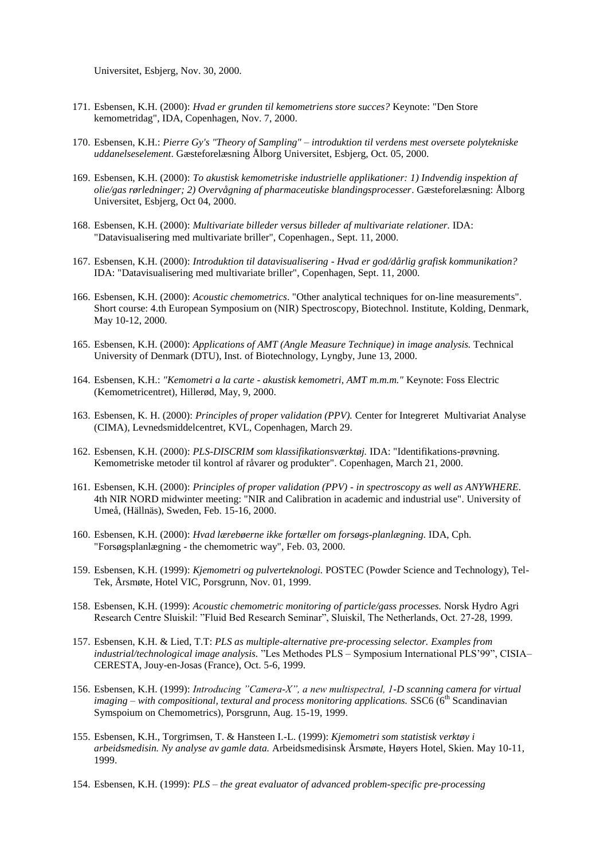Universitet, Esbjerg, Nov. 30, 2000.

- 171. Esbensen, K.H. (2000): *Hvad er grunden til kemometriens store succes?* Keynote: "Den Store kemometridag", IDA, Copenhagen, Nov. 7, 2000.
- 170. Esbensen, K.H.: *Pierre Gy's "Theory of Sampling" – introduktion til verdens mest oversete polytekniske uddanelseselement*. Gæsteforelæsning Ålborg Universitet, Esbjerg, Oct. 05, 2000.
- 169. Esbensen, K.H. (2000): *To akustisk kemometriske industrielle applikationer: 1) Indvendig inspektion af olie/gas rørledninger; 2) Overvågning af pharmaceutiske blandingsprocesser*. Gæsteforelæsning: Ålborg Universitet, Esbjerg, Oct 04, 2000.
- 168. Esbensen, K.H. (2000): *Multivariate billeder versus billeder af multivariate relationer.* IDA: "Datavisualisering med multivariate briller", Copenhagen., Sept. 11, 2000.
- 167. Esbensen, K.H. (2000): *Introduktion til datavisualisering - Hvad er god/dårlig grafisk kommunikation?* IDA: "Datavisualisering med multivariate briller", Copenhagen, Sept. 11, 2000.
- 166. Esbensen, K.H. (2000): *Acoustic chemometrics*. "Other analytical techniques for on-line measurements". Short course: 4.th European Symposium on (NIR) Spectroscopy, Biotechnol. Institute, Kolding, Denmark, May 10-12, 2000.
- 165. Esbensen, K.H. (2000): *Applications of AMT (Angle Measure Technique) in image analysis.* Technical University of Denmark (DTU), Inst. of Biotechnology, Lyngby, June 13, 2000.
- 164. Esbensen, K.H.: *"Kemometri a la carte - akustisk kemometri, AMT m.m.m."* Keynote: Foss Electric (Kemometricentret), Hillerød, May, 9, 2000.
- 163. Esbensen, K. H. (2000): *Principles of proper validation (PPV).* Center for Integreret Multivariat Analyse (CIMA), Levnedsmiddelcentret, KVL, Copenhagen, March 29.
- 162. Esbensen, K.H. (2000): *PLS-DISCRIM som klassifikationsværktøj.* IDA: "Identifikations-prøvning. Kemometriske metoder til kontrol af råvarer og produkter". Copenhagen, March 21, 2000.
- 161. Esbensen, K.H. (2000): *Principles of proper validation (PPV) - in spectroscopy as well as ANYWHERE*. 4th NIR NORD midwinter meeting: "NIR and Calibration in academic and industrial use". University of Umeå, (Hällnäs), Sweden, Feb. 15-16, 2000.
- 160. Esbensen, K.H. (2000): *Hvad lærebøerne ikke fortæller om forsøgs-planlægning.* IDA, Cph. "Forsøgsplanlægning - the chemometric way", Feb. 03, 2000.
- 159. Esbensen, K.H. (1999): *Kjemometri og pulverteknologi.* POSTEC (Powder Science and Technology), Tel-Tek, Årsmøte, Hotel VIC, Porsgrunn, Nov. 01, 1999.
- 158. Esbensen, K.H. (1999): *Acoustic chemometric monitoring of particle/gass processes.* Norsk Hydro Agri Research Centre Sluiskil: "Fluid Bed Research Seminar", Sluiskil, The Netherlands, Oct. 27-28, 1999.
- 157. Esbensen, K.H. & Lied, T.T: *PLS as multiple-alternative pre-processing selector. Examples from industrial/technological image analysis.* "Les Methodes PLS – Symposium International PLS'99", CISIA– CERESTA, Jouy-en-Josas (France), Oct. 5-6, 1999.
- 156. Esbensen, K.H. (1999): *Introducing "Camera-X", a new multispectral, 1-D scanning camera for virtual imaging – with compositional, textural and process monitoring applications.* SSC6 (6<sup>th</sup> Scandinavian Symspoium on Chemometrics), Porsgrunn, Aug. 15-19, 1999.
- 155. Esbensen, K.H., Torgrimsen, T. & Hansteen I.-L. (1999): *Kjemometri som statistisk verktøy i arbeidsmedisin. Ny analyse av gamle data.* Arbeidsmedisinsk Årsmøte, Høyers Hotel, Skien. May 10-11, 1999.
- 154. Esbensen, K.H. (1999): *PLS – the great evaluator of advanced problem-specific pre-processing*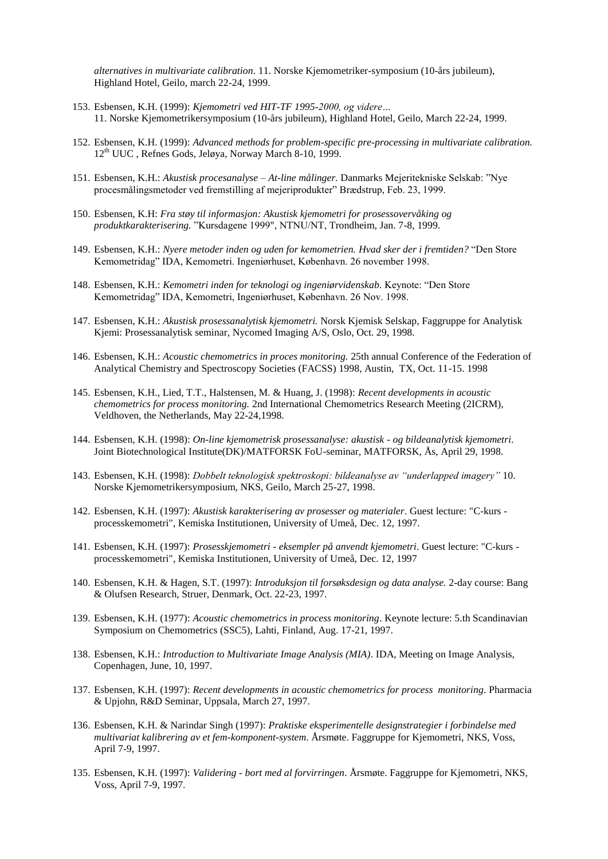*alternatives in multivariate calibration.* 11. Norske Kjemometriker-symposium (10-års jubileum), Highland Hotel, Geilo, march 22-24, 1999.

- 153. Esbensen, K.H. (1999): *Kjemometri ved HIT-TF 1995-2000, og videre…* 11. Norske Kjemometrikersymposium (10-års jubileum), Highland Hotel, Geilo, March 22-24, 1999.
- 152. Esbensen, K.H. (1999): *Advanced methods for problem-specific pre-processing in multivariate calibration.* 12th UUC , Refnes Gods, Jeløya, Norway March 8-10, 1999.
- 151. Esbensen, K.H.: *Akustisk procesanalyse – At-line målinger.* Danmarks Mejeritekniske Selskab: "Nye procesmålingsmetoder ved fremstilling af mejeriprodukter" Brædstrup, Feb. 23, 1999.
- 150. Esbensen, K.H: *Fra støy til informasjon: Akustisk kjemometri for prosessovervåking og produktkarakterisering.* "Kursdagene 1999", NTNU/NT, Trondheim, Jan. 7-8, 1999.
- 149. Esbensen, K.H.: *Nyere metoder inden og uden for kemometrien. Hvad sker der i fremtiden?* "Den Store Kemometridag" IDA, Kemometri. Ingeniørhuset, København. 26 november 1998.
- 148. Esbensen, K.H.: *Kemometri inden for teknologi og ingeniørvidenskab.* Keynote: "Den Store Kemometridag" IDA, Kemometri, Ingeniørhuset, København. 26 Nov. 1998.
- 147. Esbensen, K.H.: *Akustisk prosessanalytisk kjemometri.* Norsk Kjemisk Selskap, Faggruppe for Analytisk Kjemi: Prosessanalytisk seminar, Nycomed Imaging A/S, Oslo, Oct. 29, 1998.
- 146. Esbensen, K.H.: *Acoustic chemometrics in proces monitoring.* 25th annual Conference of the Federation of Analytical Chemistry and Spectroscopy Societies (FACSS) 1998, Austin, TX, Oct. 11-15. 1998
- 145. Esbensen, K.H., Lied, T.T., Halstensen, M. & Huang, J. (1998): *Recent developments in acoustic chemometrics for process monitoring.* 2nd International Chemometrics Research Meeting (2ICRM), Veldhoven, the Netherlands, May 22-24,1998.
- 144. Esbensen, K.H. (1998): *On-line kjemometrisk prosessanalyse: akustisk - og bildeanalytisk kjemometri*. Joint Biotechnological Institute(DK)/MATFORSK FoU-seminar, MATFORSK, Ås, April 29, 1998.
- 143. Esbensen, K.H. (1998): *Dobbelt teknologisk spektroskopi: bildeanalyse av "underlapped imagery"* 10. Norske Kjemometrikersymposium, NKS, Geilo, March 25-27, 1998.
- 142. Esbensen, K.H. (1997): *Akustisk karakterisering av prosesser og materialer*. Guest lecture: "C-kurs processkemometri", Kemiska Institutionen, University of Umeå, Dec. 12, 1997.
- 141. Esbensen, K.H. (1997): *Prosesskjemometri - eksempler på anvendt kjemometri*. Guest lecture: "C-kurs processkemometri", Kemiska Institutionen, University of Umeå, Dec. 12, 1997
- 140. Esbensen, K.H. & Hagen, S.T. (1997): *Introduksjon til forsøksdesign og data analyse.* 2-day course: Bang & Olufsen Research, Struer, Denmark, Oct. 22-23, 1997.
- 139. Esbensen, K.H. (1977): *Acoustic chemometrics in process monitoring*. Keynote lecture: 5.th Scandinavian Symposium on Chemometrics (SSC5), Lahti, Finland, Aug. 17-21, 1997.
- 138. Esbensen, K.H.: *Introduction to Multivariate Image Analysis (MIA)*. IDA, Meeting on Image Analysis, Copenhagen, June, 10, 1997.
- 137. Esbensen, K.H. (1997): *Recent developments in acoustic chemometrics for process monitoring*. Pharmacia & Upjohn, R&D Seminar, Uppsala, March 27, 1997.
- 136. Esbensen, K.H. & Narindar Singh (1997): *Praktiske eksperimentelle designstrategier i forbindelse med multivariat kalibrering av et fem-komponent-system*. Årsmøte. Faggruppe for Kjemometri, NKS, Voss, April 7-9, 1997.
- 135. Esbensen, K.H. (1997): *Validering - bort med al forvirringen*. Årsmøte. Faggruppe for Kjemometri, NKS, Voss, April 7-9, 1997.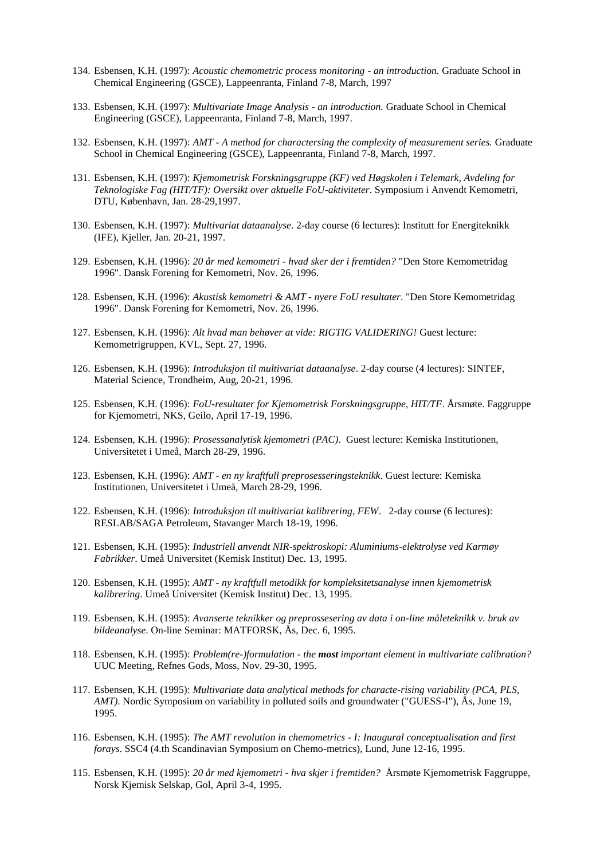- 134. Esbensen, K.H. (1997): *Acoustic chemometric process monitoring - an introduction.* Graduate School in Chemical Engineering (GSCE), Lappeenranta, Finland 7-8, March, 1997
- 133. Esbensen, K.H. (1997): *Multivariate Image Analysis - an introduction.* Graduate School in Chemical Engineering (GSCE), Lappeenranta, Finland 7-8, March, 1997.
- 132. Esbensen, K.H. (1997): *AMT - A method for charactersing the complexity of measurement series.* Graduate School in Chemical Engineering (GSCE), Lappeenranta, Finland 7-8, March, 1997.
- 131. Esbensen, K.H. (1997): *Kjemometrisk Forskningsgruppe (KF) ved Høgskolen i Telemark, Avdeling for Teknologiske Fag (HIT/TF): Oversikt over aktuelle FoU-aktiviteter*. Symposium i Anvendt Kemometri, DTU, København, Jan. 28-29,1997.
- 130. Esbensen, K.H. (1997): *Multivariat dataanalyse*. 2-day course (6 lectures): Institutt for Energiteknikk (IFE), Kjeller, Jan. 20-21, 1997.
- 129. Esbensen, K.H. (1996): *20 år med kemometri - hvad sker der i fremtiden?* "Den Store Kemometridag 1996". Dansk Forening for Kemometri, Nov. 26, 1996.
- 128. Esbensen, K.H. (1996): *Akustisk kemometri & AMT - nyere FoU resultater*. "Den Store Kemometridag 1996". Dansk Forening for Kemometri, Nov. 26, 1996.
- 127. Esbensen, K.H. (1996): *Alt hvad man behøver at vide: RIGTIG VALIDERING!* Guest lecture: Kemometrigruppen, KVL, Sept. 27, 1996.
- 126. Esbensen, K.H. (1996): *Introduksjon til multivariat dataanalyse*. 2-day course (4 lectures): SINTEF, Material Science, Trondheim, Aug, 20-21, 1996.
- 125. Esbensen, K.H. (1996): *FoU-resultater for Kjemometrisk Forskningsgruppe, HIT/TF*. Årsmøte. Faggruppe for Kjemometri, NKS, Geilo, April 17-19, 1996.
- 124. Esbensen, K.H. (1996): *Prosessanalytisk kjemometri (PAC)*. Guest lecture: Kemiska Institutionen, Universitetet i Umeå, March 28-29, 1996.
- 123. Esbensen, K.H. (1996): *AMT - en ny kraftfull preprosesseringsteknikk*. Guest lecture: Kemiska Institutionen, Universitetet i Umeå, March 28-29, 1996.
- 122. Esbensen, K.H. (1996): *Introduksjon til multivariat kalibrering, FEW*. 2-day course (6 lectures): RESLAB/SAGA Petroleum, Stavanger March 18-19, 1996.
- 121. Esbensen, K.H. (1995): *Industriell anvendt NIR-spektroskopi: Aluminiums-elektrolyse ved Karmøy Fabrikker*. Umeå Universitet (Kemisk Institut) Dec. 13, 1995.
- 120. Esbensen, K.H. (1995): *AMT - ny kraftfull metodikk for kompleksitetsanalyse innen kjemometrisk kalibrering*. Umeå Universitet (Kemisk Institut) Dec. 13, 1995.
- 119. Esbensen, K.H. (1995): *Avanserte teknikker og preprossesering av data i on-line måleteknikk v. bruk av bildeanalyse*. On-line Seminar: MATFORSK, Ås, Dec. 6, 1995.
- 118. Esbensen, K.H. (1995): *Problem(re-)formulation - the most important element in multivariate calibration?* UUC Meeting, Refnes Gods, Moss, Nov. 29-30, 1995.
- 117. Esbensen, K.H. (1995): *Multivariate data analytical methods for characte-rising variability (PCA, PLS, AMT)*. Nordic Symposium on variability in polluted soils and groundwater ("GUESS-I"), Ås, June 19, 1995.
- 116. Esbensen, K.H. (1995): *The AMT revolution in chemometrics - I: Inaugural conceptualisation and first forays*. SSC4 (4.th Scandinavian Symposium on Chemo-metrics), Lund, June 12-16, 1995.
- 115. Esbensen, K.H. (1995): *20 år med kjemometri - hva skjer i fremtiden?* Årsmøte Kjemometrisk Faggruppe, Norsk Kjemisk Selskap, Gol, April 3-4, 1995.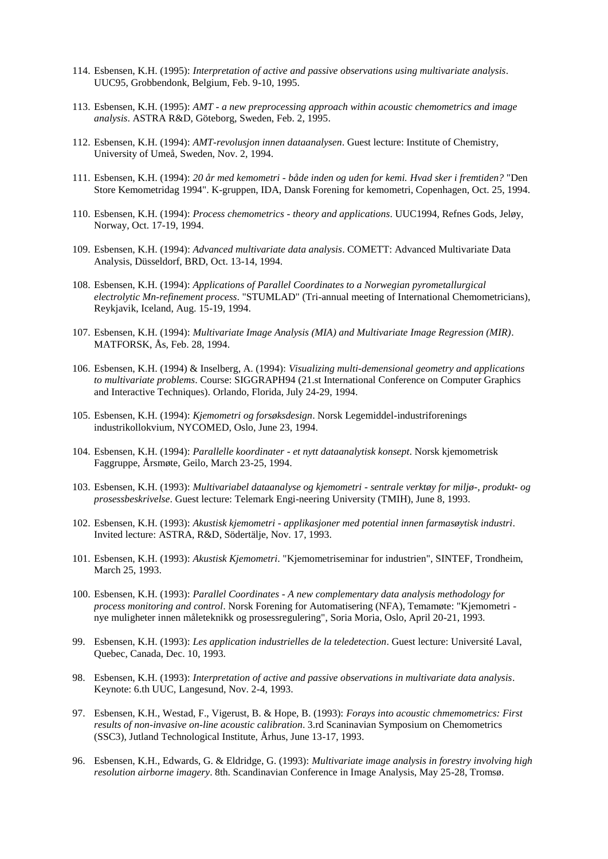- 114. Esbensen, K.H. (1995): *Interpretation of active and passive observations using multivariate analysis*. UUC95, Grobbendonk, Belgium, Feb. 9-10, 1995.
- 113. Esbensen, K.H. (1995): *AMT - a new preprocessing approach within acoustic chemometrics and image analysis*. ASTRA R&D, Göteborg, Sweden, Feb. 2, 1995.
- 112. Esbensen, K.H. (1994): *AMT-revolusjon innen dataanalysen*. Guest lecture: Institute of Chemistry, University of Umeå, Sweden, Nov. 2, 1994.
- 111. Esbensen, K.H. (1994): *20 år med kemometri - både inden og uden for kemi. Hvad sker i fremtiden?* "Den Store Kemometridag 1994". K-gruppen, IDA, Dansk Forening for kemometri, Copenhagen, Oct. 25, 1994.
- 110. Esbensen, K.H. (1994): *Process chemometrics - theory and applications*. UUC1994, Refnes Gods, Jeløy, Norway, Oct. 17-19, 1994.
- 109. Esbensen, K.H. (1994): *Advanced multivariate data analysis*. COMETT: Advanced Multivariate Data Analysis, Düsseldorf, BRD, Oct. 13-14, 1994.
- 108. Esbensen, K.H. (1994): *Applications of Parallel Coordinates to a Norwegian pyrometallurgical electrolytic Mn-refinement process*. "STUMLAD" (Tri-annual meeting of International Chemometricians), Reykjavik, Iceland, Aug. 15-19, 1994.
- 107. Esbensen, K.H. (1994): *Multivariate Image Analysis (MIA) and Multivariate Image Regression (MIR)*. MATFORSK, Ås, Feb. 28, 1994.
- 106. Esbensen, K.H. (1994) & Inselberg, A. (1994): *Visualizing multi-demensional geometry and applications to multivariate problems*. Course: SIGGRAPH94 (21.st International Conference on Computer Graphics and Interactive Techniques). Orlando, Florida, July 24-29, 1994.
- 105. Esbensen, K.H. (1994): *Kjemometri og forsøksdesign*. Norsk Legemiddel-industriforenings industrikollokvium, NYCOMED, Oslo, June 23, 1994.
- 104. Esbensen, K.H. (1994): *Parallelle koordinater - et nytt dataanalytisk konsept*. Norsk kjemometrisk Faggruppe, Årsmøte, Geilo, March 23-25, 1994.
- 103. Esbensen, K.H. (1993): *Multivariabel dataanalyse og kjemometri - sentrale verktøy for miljø-, produkt- og prosessbeskrivelse*. Guest lecture: Telemark Engi-neering University (TMIH), June 8, 1993.
- 102. Esbensen, K.H. (1993): *Akustisk kjemometri - applikasjoner med potential innen farmasøytisk industri*. Invited lecture: ASTRA, R&D, Södertälje, Nov. 17, 1993.
- 101. Esbensen, K.H. (1993): *Akustisk Kjemometri*. "Kjemometriseminar for industrien", SINTEF, Trondheim, March 25, 1993.
- 100. Esbensen, K.H. (1993): *Parallel Coordinates - A new complementary data analysis methodology for process monitoring and control*. Norsk Forening for Automatisering (NFA), Temamøte: "Kjemometri nye muligheter innen måleteknikk og prosessregulering", Soria Moria, Oslo, April 20-21, 1993.
- 99. Esbensen, K.H. (1993): *Les application industrielles de la teledetection*. Guest lecture: Université Laval, Quebec, Canada, Dec. 10, 1993.
- 98. Esbensen, K.H. (1993): *Interpretation of active and passive observations in multivariate data analysis*. Keynote: 6.th UUC, Langesund, Nov. 2-4, 1993.
- 97. Esbensen, K.H., Westad, F., Vigerust, B. & Hope, B. (1993): *Forays into acoustic chmemometrics: First results of non-invasive on-line acoustic calibration*. 3.rd Scaninavian Symposium on Chemometrics (SSC3), Jutland Technological Institute, Århus, June 13-17, 1993.
- 96. Esbensen, K.H., Edwards, G. & Eldridge, G. (1993): *Multivariate image analysis in forestry involving high resolution airborne imagery*. 8th. Scandinavian Conference in Image Analysis, May 25-28, Tromsø.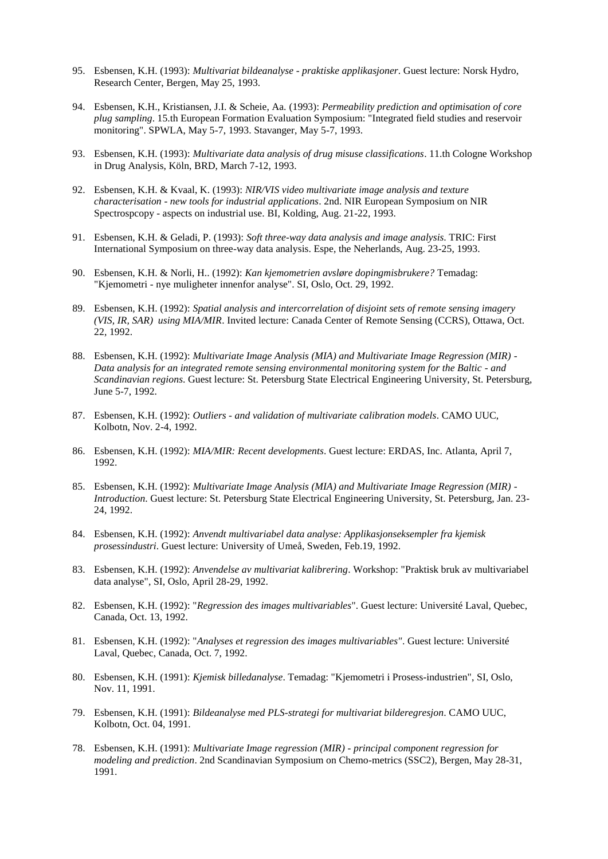- 95. Esbensen, K.H. (1993): *Multivariat bildeanalyse - praktiske applikasjoner*. Guest lecture: Norsk Hydro, Research Center, Bergen, May 25, 1993.
- 94. Esbensen, K.H., Kristiansen, J.I. & Scheie, Aa. (1993): *Permeability prediction and optimisation of core plug sampling*. 15.th European Formation Evaluation Symposium: "Integrated field studies and reservoir monitoring". SPWLA, May 5-7, 1993. Stavanger, May 5-7, 1993.
- 93. Esbensen, K.H. (1993): *Multivariate data analysis of drug misuse classifications*. 11.th Cologne Workshop in Drug Analysis, Köln, BRD, March 7-12, 1993.
- 92. Esbensen, K.H. & Kvaal, K. (1993): *NIR/VIS video multivariate image analysis and texture characterisation - new tools for industrial applications*. 2nd. NIR European Symposium on NIR Spectrospcopy - aspects on industrial use. BI, Kolding, Aug. 21-22, 1993.
- 91. Esbensen, K.H. & Geladi, P. (1993): *Soft three-way data analysis and image analysis*. TRIC: First International Symposium on three-way data analysis. Espe, the Neherlands, Aug. 23-25, 1993.
- 90. Esbensen, K.H. & Norli, H.. (1992): *Kan kjemometrien avsløre dopingmisbrukere?* Temadag: "Kjemometri - nye muligheter innenfor analyse". SI, Oslo, Oct. 29, 1992.
- 89. Esbensen, K.H. (1992): *Spatial analysis and intercorrelation of disjoint sets of remote sensing imagery (VIS, IR, SAR) using MIA/MIR*. Invited lecture: Canada Center of Remote Sensing (CCRS), Ottawa, Oct. 22, 1992.
- 88. Esbensen, K.H. (1992): *Multivariate Image Analysis (MIA) and Multivariate Image Regression (MIR) - Data analysis for an integrated remote sensing environmental monitoring system for the Baltic - and Scandinavian regions*. Guest lecture: St. Petersburg State Electrical Engineering University, St. Petersburg, June 5-7, 1992.
- 87. Esbensen, K.H. (1992): *Outliers - and validation of multivariate calibration models*. CAMO UUC, Kolbotn, Nov. 2-4, 1992.
- 86. Esbensen, K.H. (1992): *MIA/MIR: Recent developments*. Guest lecture: ERDAS, Inc. Atlanta, April 7, 1992.
- 85. Esbensen, K.H. (1992): *Multivariate Image Analysis (MIA) and Multivariate Image Regression (MIR) - Introduction*. Guest lecture: St. Petersburg State Electrical Engineering University, St. Petersburg, Jan. 23- 24, 1992.
- 84. Esbensen, K.H. (1992): *Anvendt multivariabel data analyse: Applikasjonseksempler fra kjemisk prosessindustri*. Guest lecture: University of Umeå, Sweden, Feb.19, 1992.
- 83. Esbensen, K.H. (1992): *Anvendelse av multivariat kalibrering*. Workshop: "Praktisk bruk av multivariabel data analyse", SI, Oslo, April 28-29, 1992.
- 82. Esbensen, K.H. (1992): "*Regression des images multivariables*". Guest lecture: Université Laval, Quebec, Canada, Oct. 13, 1992.
- 81. Esbensen, K.H. (1992): "*Analyses et regression des images multivariables"*. Guest lecture: Université Laval, Quebec, Canada, Oct. 7, 1992.
- 80. Esbensen, K.H. (1991): *Kjemisk billedanalyse*. Temadag: "Kjemometri i Prosess-industrien", SI, Oslo, Nov. 11, 1991.
- 79. Esbensen, K.H. (1991): *Bildeanalyse med PLS-strategi for multivariat bilderegresjon*. CAMO UUC, Kolbotn, Oct. 04, 1991.
- 78. Esbensen, K.H. (1991): *Multivariate Image regression (MIR) - principal component regression for modeling and prediction*. 2nd Scandinavian Symposium on Chemo-metrics (SSC2), Bergen, May 28-31, 1991.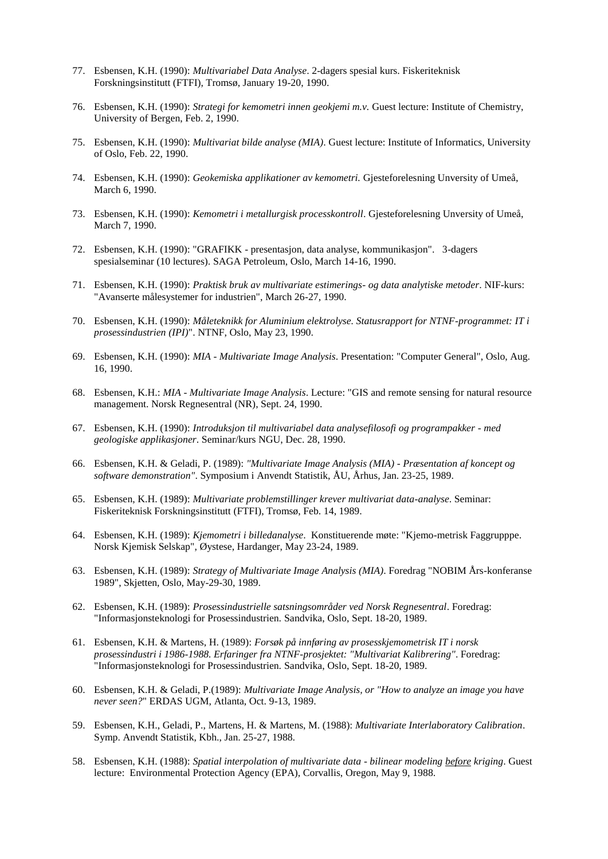- 77. Esbensen, K.H. (1990): *Multivariabel Data Analyse*. 2-dagers spesial kurs. Fiskeriteknisk Forskningsinstitutt (FTFI), Tromsø, January 19-20, 1990.
- 76. Esbensen, K.H. (1990): *Strategi for kemometri innen geokjemi m.v.* Guest lecture: Institute of Chemistry, University of Bergen, Feb. 2, 1990.
- 75. Esbensen, K.H. (1990): *Multivariat bilde analyse (MIA)*. Guest lecture: Institute of Informatics, University of Oslo, Feb. 22, 1990.
- 74. Esbensen, K.H. (1990): *Geokemiska applikationer av kemometri.* Gjesteforelesning Unversity of Umeå, March 6, 1990.
- 73. Esbensen, K.H. (1990): *Kemometri i metallurgisk processkontroll*. Gjesteforelesning Unversity of Umeå, March 7, 1990.
- 72. Esbensen, K.H. (1990): "GRAFIKK presentasjon, data analyse, kommunikasjon". 3-dagers spesialseminar (10 lectures). SAGA Petroleum, Oslo, March 14-16, 1990.
- 71. Esbensen, K.H. (1990): *Praktisk bruk av multivariate estimerings- og data analytiske metoder*. NIF-kurs: "Avanserte målesystemer for industrien", March 26-27, 1990.
- 70. Esbensen, K.H. (1990): *Måleteknikk for Aluminium elektrolyse. Statusrapport for NTNF-programmet: IT i prosessindustrien (IPI)*". NTNF, Oslo, May 23, 1990.
- 69. Esbensen, K.H. (1990): *MIA - Multivariate Image Analysis*. Presentation: "Computer General", Oslo, Aug. 16, 1990.
- 68. Esbensen, K.H.: *MIA - Multivariate Image Analysis*. Lecture: "GIS and remote sensing for natural resource management. Norsk Regnesentral (NR), Sept. 24, 1990.
- 67. Esbensen, K.H. (1990): *Introduksjon til multivariabel data analysefilosofi og programpakker - med geologiske applikasjoner*. Seminar/kurs NGU, Dec. 28, 1990.
- 66. Esbensen, K.H. & Geladi, P. (1989): *"Multivariate Image Analysis (MIA) - Præsentation af koncept og software demonstration"*. Symposium i Anvendt Statistik, ÅU, Århus, Jan. 23-25, 1989.
- 65. Esbensen, K.H. (1989): *Multivariate problemstillinger krever multivariat data-analyse*. Seminar: Fiskeriteknisk Forskningsinstitutt (FTFI), Tromsø, Feb. 14, 1989.
- 64. Esbensen, K.H. (1989): *Kjemometri i billedanalyse*. Konstituerende møte: "Kjemo-metrisk Faggrupppe. Norsk Kjemisk Selskap", Øystese, Hardanger, May 23-24, 1989.
- 63. Esbensen, K.H. (1989): *Strategy of Multivariate Image Analysis (MIA)*. Foredrag "NOBIM Års-konferanse 1989", Skjetten, Oslo, May-29-30, 1989.
- 62. Esbensen, K.H. (1989): *Prosessindustrielle satsningsområder ved Norsk Regnesentral*. Foredrag: "Informasjonsteknologi for Prosessindustrien. Sandvika, Oslo, Sept. 18-20, 1989.
- 61. Esbensen, K.H. & Martens, H. (1989): *Forsøk på innføring av prosesskjemometrisk IT i norsk prosessindustri i 1986-1988. Erfaringer fra NTNF-prosjektet: "Multivariat Kalibrering"*. Foredrag: "Informasjonsteknologi for Prosessindustrien. Sandvika, Oslo, Sept. 18-20, 1989.
- 60. Esbensen, K.H. & Geladi, P.(1989): *Multivariate Image Analysis, or "How to analyze an image you have never seen?*" ERDAS UGM, Atlanta, Oct. 9-13, 1989.
- 59. Esbensen, K.H., Geladi, P., Martens, H. & Martens, M. (1988): *Multivariate Interlaboratory Calibration*. Symp. Anvendt Statistik, Kbh., Jan. 25-27, 1988.
- 58. Esbensen, K.H. (1988): *Spatial interpolation of multivariate data - bilinear modeling before kriging*. Guest lecture: Environmental Protection Agency (EPA), Corvallis, Oregon, May 9, 1988.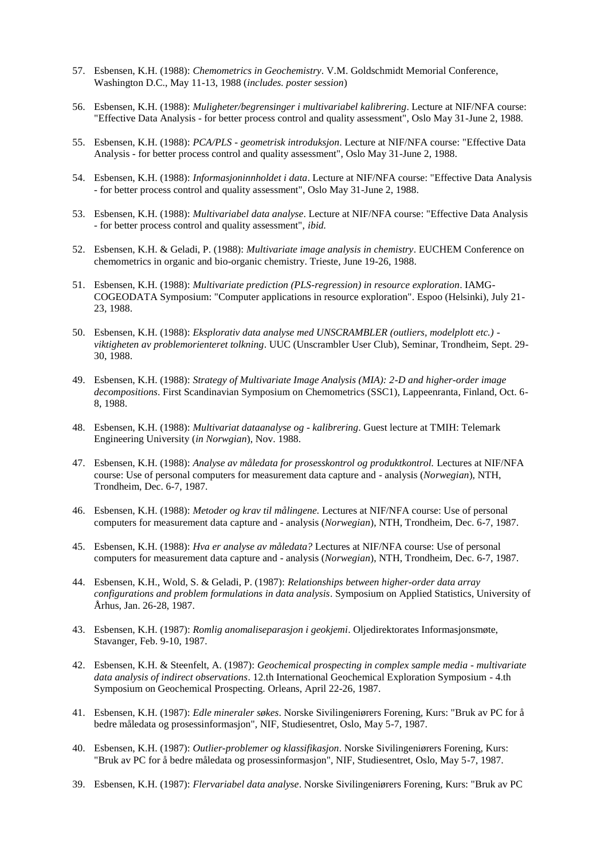- 57. Esbensen, K.H. (1988): *Chemometrics in Geochemistry*. V.M. Goldschmidt Memorial Conference, Washington D.C., May 11-13, 1988 (*includes. poster session*)
- 56. Esbensen, K.H. (1988): *Muligheter/begrensinger i multivariabel kalibrering*. Lecture at NIF/NFA course: "Effective Data Analysis - for better process control and quality assessment", Oslo May 31-June 2, 1988.
- 55. Esbensen, K.H. (1988): *PCA/PLS - geometrisk introduksjon*. Lecture at NIF/NFA course: "Effective Data Analysis - for better process control and quality assessment", Oslo May 31-June 2, 1988.
- 54. Esbensen, K.H. (1988): *Informasjoninnholdet i data*. Lecture at NIF/NFA course: "Effective Data Analysis - for better process control and quality assessment", Oslo May 31-June 2, 1988.
- 53. Esbensen, K.H. (1988): *Multivariabel data analyse*. Lecture at NIF/NFA course: "Effective Data Analysis - for better process control and quality assessment", *ibid.*
- 52. Esbensen, K.H. & Geladi, P. (1988): *Multivariate image analysis in chemistry*. EUCHEM Conference on chemometrics in organic and bio-organic chemistry. Trieste, June 19-26, 1988.
- 51. Esbensen, K.H. (1988): *Multivariate prediction (PLS-regression) in resource exploration*. IAMG-COGEODATA Symposium: "Computer applications in resource exploration". Espoo (Helsinki), July 21- 23, 1988.
- 50. Esbensen, K.H. (1988): *Eksplorativ data analyse med UNSCRAMBLER (outliers, modelplott etc.) viktigheten av problemorienteret tolkning*. UUC (Unscrambler User Club), Seminar, Trondheim, Sept. 29- 30, 1988.
- 49. Esbensen, K.H. (1988): *Strategy of Multivariate Image Analysis (MIA): 2-D and higher-order image decompositions*. First Scandinavian Symposium on Chemometrics (SSC1), Lappeenranta, Finland, Oct. 6- 8, 1988.
- 48. Esbensen, K.H. (1988): *Multivariat dataanalyse og - kalibrering*. Guest lecture at TMIH: Telemark Engineering University (*in Norwgian*), Nov. 1988.
- 47. Esbensen, K.H. (1988): *Analyse av måledata for prosesskontrol og produktkontrol.* Lectures at NIF/NFA course: Use of personal computers for measurement data capture and - analysis (*Norwegian*), NTH, Trondheim, Dec. 6-7, 1987.
- 46. Esbensen, K.H. (1988): *Metoder og krav til målingene.* Lectures at NIF/NFA course: Use of personal computers for measurement data capture and - analysis (*Norwegian*), NTH, Trondheim, Dec. 6-7, 1987.
- 45. Esbensen, K.H. (1988): *Hva er analyse av måledata?* Lectures at NIF/NFA course: Use of personal computers for measurement data capture and - analysis (*Norwegian*), NTH, Trondheim, Dec. 6-7, 1987.
- 44. Esbensen, K.H., Wold, S. & Geladi, P. (1987): *Relationships between higher-order data array configurations and problem formulations in data analysis*. Symposium on Applied Statistics, University of Århus, Jan. 26-28, 1987.
- 43. Esbensen, K.H. (1987): *Romlig anomaliseparasjon i geokjemi*. Oljedirektorates Informasjonsmøte, Stavanger, Feb. 9-10, 1987.
- 42. Esbensen, K.H. & Steenfelt, A. (1987): *Geochemical prospecting in complex sample media - multivariate data analysis of indirect observations*. 12.th International Geochemical Exploration Symposium - 4.th Symposium on Geochemical Prospecting. Orleans, April 22-26, 1987.
- 41. Esbensen, K.H. (1987): *Edle mineraler søkes*. Norske Sivilingeniørers Forening, Kurs: "Bruk av PC for å bedre måledata og prosessinformasjon", NIF, Studiesentret, Oslo, May 5-7, 1987.
- 40. Esbensen, K.H. (1987): *Outlier-problemer og klassifikasjon*. Norske Sivilingeniørers Forening, Kurs: "Bruk av PC for å bedre måledata og prosessinformasjon", NIF, Studiesentret, Oslo, May 5-7, 1987.
- 39. Esbensen, K.H. (1987): *Flervariabel data analyse*. Norske Sivilingeniørers Forening, Kurs: "Bruk av PC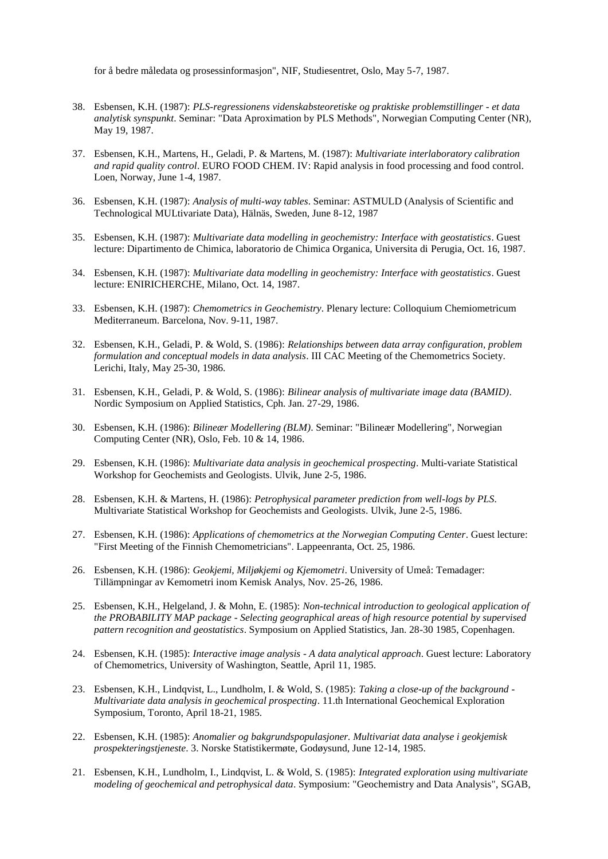for å bedre måledata og prosessinformasjon", NIF, Studiesentret, Oslo, May 5-7, 1987.

- 38. Esbensen, K.H. (1987): *PLS-regressionens videnskabsteoretiske og praktiske problemstillinger - et data analytisk synspunkt*. Seminar: "Data Aproximation by PLS Methods", Norwegian Computing Center (NR), May 19, 1987.
- 37. Esbensen, K.H., Martens, H., Geladi, P. & Martens, M. (1987): *Multivariate interlaboratory calibration and rapid quality control*. EURO FOOD CHEM. IV: Rapid analysis in food processing and food control. Loen, Norway, June 1-4, 1987.
- 36. Esbensen, K.H. (1987): *Analysis of multi-way tables*. Seminar: ASTMULD (Analysis of Scientific and Technological MULtivariate Data), Hälnäs, Sweden, June 8-12, 1987
- 35. Esbensen, K.H. (1987): *Multivariate data modelling in geochemistry: Interface with geostatistics*. Guest lecture: Dipartimento de Chimica, laboratorio de Chimica Organica, Universita di Perugia, Oct. 16, 1987.
- 34. Esbensen, K.H. (1987): *Multivariate data modelling in geochemistry: Interface with geostatistics*. Guest lecture: ENIRICHERCHE, Milano, Oct. 14, 1987.
- 33. Esbensen, K.H. (1987): *Chemometrics in Geochemistry*. Plenary lecture: Colloquium Chemiometricum Mediterraneum. Barcelona, Nov. 9-11, 1987.
- 32. Esbensen, K.H., Geladi, P. & Wold, S. (1986): *Relationships between data array configuration, problem formulation and conceptual models in data analysis*. III CAC Meeting of the Chemometrics Society. Lerichi, Italy, May 25-30, 1986.
- 31. Esbensen, K.H., Geladi, P. & Wold, S. (1986): *Bilinear analysis of multivariate image data (BAMID)*. Nordic Symposium on Applied Statistics, Cph. Jan. 27-29, 1986.
- 30. Esbensen, K.H. (1986): *Bilineær Modellering (BLM)*. Seminar: "Bilineær Modellering", Norwegian Computing Center (NR), Oslo, Feb. 10 & 14, 1986.
- 29. Esbensen, K.H. (1986): *Multivariate data analysis in geochemical prospecting*. Multi-variate Statistical Workshop for Geochemists and Geologists. Ulvik, June 2-5, 1986.
- 28. Esbensen, K.H. & Martens, H. (1986): *Petrophysical parameter prediction from well-logs by PLS*. Multivariate Statistical Workshop for Geochemists and Geologists. Ulvik, June 2-5, 1986.
- 27. Esbensen, K.H. (1986): *Applications of chemometrics at the Norwegian Computing Center*. Guest lecture: "First Meeting of the Finnish Chemometricians". Lappeenranta, Oct. 25, 1986.
- 26. Esbensen, K.H. (1986): *Geokjemi, Miljøkjemi og Kjemometri*. University of Umeå: Temadager: Tillämpningar av Kemometri inom Kemisk Analys, Nov. 25-26, 1986.
- 25. Esbensen, K.H., Helgeland, J. & Mohn, E. (1985): *Non-technical introduction to geological application of the PROBABILITY MAP package - Selecting geographical areas of high resource potential by supervised pattern recognition and geostatistics*. Symposium on Applied Statistics, Jan. 28-30 1985, Copenhagen.
- 24. Esbensen, K.H. (1985): *Interactive image analysis - A data analytical approach*. Guest lecture: Laboratory of Chemometrics, University of Washington, Seattle, April 11, 1985.
- 23. Esbensen, K.H., Lindqvist, L., Lundholm, I. & Wold, S. (1985): *Taking a close-up of the background - Multivariate data analysis in geochemical prospecting*. 11.th International Geochemical Exploration Symposium, Toronto, April 18-21, 1985.
- 22. Esbensen, K.H. (1985): *Anomalier og bakgrundspopulasjoner. Multivariat data analyse i geokjemisk prospekteringstjeneste*. 3. Norske Statistikermøte, Godøysund, June 12-14, 1985.
- 21. Esbensen, K.H., Lundholm, I., Lindqvist, L. & Wold, S. (1985): *Integrated exploration using multivariate modeling of geochemical and petrophysical data*. Symposium: "Geochemistry and Data Analysis", SGAB,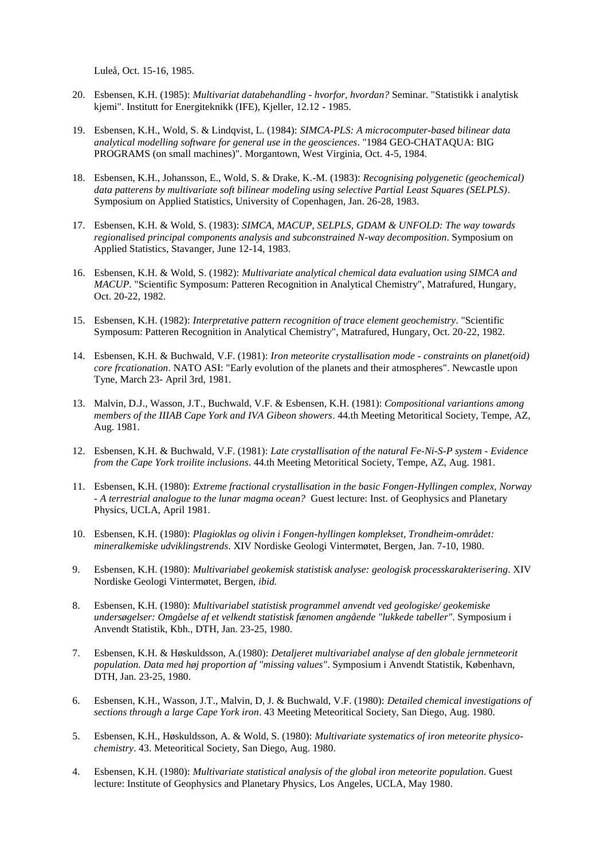Luleå, Oct. 15-16, 1985.

- 20. Esbensen, K.H. (1985): *Multivariat databehandling - hvorfor, hvordan?* Seminar. "Statistikk i analytisk kjemi". Institutt for Energiteknikk (IFE), Kjeller, 12.12 - 1985.
- 19. Esbensen, K.H., Wold, S. & Lindqvist, L. (1984): *SIMCA-PLS: A microcomputer-based bilinear data analytical modelling software for general use in the geosciences*. "1984 GEO-CHATAQUA: BIG PROGRAMS (on small machines)". Morgantown, West Virginia, Oct. 4-5, 1984.
- 18. Esbensen, K.H., Johansson, E., Wold, S. & Drake, K.-M. (1983): *Recognising polygenetic (geochemical) data patterens by multivariate soft bilinear modeling using selective Partial Least Squares (SELPLS)*. Symposium on Applied Statistics, University of Copenhagen, Jan. 26-28, 1983.
- 17. Esbensen, K.H. & Wold, S. (1983): *SIMCA, MACUP, SELPLS, GDAM & UNFOLD: The way towards regionalised principal components analysis and subconstrained N-way decomposition*. Symposium on Applied Statistics, Stavanger, June 12-14, 1983.
- 16. Esbensen, K.H. & Wold, S. (1982): *Multivariate analytical chemical data evaluation using SIMCA and MACUP*. "Scientific Symposum: Patteren Recognition in Analytical Chemistry", Matrafured, Hungary, Oct. 20-22, 1982.
- 15. Esbensen, K.H. (1982): *Interpretative pattern recognition of trace element geochemistry*. "Scientific Symposum: Patteren Recognition in Analytical Chemistry", Matrafured, Hungary, Oct. 20-22, 1982.
- 14. Esbensen, K.H. & Buchwald, V.F. (1981): *Iron meteorite crystallisation mode - constraints on planet(oid) core frcationation*. NATO ASI: "Early evolution of the planets and their atmospheres". Newcastle upon Tyne, March 23- April 3rd, 1981.
- 13. Malvin, D.J., Wasson, J.T., Buchwald, V.F. & Esbensen, K.H. (1981): *Compositional variantions among members of the IIIAB Cape York and IVA Gibeon showers*. 44.th Meeting Metoritical Society, Tempe, AZ, Aug. 1981.
- 12. Esbensen, K.H. & Buchwald, V.F. (1981): *Late crystallisation of the natural Fe-Ni-S-P system - Evidence from the Cape York troilite inclusions*. 44.th Meeting Metoritical Society, Tempe, AZ, Aug. 1981.
- 11. Esbensen, K.H. (1980): *Extreme fractional crystallisation in the basic Fongen-Hyllingen complex, Norway - A terrestrial analogue to the lunar magma ocean?* Guest lecture: Inst. of Geophysics and Planetary Physics, UCLA, April 1981.
- 10. Esbensen, K.H. (1980): *Plagioklas og olivin i Fongen-hyllingen komplekset, Trondheim-området: mineralkemiske udviklingstrends*. XIV Nordiske Geologi Vintermøtet, Bergen, Jan. 7-10, 1980.
- 9. Esbensen, K.H. (1980): *Multivariabel geokemisk statistisk analyse: geologisk processkarakterisering*. XIV Nordiske Geologi Vintermøtet, Bergen, *ibid.*
- 8. Esbensen, K.H. (1980): *Multivariabel statistisk programmel anvendt ved geologiske/ geokemiske undersøgelser: Omgåelse af et velkendt statistisk fænomen angående "lukkede tabeller"*. Symposium i Anvendt Statistik, Kbh., DTH, Jan. 23-25, 1980.
- 7. Esbensen, K.H. & Høskuldsson, A.(1980): *Detaljeret multivariabel analyse af den globale jernmeteorit population. Data med høj proportion af "missing values"*. Symposium i Anvendt Statistik, København, DTH, Jan. 23-25, 1980.
- 6. Esbensen, K.H., Wasson, J.T., Malvin, D, J. & Buchwald, V.F. (1980): *Detailed chemical investigations of sections through a large Cape York iron*. 43 Meeting Meteoritical Society, San Diego, Aug. 1980.
- 5. Esbensen, K.H., Høskuldsson, A. & Wold, S. (1980): *Multivariate systematics of iron meteorite physicochemistry*. 43. Meteoritical Society, San Diego, Aug. 1980.
- 4. Esbensen, K.H. (1980): *Multivariate statistical analysis of the global iron meteorite population*. Guest lecture: Institute of Geophysics and Planetary Physics, Los Angeles, UCLA, May 1980.